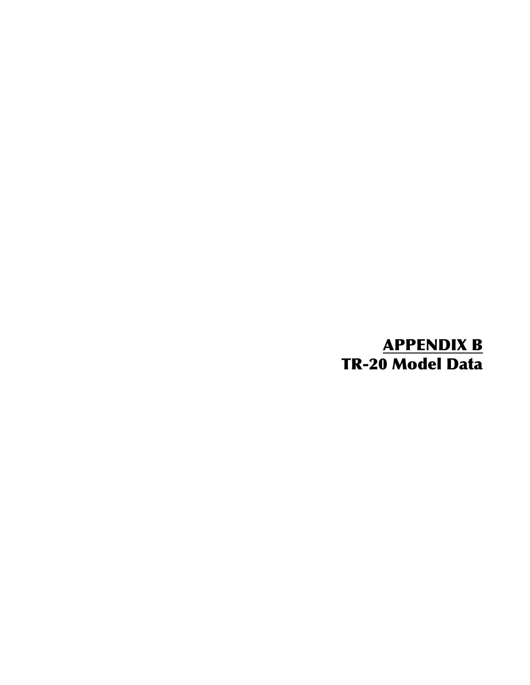# APPENDIX B TR-20 Model Data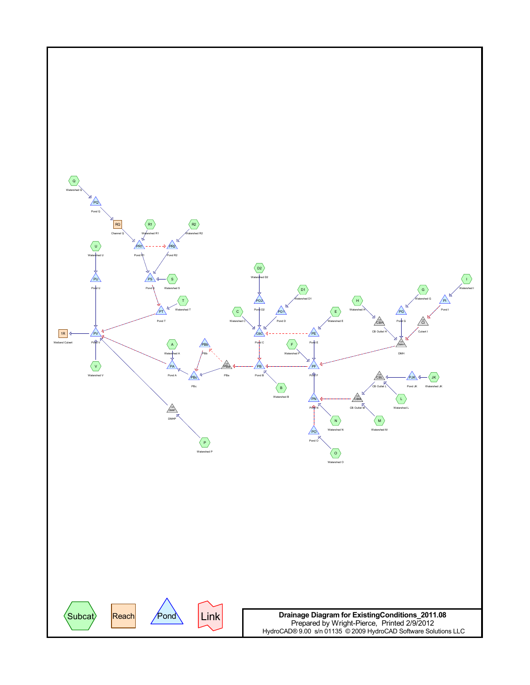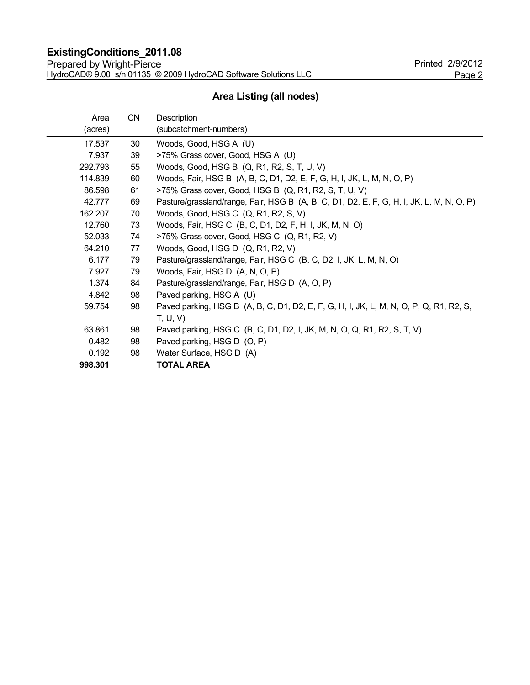# **Area Listing (all nodes)**

| Area    | CN | Description                                                                              |
|---------|----|------------------------------------------------------------------------------------------|
| (acres) |    | (subcatchment-numbers)                                                                   |
| 17.537  | 30 | Woods, Good, HSG A (U)                                                                   |
| 7.937   | 39 | >75% Grass cover, Good, HSG A (U)                                                        |
| 292.793 | 55 | Woods, Good, HSG B (Q, R1, R2, S, T, U, V)                                               |
| 114.839 | 60 | Woods, Fair, HSG B (A, B, C, D1, D2, E, F, G, H, I, JK, L, M, N, O, P)                   |
| 86.598  | 61 | >75% Grass cover, Good, HSG B (Q, R1, R2, S, T, U, V)                                    |
| 42.777  | 69 | Pasture/grassland/range, Fair, HSG B (A, B, C, D1, D2, E, F, G, H, I, JK, L, M, N, O, P) |
| 162.207 | 70 | Woods, Good, HSG C (Q, R1, R2, S, V)                                                     |
| 12.760  | 73 | Woods, Fair, HSG C (B, C, D1, D2, F, H, I, JK, M, N, O)                                  |
| 52.033  | 74 | >75% Grass cover, Good, HSG C (Q, R1, R2, V)                                             |
| 64.210  | 77 | Woods, Good, HSG D (Q, R1, R2, V)                                                        |
| 6.177   | 79 | Pasture/grassland/range, Fair, HSG C (B, C, D2, I, JK, L, M, N, O)                       |
| 7.927   | 79 | Woods, Fair, HSG D (A, N, O, P)                                                          |
| 1.374   | 84 | Pasture/grassland/range, Fair, HSG D (A, O, P)                                           |
| 4.842   | 98 | Paved parking, HSG A (U)                                                                 |
| 59.754  | 98 | Paved parking, HSG B (A, B, C, D1, D2, E, F, G, H, I, JK, L, M, N, O, P, Q, R1, R2, S,   |
|         |    | T, U, V                                                                                  |
| 63.861  | 98 | Paved parking, HSG C (B, C, D1, D2, I, JK, M, N, O, Q, R1, R2, S, T, V)                  |
| 0.482   | 98 | Paved parking, HSG D (O, P)                                                              |
| 0.192   | 98 | Water Surface, HSG D (A)                                                                 |
| 998.301 |    | <b>TOTAL AREA</b>                                                                        |
|         |    |                                                                                          |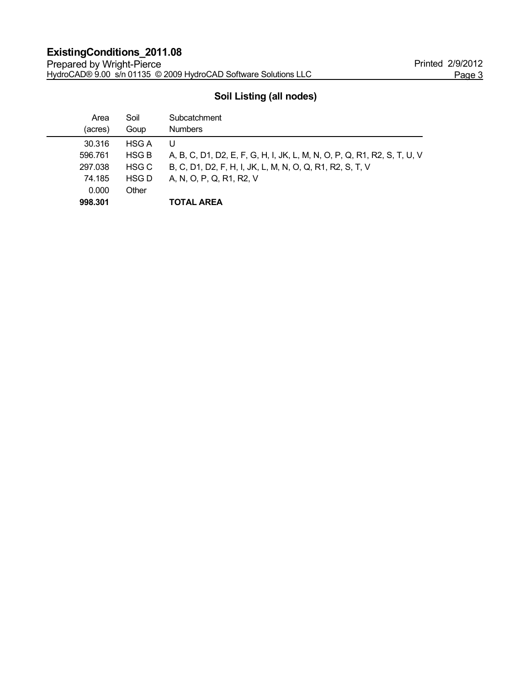# **Soil Listing (all nodes)**

| Area    | Soil         | Subcatchment                                                             |
|---------|--------------|--------------------------------------------------------------------------|
| (acres) | Goup         | <b>Numbers</b>                                                           |
| 30.316  | <b>HSG A</b> | U                                                                        |
| 596.761 | <b>HSG B</b> | A, B, C, D1, D2, E, F, G, H, I, JK, L, M, N, O, P, Q, R1, R2, S, T, U, V |
| 297.038 | HSG C        | B, C, D1, D2, F, H, I, JK, L, M, N, O, Q, R1, R2, S, T, V                |
| 74.185  | HSG D        | A, N, O, P, Q, R1, R2, V                                                 |
| 0.000   | Other        |                                                                          |
| 998.301 |              | <b>TOTAL AREA</b>                                                        |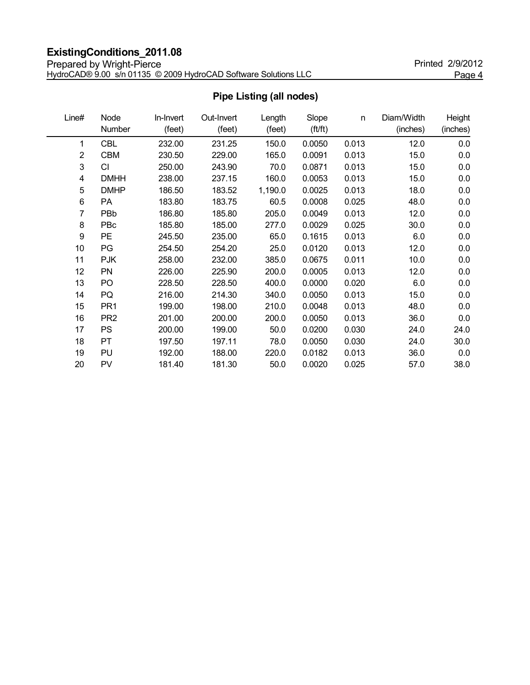# **ExistingConditions\_2011.08**

Prepared by Wright-Pierce **Printed 2/9/2012** HydroCAD® 9.00 s/n 01135 © 2009 HydroCAD Software Solutions LLC Page 4

| Line# | Node            | In-Invert | Out-Invert | Length  | Slope   | n     | Diam/Width | <b>Height</b> |
|-------|-----------------|-----------|------------|---------|---------|-------|------------|---------------|
|       | Number          | (feet)    | (feet)     | (feet)  | (ft/ft) |       | (inches)   | (inches)      |
| 1     | <b>CBL</b>      | 232.00    | 231.25     | 150.0   | 0.0050  | 0.013 | 12.0       | 0.0           |
| 2     | <b>CBM</b>      | 230.50    | 229.00     | 165.0   | 0.0091  | 0.013 | 15.0       | 0.0           |
| 3     | CI              | 250.00    | 243.90     | 70.0    | 0.0871  | 0.013 | 15.0       | 0.0           |
| 4     | <b>DMHH</b>     | 238.00    | 237.15     | 160.0   | 0.0053  | 0.013 | 15.0       | 0.0           |
| 5     | <b>DMHP</b>     | 186.50    | 183.52     | 1,190.0 | 0.0025  | 0.013 | 18.0       | 0.0           |
| 6     | PA              | 183.80    | 183.75     | 60.5    | 0.0008  | 0.025 | 48.0       | 0.0           |
| 7     | PBb             | 186.80    | 185.80     | 205.0   | 0.0049  | 0.013 | 12.0       | 0.0           |
| 8     | PBc             | 185.80    | 185.00     | 277.0   | 0.0029  | 0.025 | 30.0       | 0.0           |
| 9     | <b>PE</b>       | 245.50    | 235.00     | 65.0    | 0.1615  | 0.013 | 6.0        | 0.0           |
| 10    | PG              | 254.50    | 254.20     | 25.0    | 0.0120  | 0.013 | 12.0       | 0.0           |
| 11    | <b>PJK</b>      | 258.00    | 232.00     | 385.0   | 0.0675  | 0.011 | 10.0       | 0.0           |
| 12    | PN              | 226.00    | 225.90     | 200.0   | 0.0005  | 0.013 | 12.0       | 0.0           |
| 13    | PO              | 228.50    | 228.50     | 400.0   | 0.0000  | 0.020 | 6.0        | 0.0           |
| 14    | PQ              | 216.00    | 214.30     | 340.0   | 0.0050  | 0.013 | 15.0       | 0.0           |
| 15    | PR <sub>1</sub> | 199.00    | 198.00     | 210.0   | 0.0048  | 0.013 | 48.0       | 0.0           |
| 16    | PR <sub>2</sub> | 201.00    | 200.00     | 200.0   | 0.0050  | 0.013 | 36.0       | 0.0           |
| 17    | <b>PS</b>       | 200.00    | 199.00     | 50.0    | 0.0200  | 0.030 | 24.0       | 24.0          |
| 18    | PT              | 197.50    | 197.11     | 78.0    | 0.0050  | 0.030 | 24.0       | 30.0          |
| 19    | PU              | 192.00    | 188.00     | 220.0   | 0.0182  | 0.013 | 36.0       | 0.0           |
| 20    | PV              | 181.40    | 181.30     | 50.0    | 0.0020  | 0.025 | 57.0       | 38.0          |

# **Pipe Listing (all nodes)**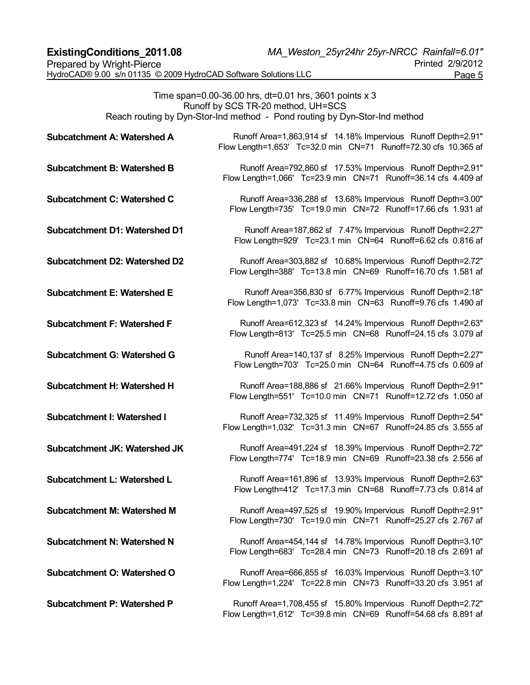Time span=0.00-36.00 hrs, dt=0.01 hrs, 3601 points x 3 Runoff by SCS TR-20 method, UH=SCS Reach routing by Dyn-Stor-Ind method - Pond routing by Dyn-Stor-Ind method

| <b>Subcatchment A: Watershed A</b>   | Runoff Area=1,863,914 sf 14.18% Impervious Runoff Depth=2.91"<br>Flow Length=1,653' Tc=32.0 min CN=71 Runoff=72.30 cfs 10.365 af |
|--------------------------------------|----------------------------------------------------------------------------------------------------------------------------------|
| <b>Subcatchment B: Watershed B</b>   | Runoff Area=792,860 sf 17.53% Impervious Runoff Depth=2.91"<br>Flow Length=1,066' Tc=23.9 min CN=71 Runoff=36.14 cfs 4.409 af    |
| <b>Subcatchment C: Watershed C</b>   | Runoff Area=336,288 sf 13.68% Impervious Runoff Depth=3.00"<br>Flow Length=735' Tc=19.0 min CN=72 Runoff=17.66 cfs 1.931 af      |
| <b>Subcatchment D1: Watershed D1</b> | Runoff Area=187,862 sf 7.47% Impervious Runoff Depth=2.27"<br>Flow Length=929' Tc=23.1 min CN=64 Runoff=6.62 cfs 0.816 af        |
| <b>Subcatchment D2: Watershed D2</b> | Runoff Area=303,882 sf 10.68% Impervious Runoff Depth=2.72"<br>Flow Length=388' Tc=13.8 min CN=69 Runoff=16.70 cfs 1.581 af      |
| <b>Subcatchment E: Watershed E</b>   | Runoff Area=356,830 sf 6.77% Impervious Runoff Depth=2.18"<br>Flow Length=1,073' Tc=33.8 min CN=63 Runoff=9.76 cfs 1.490 af      |
| <b>Subcatchment F: Watershed F</b>   | Runoff Area=612,323 sf 14.24% Impervious Runoff Depth=2.63"<br>Flow Length=813' Tc=25.5 min CN=68 Runoff=24.15 cfs 3.079 af      |
| <b>Subcatchment G: Watershed G</b>   | Runoff Area=140,137 sf 8.25% Impervious Runoff Depth=2.27"<br>Flow Length=703' Tc=25.0 min CN=64 Runoff=4.75 cfs 0.609 af        |
| Subcatchment H: Watershed H          | Runoff Area=188,886 sf 21.66% Impervious Runoff Depth=2.91"<br>Flow Length=551' Tc=10.0 min CN=71 Runoff=12.72 cfs 1.050 af      |
| <b>Subcatchment I: Watershed I</b>   | Runoff Area=732,325 sf 11.49% Impervious Runoff Depth=2.54"<br>Flow Length=1,032' Tc=31.3 min CN=67 Runoff=24.85 cfs 3.555 af    |
| Subcatchment JK: Watershed JK        | Runoff Area=491,224 sf 18.39% Impervious Runoff Depth=2.72"<br>Flow Length=774' Tc=18.9 min CN=69 Runoff=23.38 cfs 2.556 af      |
| Subcatchment L: Watershed L          | Runoff Area=161,896 sf 13.93% Impervious Runoff Depth=2.63"<br>Flow Length=412' Tc=17.3 min  CN=68  Runoff=7.73 cfs  0.814  af   |
| <b>Subcatchment M: Watershed M</b>   | Runoff Area=497,525 sf 19.90% Impervious Runoff Depth=2.91"<br>Flow Length=730' Tc=19.0 min CN=71 Runoff=25.27 cfs 2.767 af      |
| <b>Subcatchment N: Watershed N</b>   | Runoff Area=454,144 sf 14.78% Impervious Runoff Depth=3.10"<br>Flow Length=683' Tc=28.4 min CN=73 Runoff=20.18 cfs 2.691 af      |
| Subcatchment O: Watershed O          | Runoff Area=666,855 sf 16.03% Impervious Runoff Depth=3.10"<br>Flow Length=1,224' Tc=22.8 min CN=73 Runoff=33.20 cfs 3.951 af    |
| <b>Subcatchment P: Watershed P</b>   | Runoff Area=1,708,455 sf 15.80% Impervious Runoff Depth=2.72"<br>Flow Length=1,612' Tc=39.8 min CN=69 Runoff=54.68 cfs 8.891 af  |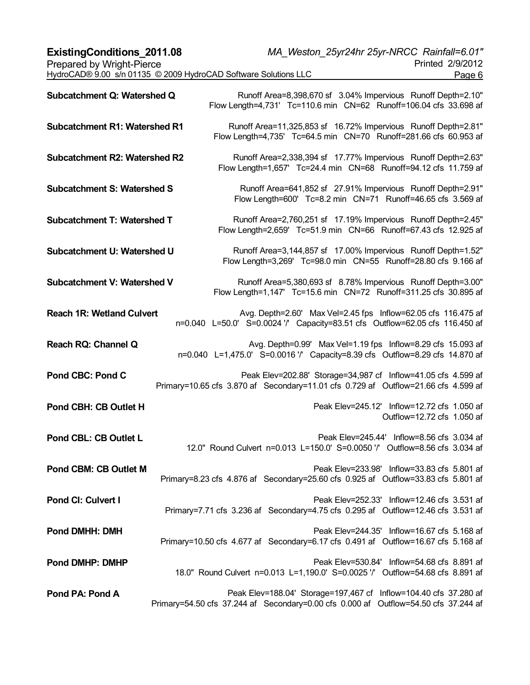| <b>ExistingConditions 2011.08</b>                               | MA Weston 25yr24hr 25yr-NRCC Rainfall=6.01" |  |
|-----------------------------------------------------------------|---------------------------------------------|--|
| Prepared by Wright-Pierce                                       | Printed 2/9/2012                            |  |
| HydroCAD® 9.00 s/n 01135 © 2009 HydroCAD Software Solutions LLC | Page 6                                      |  |
|                                                                 |                                             |  |

| Subcatchment Q: Watershed Q          | Runoff Area=8,398,670 sf 3.04% Impervious Runoff Depth=2.10"<br>Flow Length=4,731' Tc=110.6 min CN=62 Runoff=106.04 cfs 33.698 af                       |
|--------------------------------------|---------------------------------------------------------------------------------------------------------------------------------------------------------|
| <b>Subcatchment R1: Watershed R1</b> | Runoff Area=11,325,853 sf 16.72% Impervious Runoff Depth=2.81"<br>Flow Length=4,735' Tc=64.5 min CN=70 Runoff=281.66 cfs 60.953 af                      |
| <b>Subcatchment R2: Watershed R2</b> | Runoff Area=2,338,394 sf 17.77% Impervious Runoff Depth=2.63"<br>Flow Length=1,657' Tc=24.4 min CN=68 Runoff=94.12 cfs 11.759 af                        |
| <b>Subcatchment S: Watershed S</b>   | Runoff Area=641,852 sf 27.91% Impervious Runoff Depth=2.91"<br>Flow Length=600' Tc=8.2 min CN=71 Runoff=46.65 cfs 3.569 af                              |
| <b>Subcatchment T: Watershed T</b>   | Runoff Area=2,760,251 sf 17.19% Impervious Runoff Depth=2.45"<br>Flow Length=2,659' Tc=51.9 min CN=66 Runoff=67.43 cfs 12.925 af                        |
| Subcatchment U: Watershed U          | Runoff Area=3,144,857 sf 17.00% Impervious Runoff Depth=1.52"<br>Flow Length=3,269' Tc=98.0 min CN=55 Runoff=28.80 cfs 9.166 af                         |
| <b>Subcatchment V: Watershed V</b>   | Runoff Area=5,380,693 sf 8.78% Impervious Runoff Depth=3.00"<br>Flow Length=1,147' Tc=15.6 min CN=72 Runoff=311.25 cfs 30.895 af                        |
| <b>Reach 1R: Wetland Culvert</b>     | Avg. Depth=2.60' Max Vel=2.45 fps Inflow=62.05 cfs 116.475 af<br>n=0.040 L=50.0' S=0.0024 '/' Capacity=83.51 cfs Outflow=62.05 cfs 116.450 af           |
| Reach RQ: Channel Q                  | Avg. Depth=0.99' Max Vel=1.19 fps Inflow=8.29 cfs 15.093 af<br>n=0.040 L=1,475.0' S=0.0016 '/' Capacity=8.39 cfs Outflow=8.29 cfs 14.870 af             |
| <b>Pond CBC: Pond C</b>              | Peak Elev=202.88' Storage=34,987 cf Inflow=41.05 cfs 4.599 af<br>Primary=10.65 cfs 3.870 af Secondary=11.01 cfs 0.729 af Outflow=21.66 cfs 4.599 af     |
| Pond CBH: CB Outlet H                | Peak Elev=245.12' Inflow=12.72 cfs 1.050 af<br>Outflow=12.72 cfs 1.050 af                                                                               |
| Pond CBL: CB Outlet L                | Peak Elev=245.44' Inflow=8.56 cfs 3.034 af<br>12.0" Round Culvert n=0.013 L=150.0' S=0.0050 '/' Outflow=8.56 cfs 3.034 af                               |
| Pond CBM: CB Outlet M                | Peak Elev=233.98' Inflow=33.83 cfs 5.801 af<br>Primary=8.23 cfs 4.876 af Secondary=25.60 cfs 0.925 af Outflow=33.83 cfs 5.801 af                        |
| Pond CI: Culvert I                   | Peak Elev=252.33' Inflow=12.46 cfs 3.531 af<br>Primary=7.71 cfs 3.236 af Secondary=4.75 cfs 0.295 af Outflow=12.46 cfs 3.531 af                         |
| <b>Pond DMHH: DMH</b>                | Peak Elev=244.35' Inflow=16.67 cfs 5.168 af<br>Primary=10.50 cfs 4.677 af Secondary=6.17 cfs 0.491 af Outflow=16.67 cfs 5.168 af                        |
| <b>Pond DMHP: DMHP</b>               | Peak Elev=530.84' Inflow=54.68 cfs 8.891 af<br>18.0" Round Culvert n=0.013 L=1,190.0' S=0.0025 '/' Outflow=54.68 cfs 8.891 af                           |
| Pond PA: Pond A                      | Peak Elev=188.04' Storage=197,467 cf Inflow=104.40 cfs 37.280 af<br>Primary=54.50 cfs 37.244 af Secondary=0.00 cfs 0.000 af Outflow=54.50 cfs 37.244 af |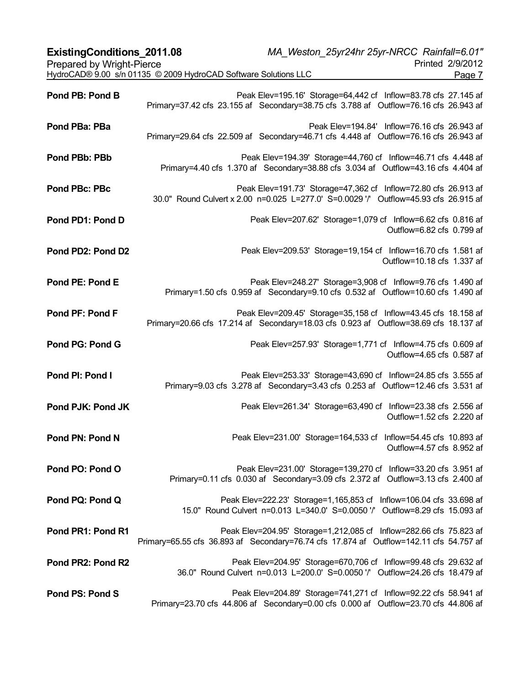| <b>ExistingConditions 2011.08</b> | MA_Weston_25yr24hr 25yr-NRCC_Rainfall=6.01"                                                                                                                  |
|-----------------------------------|--------------------------------------------------------------------------------------------------------------------------------------------------------------|
| Prepared by Wright-Pierce         | Printed 2/9/2012                                                                                                                                             |
|                                   | HydroCAD® 9.00 s/n 01135 © 2009 HydroCAD Software Solutions LLC<br>Page 7                                                                                    |
| Pond PB: Pond B                   | Peak Elev=195.16' Storage=64,442 cf Inflow=83.78 cfs 27.145 af<br>Primary=37.42 cfs 23.155 af Secondary=38.75 cfs 3.788 af Outflow=76.16 cfs 26.943 af       |
| Pond PBa: PBa                     | Peak Elev=194.84' Inflow=76.16 cfs 26.943 af<br>Primary=29.64 cfs 22.509 af Secondary=46.71 cfs 4.448 af Outflow=76.16 cfs 26.943 af                         |
| Pond PBb: PBb                     | Peak Elev=194.39' Storage=44,760 cf Inflow=46.71 cfs 4.448 af<br>Primary=4.40 cfs 1.370 af Secondary=38.88 cfs 3.034 af Outflow=43.16 cfs 4.404 af           |
| Pond PBc: PBc                     | Peak Elev=191.73' Storage=47,362 cf Inflow=72.80 cfs 26.913 af<br>30.0" Round Culvert x 2.00 n=0.025 L=277.0' S=0.0029 '/' Outflow=45.93 cfs 26.915 af       |
| Pond PD1: Pond D                  | Peak Elev=207.62' Storage=1,079 cf Inflow=6.62 cfs 0.816 af<br>Outflow=6.82 cfs 0.799 af                                                                     |
| Pond PD2: Pond D2                 | Peak Elev=209.53' Storage=19,154 cf Inflow=16.70 cfs 1.581 af<br>Outflow=10.18 cfs 1.337 af                                                                  |
| Pond PE: Pond E                   | Peak Elev=248.27' Storage=3,908 cf Inflow=9.76 cfs 1.490 af<br>Primary=1.50 cfs 0.959 af Secondary=9.10 cfs 0.532 af Outflow=10.60 cfs 1.490 af              |
| Pond PF: Pond F                   | Peak Elev=209.45' Storage=35,158 cf Inflow=43.45 cfs 18.158 af<br>Primary=20.66 cfs 17.214 af Secondary=18.03 cfs 0.923 af Outflow=38.69 cfs 18.137 af       |
| Pond PG: Pond G                   | Peak Elev=257.93' Storage=1,771 cf Inflow=4.75 cfs 0.609 af<br>Outflow=4.65 cfs 0.587 af                                                                     |
| Pond PI: Pond I                   | Peak Elev=253.33' Storage=43,690 cf Inflow=24.85 cfs 3.555 af<br>Primary=9.03 cfs 3.278 af Secondary=3.43 cfs 0.253 af Outflow=12.46 cfs 3.531 af            |
| Pond PJK: Pond JK                 | Peak Elev=261.34' Storage=63,490 cf Inflow=23.38 cfs 2.556 af<br>Outflow=1.52 cfs 2.220 af                                                                   |
| Pond PN: Pond N                   | Peak Elev=231.00' Storage=164,533 cf Inflow=54.45 cfs 10.893 af<br>Outflow=4.57 cfs 8.952 af                                                                 |
| Pond PO: Pond O                   | Peak Elev=231.00' Storage=139,270 cf Inflow=33.20 cfs 3.951 af<br>Primary=0.11 cfs 0.030 af Secondary=3.09 cfs 2.372 af Outflow=3.13 cfs 2.400 af            |
| Pond PQ: Pond Q                   | Peak Elev=222.23' Storage=1,165,853 cf Inflow=106.04 cfs 33.698 af<br>15.0" Round Culvert n=0.013 L=340.0' S=0.0050 '/' Outflow=8.29 cfs 15.093 af           |
| Pond PR1: Pond R1                 | Peak Elev=204.95' Storage=1,212,085 cf Inflow=282.66 cfs 75.823 af<br>Primary=65.55 cfs 36.893 af Secondary=76.74 cfs 17.874 af Outflow=142.11 cfs 54.757 af |
| Pond PR2: Pond R2                 | Peak Elev=204.95' Storage=670,706 cf Inflow=99.48 cfs 29.632 af<br>36.0" Round Culvert n=0.013 L=200.0' S=0.0050 '/' Outflow=24.26 cfs 18.479 af             |
| Pond PS: Pond S                   | Peak Elev=204.89' Storage=741,271 cf Inflow=92.22 cfs 58.941 af<br>Primary=23.70 cfs 44.806 af Secondary=0.00 cfs 0.000 af Outflow=23.70 cfs 44.806 af       |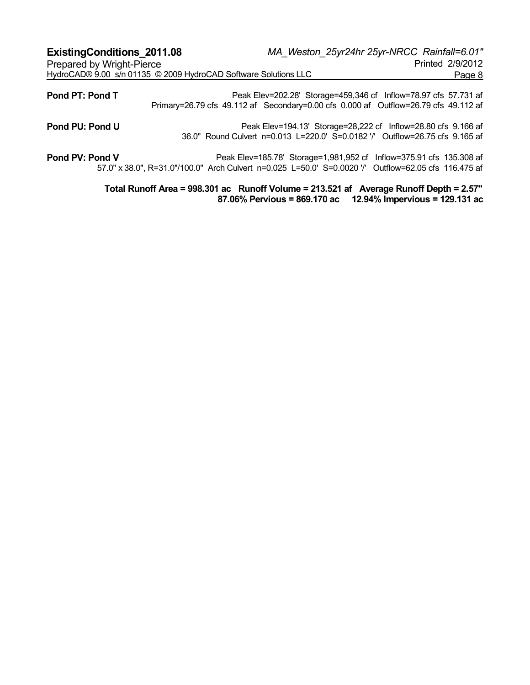| <b>ExistingConditions 2011.08</b> |                                                                                     |                                                                                                                                               | MA Weston 25yr24hr 25yr-NRCC Rainfall=6.01" |
|-----------------------------------|-------------------------------------------------------------------------------------|-----------------------------------------------------------------------------------------------------------------------------------------------|---------------------------------------------|
| Prepared by Wright-Pierce         |                                                                                     |                                                                                                                                               | Printed 2/9/2012                            |
|                                   | HydroCAD® 9.00 s/n 01135 © 2009 HydroCAD Software Solutions LLC                     |                                                                                                                                               | Page 8                                      |
| Pond PT: Pond T                   | Primary=26.79 cfs 49.112 af Secondary=0.00 cfs 0.000 af Outflow=26.79 cfs 49.112 af | Peak Elev=202.28' Storage=459,346 cf Inflow=78.97 cfs 57.731 af                                                                               |                                             |
| Pond PU: Pond U                   |                                                                                     | Peak Elev=194.13' Storage=28,222 cf Inflow=28.80 cfs 9.166 af<br>36.0" Round Culvert n=0.013 L=220.0' S=0.0182 '/' Outflow=26.75 cfs 9.165 af |                                             |

**Pond PV: Pond V** Peak Elev=185.78' Storage=1,981,952 cf Inflow=375.91 cfs 135.308 af 57.0" x 38.0", R=31.0"/100.0" Arch Culvert n=0.025 L=50.0' S=0.0020 '/' Outflow=62.05 cfs 116.475 af

> **Total Runoff Area = 998.301 ac Runoff Volume = 213.521 af Average Runoff Depth = 2.57" 87.06% Pervious = 869.170 ac 12.94% Impervious = 129.131 ac**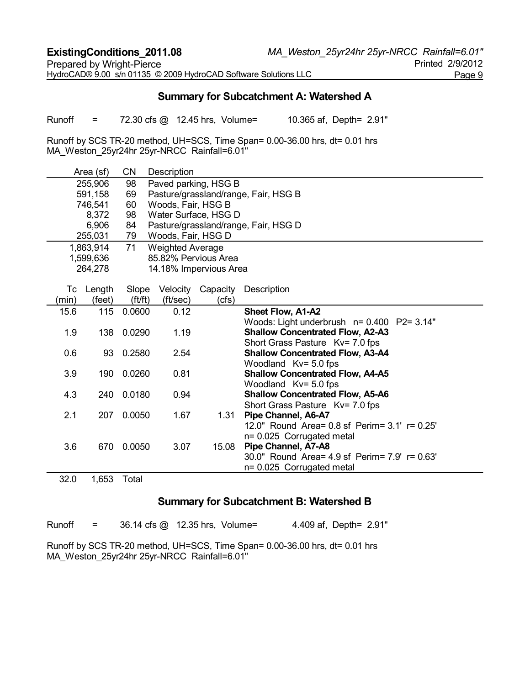# **Summary for Subcatchment A: Watershed A**

Runoff = 72.30 cfs @ 12.45 hrs, Volume= 10.365 af, Depth= 2.91"

Runoff by SCS TR-20 method, UH=SCS, Time Span= 0.00-36.00 hrs, dt= 0.01 hrs MA\_Weston\_25yr24hr 25yr-NRCC Rainfall=6.01"

|       | Area (sf) | <b>CN</b>   | Description             |                        |                                                                 |
|-------|-----------|-------------|-------------------------|------------------------|-----------------------------------------------------------------|
|       | 255,906   | 98          |                         | Paved parking, HSG B   |                                                                 |
|       | 591,158   | 69          |                         |                        | Pasture/grassland/range, Fair, HSG B                            |
|       | 746,541   | 60          | Woods, Fair, HSG B      |                        |                                                                 |
|       | 8,372     | 98          |                         | Water Surface, HSG D   |                                                                 |
|       | 6,906     | 84          |                         |                        | Pasture/grassland/range, Fair, HSG D                            |
|       | 255,031   | 79          | Woods, Fair, HSG D      |                        |                                                                 |
|       | 1,863,914 | 71          | <b>Weighted Average</b> |                        |                                                                 |
|       | 1,599,636 |             |                         | 85.82% Pervious Area   |                                                                 |
|       | 264,278   |             |                         | 14.18% Impervious Area |                                                                 |
|       |           |             |                         |                        |                                                                 |
|       | Tc Length | Slope       | Velocity                | Capacity               | Description                                                     |
| (min) | (feet)    | (f t / f t) | (ft/sec)                | (cfs)                  |                                                                 |
| 15.6  | 115       | 0.0600      | 0.12                    |                        | Sheet Flow, A1-A2                                               |
|       |           |             |                         |                        | Woods: Light underbrush $n = 0.400$ P2= 3.14"                   |
| 1.9   |           | 138 0.0290  | 1.19                    |                        | <b>Shallow Concentrated Flow, A2-A3</b>                         |
|       |           |             |                         |                        | Short Grass Pasture Kv= 7.0 fps                                 |
| 0.6   | 93        | 0.2580      | 2.54                    |                        | <b>Shallow Concentrated Flow, A3-A4</b>                         |
|       |           |             |                         |                        | Woodland Kv= 5.0 fps                                            |
| 3.9   | 190       | 0.0260      | 0.81                    |                        | <b>Shallow Concentrated Flow, A4-A5</b>                         |
| 4.3   |           | 240 0.0180  | 0.94                    |                        | Woodland Kv= 5.0 fps<br><b>Shallow Concentrated Flow, A5-A6</b> |
|       |           |             |                         |                        | Short Grass Pasture Kv= 7.0 fps                                 |
| 2.1   | 207       | 0.0050      | 1.67                    | 1.31                   | Pipe Channel, A6-A7                                             |
|       |           |             |                         |                        | 12.0" Round Area= 0.8 sf Perim= 3.1' r= 0.25'                   |
|       |           |             |                         |                        | n= 0.025 Corrugated metal                                       |
| 3.6   | 670       | 0.0050      | 3.07                    | 15.08                  | Pipe Channel, A7-A8                                             |
|       |           |             |                         |                        | 30.0" Round Area= 4.9 sf Perim= 7.9' r= 0.63'                   |
|       |           |             |                         |                        | n= 0.025 Corrugated metal                                       |
| 32.0  | 1,653     | Total       |                         |                        |                                                                 |

#### **Summary for Subcatchment B: Watershed B**

Runoff = 36.14 cfs @ 12.35 hrs, Volume= 4.409 af, Depth= 2.91"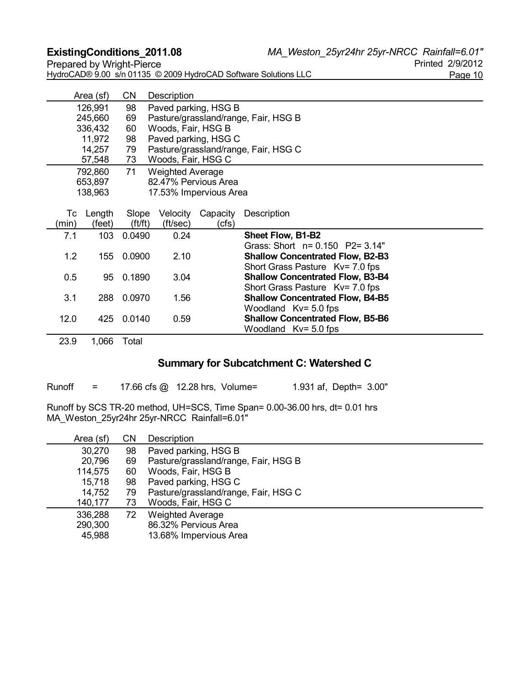**ExistingConditions\_2011.08** *MA\_Weston\_25yr24hr 25yr-NRCC Rainfall=6.01"*

| HydroCAD® 9.00 s/n 01135 © 2009 HydroCAD Software Solutions LLC | Page 10 |
|-----------------------------------------------------------------|---------|

|       | Area (sf) | <b>CN</b> | Description                          |          |                                         |  |  |  |  |
|-------|-----------|-----------|--------------------------------------|----------|-----------------------------------------|--|--|--|--|
|       | 126,991   | 98        | Paved parking, HSG B                 |          |                                         |  |  |  |  |
|       | 245,660   | 69        | Pasture/grassland/range, Fair, HSG B |          |                                         |  |  |  |  |
|       | 336,432   | 60        | Woods, Fair, HSG B                   |          |                                         |  |  |  |  |
|       | 11,972    | 98        | Paved parking, HSG C                 |          |                                         |  |  |  |  |
|       | 14,257    | 79        |                                      |          | Pasture/grassland/range, Fair, HSG C    |  |  |  |  |
|       | 57,548    | 73        | Woods, Fair, HSG C                   |          |                                         |  |  |  |  |
|       | 792,860   | 71        | <b>Weighted Average</b>              |          |                                         |  |  |  |  |
|       | 653,897   |           | 82.47% Pervious Area                 |          |                                         |  |  |  |  |
|       | 138,963   |           | 17.53% Impervious Area               |          |                                         |  |  |  |  |
|       |           |           |                                      |          |                                         |  |  |  |  |
|       | Tc Length | Slope     | Velocity                             | Capacity | Description                             |  |  |  |  |
| (min) | (feet)    | ft/ft)    | (ft/sec)                             | (cfs)    |                                         |  |  |  |  |
| 7.1   | 103       | 0.0490    | 0.24                                 |          | Sheet Flow, B1-B2                       |  |  |  |  |
|       |           |           |                                      |          | Grass: Short n= 0.150 P2= 3.14"         |  |  |  |  |
| 1.2   | 155       | 0.0900    | 2.10                                 |          | <b>Shallow Concentrated Flow, B2-B3</b> |  |  |  |  |
|       |           |           |                                      |          | Short Grass Pasture Kv= 7.0 fps         |  |  |  |  |
| 0.5   | 95        | 0.1890    | 3.04                                 |          | <b>Shallow Concentrated Flow, B3-B4</b> |  |  |  |  |
|       |           |           |                                      |          | Short Grass Pasture Kv= 7.0 fps         |  |  |  |  |
| 3.1   | 288       | 0.0970    | 1.56                                 |          | <b>Shallow Concentrated Flow, B4-B5</b> |  |  |  |  |
|       |           |           |                                      |          | Woodland $Kv = 5.0$ fps                 |  |  |  |  |
| 12.0  | 425       | 0.0140    | 0.59                                 |          | <b>Shallow Concentrated Flow, B5-B6</b> |  |  |  |  |
|       |           |           |                                      |          | Woodland $Kv = 5.0$ fps                 |  |  |  |  |

23.9 1,066 Total

# **Summary for Subcatchment C: Watershed C**

Runoff = 17.66 cfs @ 12.28 hrs, Volume= 1.931 af, Depth= 3.00"

| Area (sf) | CΝ | Description                          |
|-----------|----|--------------------------------------|
| 30,270    | 98 | Paved parking, HSG B                 |
| 20,796    | 69 | Pasture/grassland/range, Fair, HSG B |
| 114,575   | 60 | Woods, Fair, HSG B                   |
| 15,718    | 98 | Paved parking, HSG C                 |
| 14,752    | 79 | Pasture/grassland/range, Fair, HSG C |
| 140,177   | 73 | Woods, Fair, HSG C                   |
| 336,288   | 72 | <b>Weighted Average</b>              |
| 290,300   |    | 86.32% Pervious Area                 |
| 45,988    |    | 13.68% Impervious Area               |
|           |    |                                      |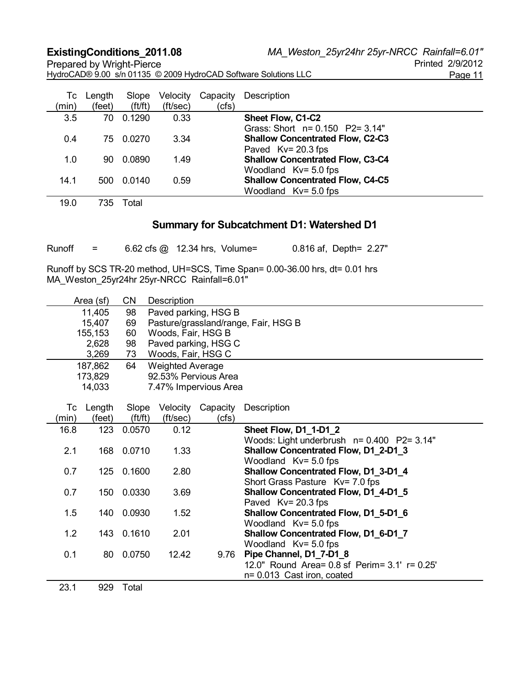**ExistingConditions\_2011.08** *MA\_Weston\_25yr24hr 25yr-NRCC Rainfall=6.01"*

Prepared by Wright-Pierce HydroCAD® 9.00 s/n 01135 © 2009 HydroCAD Software Solutions LLC Page 11

| Тc<br>(min) | Length<br>(feet) | Slope<br>(f t / ft) | Velocity<br>(ft/sec) | Capacity<br>(cfs) | Description                                                                                |  |
|-------------|------------------|---------------------|----------------------|-------------------|--------------------------------------------------------------------------------------------|--|
| 3.5         | 70               | 0.1290              | 0.33                 |                   | Sheet Flow, C1-C2<br>Grass: Short n= 0.150 P2= 3.14"                                       |  |
| 0.4         | 75.              | 0.0270              | 3.34                 |                   | <b>Shallow Concentrated Flow, C2-C3</b>                                                    |  |
| 1.0         | 90               | 0.0890              | 1.49                 |                   | Paved Kv= 20.3 fps<br><b>Shallow Concentrated Flow, C3-C4</b>                              |  |
| 14.1        | 500              | 0.0140              | 0.59                 |                   | Woodland Kv= 5.0 fps<br><b>Shallow Concentrated Flow, C4-C5</b><br>Woodland $Kv = 5.0$ fps |  |

19.0 735 Total

# **Summary for Subcatchment D1: Watershed D1**

| Runoff |  | 6.62 cfs @ 12.34 hrs, Volume= |  |  |  | 0.816 af, Depth= 2.27" |
|--------|--|-------------------------------|--|--|--|------------------------|
|--------|--|-------------------------------|--|--|--|------------------------|

|       | Area (sf) | CΝ         | Description             |                       |                                               |
|-------|-----------|------------|-------------------------|-----------------------|-----------------------------------------------|
|       | 11,405    | 98         |                         | Paved parking, HSG B  |                                               |
|       | 15,407    | 69         |                         |                       | Pasture/grassland/range, Fair, HSG B          |
|       | 155,153   | 60         | Woods, Fair, HSG B      |                       |                                               |
|       | 2,628     | 98         |                         | Paved parking, HSG C  |                                               |
|       | 3,269     | 73         | Woods, Fair, HSG C      |                       |                                               |
|       | 187,862   | 64         | <b>Weighted Average</b> |                       |                                               |
|       | 173,829   |            |                         | 92.53% Pervious Area  |                                               |
|       | 14,033    |            |                         | 7.47% Impervious Area |                                               |
|       |           |            |                         |                       |                                               |
| Тc    | Length    | Slope      | Velocity                | Capacity              | Description                                   |
| (min) | (feet)    | (f t / ft) | (ft/sec)                | (cfs)                 |                                               |
| 16.8  | 123       | 0.0570     | 0.12                    |                       | <b>Sheet Flow, D1_1-D1_2</b>                  |
|       |           |            |                         |                       | Woods: Light underbrush $n = 0.400$ P2= 3.14" |
| 2.1   |           | 168 0.0710 | 1.33                    |                       | Shallow Concentrated Flow, D1_2-D1_3          |
|       |           |            |                         |                       | Woodland $Kv = 5.0$ fps                       |
| 0.7   | 125       | 0.1600     | 2.80                    |                       | Shallow Concentrated Flow, D1_3-D1_4          |
|       |           |            |                         |                       | Short Grass Pasture Kv= 7.0 fps               |
| 0.7   |           | 150 0.0330 | 3.69                    |                       | Shallow Concentrated Flow, D1_4-D1_5          |
|       |           |            |                         |                       | Paved Kv= 20.3 fps                            |
| 1.5   |           | 140 0.0930 | 1.52                    |                       | Shallow Concentrated Flow, D1_5-D1_6          |
|       |           |            |                         |                       | Woodland $Kv = 5.0$ fps                       |
| 1.2   |           | 143 0.1610 | 2.01                    |                       | Shallow Concentrated Flow, D1_6-D1_7          |
|       |           |            |                         |                       | Woodland $Kv = 5.0$ fps                       |
| 0.1   |           | 80 0.0750  | 12.42                   | 9.76                  | Pipe Channel, D1_7-D1_8                       |
|       |           |            |                         |                       | 12.0" Round Area= 0.8 sf Perim= 3.1' r= 0.25' |
|       |           |            |                         |                       | n= 0.013 Cast iron, coated                    |
| 23.1  | 929       | Total      |                         |                       |                                               |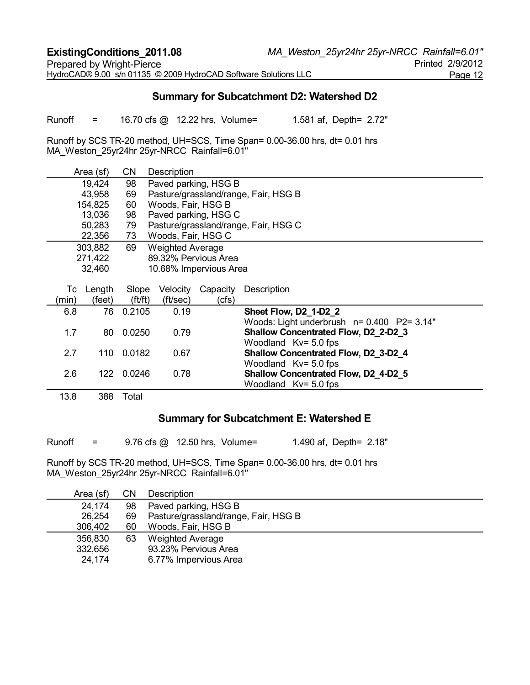# **Summary for Subcatchment D2: Watershed D2**

Runoff = 16.70 cfs @ 12.22 hrs, Volume= 1.581 af, Depth= 2.72"

Runoff by SCS TR-20 method, UH=SCS, Time Span= 0.00-36.00 hrs, dt= 0.01 hrs MA\_Weston\_25yr24hr 25yr-NRCC Rainfall=6.01"

|       | Area (sf) | CΝ     | Description             |          |                                               |  |  |  |
|-------|-----------|--------|-------------------------|----------|-----------------------------------------------|--|--|--|
|       | 19,424    | 98     | Paved parking, HSG B    |          |                                               |  |  |  |
|       | 43,958    | 69     |                         |          | Pasture/grassland/range, Fair, HSG B          |  |  |  |
|       | 154,825   | 60     | Woods, Fair, HSG B      |          |                                               |  |  |  |
|       | 13,036    | 98     | Paved parking, HSG C    |          |                                               |  |  |  |
|       | 50,283    | 79     |                         |          | Pasture/grassland/range, Fair, HSG C          |  |  |  |
|       | 22,356    | 73     | Woods, Fair, HSG C      |          |                                               |  |  |  |
|       | 303,882   | 69     | <b>Weighted Average</b> |          |                                               |  |  |  |
|       | 271,422   |        | 89.32% Pervious Area    |          |                                               |  |  |  |
|       | 32,460    |        | 10.68% Impervious Area  |          |                                               |  |  |  |
|       |           |        |                         |          |                                               |  |  |  |
| Тc    | Length    | Slope  | Velocity                | Capacity | Description                                   |  |  |  |
| (min) | (feet)    | ft/ft) | (ft/sec)                | (cfs)    |                                               |  |  |  |
| 6.8   | 76        | 0.2105 | 0.19                    |          | Sheet Flow, D2_1-D2_2                         |  |  |  |
|       |           |        |                         |          | Woods: Light underbrush $n = 0.400$ P2= 3.14" |  |  |  |
| 1.7   | 80        | 0.0250 | 0.79                    |          | Shallow Concentrated Flow, D2 2-D2 3          |  |  |  |
|       |           |        |                         |          | Woodland $Kv = 5.0$ fps                       |  |  |  |
| 2.7   | 110       | 0.0182 | 0.67                    |          | Shallow Concentrated Flow, D2_3-D2_4          |  |  |  |
|       |           |        |                         |          | Woodland $Kv = 5.0$ fps                       |  |  |  |
| 2.6   | 122       | 0.0246 | 0.78                    |          | Shallow Concentrated Flow, D2_4-D2_5          |  |  |  |
|       |           |        |                         |          | Woodland $Kv = 5.0$ fps                       |  |  |  |
| 13.8  | 388       | Total  |                         |          |                                               |  |  |  |

#### **Summary for Subcatchment E: Watershed E**

Runoff = 9.76 cfs @ 12.50 hrs, Volume= 1.490 af, Depth= 2.18"

| Area (sf) | CΝ | Description                          |  |  |  |  |  |
|-----------|----|--------------------------------------|--|--|--|--|--|
| 24,174    | 98 | Paved parking, HSG B                 |  |  |  |  |  |
| 26,254    | 69 | Pasture/grassland/range, Fair, HSG B |  |  |  |  |  |
| 306,402   | 60 | Woods, Fair, HSG B                   |  |  |  |  |  |
| 356,830   | 63 | <b>Weighted Average</b>              |  |  |  |  |  |
| 332,656   |    | 93.23% Pervious Area                 |  |  |  |  |  |
| 24,174    |    | 6.77% Impervious Area                |  |  |  |  |  |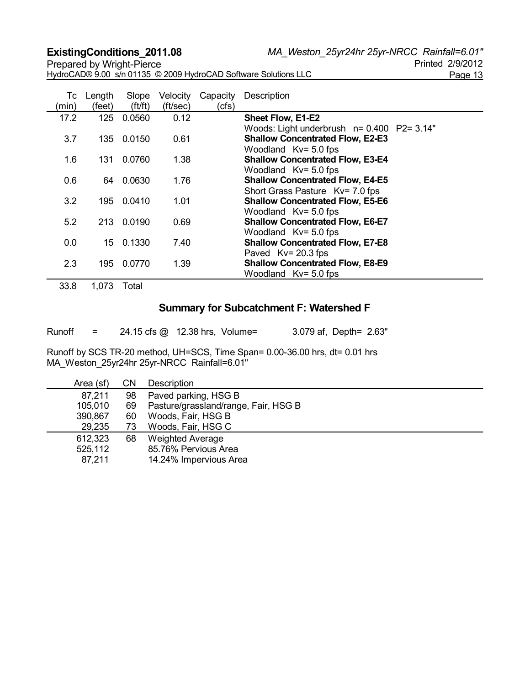**ExistingConditions\_2011.08** *MA\_Weston\_25yr24hr 25yr-NRCC Rainfall=6.01"*

Prepared by Wright-Pierce HydroCAD® 9.00 s/n 01135 © 2009 HydroCAD Software Solutions LLC Page 13

| (min) | Tc Length<br>(feet) | Slope<br>ft/ft) | Velocity<br>(ft/sec) | Capacity<br>(cfs) | Description                                                                                                      |
|-------|---------------------|-----------------|----------------------|-------------------|------------------------------------------------------------------------------------------------------------------|
| 17.2  | 125                 | 0.0560          | 0.12                 |                   | Sheet Flow, E1-E2                                                                                                |
| 3.7   | 135                 | 0.0150          | 0.61                 |                   | Woods: Light underbrush n= 0.400 P2= 3.14"<br><b>Shallow Concentrated Flow, E2-E3</b><br>Woodland $Kv = 5.0$ fps |
| 1.6   | 131                 | 0.0760          | 1.38                 |                   | <b>Shallow Concentrated Flow, E3-E4</b>                                                                          |
| 0.6   | 64                  | 0.0630          | 1.76                 |                   | Woodland $Kv = 5.0$ fps<br><b>Shallow Concentrated Flow, E4-E5</b><br>Short Grass Pasture Kv= 7.0 fps            |
| 3.2   | 195                 | 0.0410          | 1.01                 |                   | <b>Shallow Concentrated Flow, E5-E6</b>                                                                          |
| 5.2   | 213                 | 0.0190          | 0.69                 |                   | Woodland $Kv = 5.0$ fps<br><b>Shallow Concentrated Flow, E6-E7</b><br>Woodland $Kv = 5.0$ fps                    |
| 0.0   | 15                  | 0.1330          | 7.40                 |                   | <b>Shallow Concentrated Flow, E7-E8</b>                                                                          |
| 2.3   | 195                 | 0.0770          | 1.39                 |                   | Paved Kv= 20.3 fps<br><b>Shallow Concentrated Flow, E8-E9</b><br>Woodland $Kv = 5.0$ fps                         |

33.8 1,073 Total

# **Summary for Subcatchment F: Watershed F**

Runoff = 24.15 cfs @ 12.38 hrs, Volume= 3.079 af, Depth= 2.63"

| Area (sf) | CΝ | Description                          |  |  |  |  |  |
|-----------|----|--------------------------------------|--|--|--|--|--|
| 87,211    | 98 | Paved parking, HSG B                 |  |  |  |  |  |
| 105,010   | 69 | Pasture/grassland/range, Fair, HSG B |  |  |  |  |  |
| 390,867   | 60 | Woods, Fair, HSG B                   |  |  |  |  |  |
| 29,235    | 73 | Woods, Fair, HSG C                   |  |  |  |  |  |
| 612,323   | 68 | <b>Weighted Average</b>              |  |  |  |  |  |
| 525,112   |    | 85.76% Pervious Area                 |  |  |  |  |  |
| 87,211    |    | 14.24% Impervious Area               |  |  |  |  |  |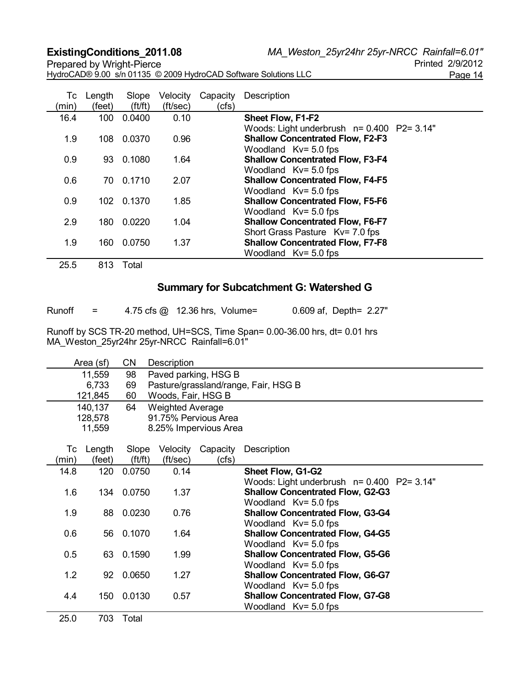**ExistingConditions\_2011.08** *MA\_Weston\_25yr24hr 25yr-NRCC Rainfall=6.01"*

| Prepared by Wright-Pierce                                       | Printed 2/9/2012 |
|-----------------------------------------------------------------|------------------|
| HydroCAD® 9.00 s/n 01135 © 2009 HydroCAD Software Solutions LLC | Page 14          |

Printed 2/9/2012

| Tc<br>(min) | Length<br>(feet) | Slope<br>ft/ft) | Velocity<br>(ft/sec) | Capacity<br>(cfs) | Description                                                                                                         |
|-------------|------------------|-----------------|----------------------|-------------------|---------------------------------------------------------------------------------------------------------------------|
| 16.4        | 100              | 0.0400          | 0.10                 |                   | Sheet Flow, F1-F2                                                                                                   |
| 1.9         | 108              | 0.0370          | 0.96                 |                   | Woods: Light underbrush $n = 0.400$ P2= 3.14"<br><b>Shallow Concentrated Flow, F2-F3</b><br>Woodland $Kv = 5.0$ fps |
| 0.9         | 93               | 0.1080          | 1.64                 |                   | <b>Shallow Concentrated Flow, F3-F4</b>                                                                             |
| 0.6         |                  | 70 0.1710       | 2.07                 |                   | Woodland $Kv = 5.0$ fps<br><b>Shallow Concentrated Flow, F4-F5</b><br>Woodland $Kv = 5.0$ fps                       |
| 0.9         | 102              | 0.1370          | 1.85                 |                   | <b>Shallow Concentrated Flow, F5-F6</b>                                                                             |
|             |                  |                 |                      |                   | Woodland $Kv = 5.0$ fps                                                                                             |
| 2.9         | 180              | 0.0220          | 1.04                 |                   | <b>Shallow Concentrated Flow, F6-F7</b><br>Short Grass Pasture Kv= 7.0 fps                                          |
| 1.9         | 160              | 0.0750          | 1.37                 |                   | <b>Shallow Concentrated Flow, F7-F8</b><br>Woodland $Kv = 5.0$ fps                                                  |
| 25.5        | 813              | Total           |                      |                   |                                                                                                                     |

# **Summary for Subcatchment G: Watershed G**

| Runoff | 4.75 cfs @ 12.36 l |  |
|--------|--------------------|--|

hrs, Volume=  $0.609$  af, Depth=  $2.27"$ 

|       | Area (sf) | <b>CN</b>  | Description             |                       |                                                                    |  |  |  |  |
|-------|-----------|------------|-------------------------|-----------------------|--------------------------------------------------------------------|--|--|--|--|
|       | 11,559    | 98         | Paved parking, HSG B    |                       |                                                                    |  |  |  |  |
|       | 6,733     | 69         |                         |                       | Pasture/grassland/range, Fair, HSG B                               |  |  |  |  |
|       | 121,845   | 60         | Woods, Fair, HSG B      |                       |                                                                    |  |  |  |  |
|       | 140,137   | 64         | <b>Weighted Average</b> |                       |                                                                    |  |  |  |  |
|       | 128,578   |            |                         | 91.75% Pervious Area  |                                                                    |  |  |  |  |
|       | 11,559    |            |                         | 8.25% Impervious Area |                                                                    |  |  |  |  |
|       |           |            |                         |                       |                                                                    |  |  |  |  |
| Tc    | Length    | Slope      | Velocity                | Capacity              | Description                                                        |  |  |  |  |
| (min) | (feet)    | ft/ft)     | (ft/sec)                | (cfs)                 |                                                                    |  |  |  |  |
| 14.8  | 120       | 0.0750     | 0.14                    |                       | Sheet Flow, G1-G2                                                  |  |  |  |  |
|       |           |            |                         |                       | Woods: Light underbrush $n = 0.400$ P2= 3.14"                      |  |  |  |  |
| 1.6   |           | 134 0.0750 | 1.37                    |                       | <b>Shallow Concentrated Flow, G2-G3</b>                            |  |  |  |  |
|       |           |            |                         |                       | Woodland $Kv = 5.0$ fps                                            |  |  |  |  |
| 1.9   | 88        | 0.0230     | 0.76                    |                       | <b>Shallow Concentrated Flow, G3-G4</b><br>Woodland $Kv = 5.0$ fps |  |  |  |  |
| 0.6   |           | 56 0.1070  | 1.64                    |                       | <b>Shallow Concentrated Flow, G4-G5</b>                            |  |  |  |  |
|       |           |            |                         |                       | Woodland $Kv = 5.0$ fps                                            |  |  |  |  |
| 0.5   |           | 63 0.1590  | 1.99                    |                       | <b>Shallow Concentrated Flow, G5-G6</b>                            |  |  |  |  |
|       |           |            |                         |                       | Woodland $Kv = 5.0$ fps                                            |  |  |  |  |
| 1.2   | 92        | 0.0650     | 1.27                    |                       | <b>Shallow Concentrated Flow, G6-G7</b>                            |  |  |  |  |
|       |           |            |                         |                       | Woodland $Kv = 5.0$ fps                                            |  |  |  |  |
| 4.4   | 150       | 0.0130     | 0.57                    |                       | <b>Shallow Concentrated Flow, G7-G8</b>                            |  |  |  |  |
|       |           |            |                         |                       | Woodland $Kv = 5.0$ fps                                            |  |  |  |  |
| 25.0  | 703       | Total      |                         |                       |                                                                    |  |  |  |  |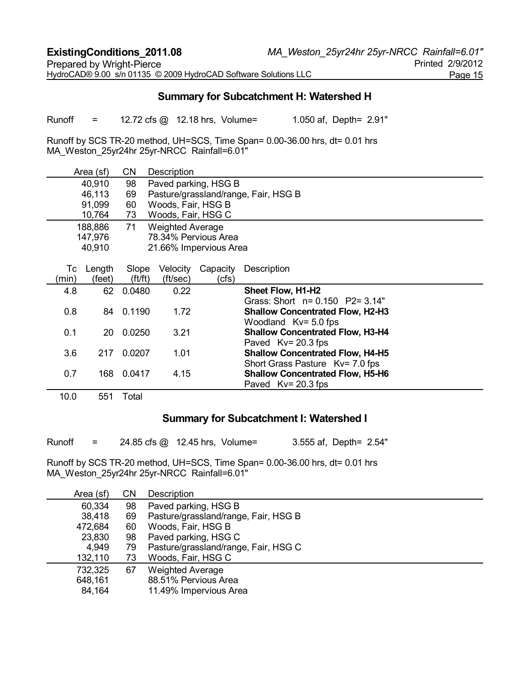# **Summary for Subcatchment H: Watershed H**

Runoff = 12.72 cfs @ 12.18 hrs, Volume= 1.050 af, Depth= 2.91"

Runoff by SCS TR-20 method, UH=SCS, Time Span= 0.00-36.00 hrs, dt= 0.01 hrs MA\_Weston\_25yr24hr 25yr-NRCC Rainfall=6.01"

|       | Area (sf) | CΝ         | Description             |          |                                         |  |  |  |  |
|-------|-----------|------------|-------------------------|----------|-----------------------------------------|--|--|--|--|
|       | 40,910    | 98         | Paved parking, HSG B    |          |                                         |  |  |  |  |
|       | 46,113    | 69         |                         |          | Pasture/grassland/range, Fair, HSG B    |  |  |  |  |
|       | 91,099    | 60         | Woods, Fair, HSG B      |          |                                         |  |  |  |  |
|       | 10,764    | 73         | Woods, Fair, HSG C      |          |                                         |  |  |  |  |
|       | 188,886   | 71         | <b>Weighted Average</b> |          |                                         |  |  |  |  |
|       | 147,976   |            | 78.34% Pervious Area    |          |                                         |  |  |  |  |
|       | 40,910    |            | 21.66% Impervious Area  |          |                                         |  |  |  |  |
|       |           |            |                         |          |                                         |  |  |  |  |
| Tc    | Length    | Slope      | Velocity                | Capacity | Description                             |  |  |  |  |
| (min) | (feet)    | (f t / ft) | (ft/sec)                | (cfs)    |                                         |  |  |  |  |
| 4.8   | 62        | 0.0480     | 0.22                    |          | Sheet Flow, H1-H2                       |  |  |  |  |
|       |           |            |                         |          | Grass: Short $n = 0.150$ P2= 3.14"      |  |  |  |  |
| 0.8   | 84        | 0.1190     | 1.72                    |          | <b>Shallow Concentrated Flow, H2-H3</b> |  |  |  |  |
|       |           |            |                         |          | Woodland $Kv = 5.0$ fps                 |  |  |  |  |
| 0.1   | 20        | 0.0250     | 3.21                    |          | <b>Shallow Concentrated Flow, H3-H4</b> |  |  |  |  |
|       |           |            |                         |          | Paved Kv= 20.3 fps                      |  |  |  |  |
| 3.6   | 217       | 0.0207     | 1.01                    |          | <b>Shallow Concentrated Flow, H4-H5</b> |  |  |  |  |
|       |           |            |                         |          | Short Grass Pasture Kv= 7.0 fps         |  |  |  |  |
| 0.7   | 168       | 0.0417     | 4.15                    |          | <b>Shallow Concentrated Flow, H5-H6</b> |  |  |  |  |
|       |           |            |                         |          | Paved $Kv = 20.3$ fps                   |  |  |  |  |
| 10.0  | 551       | Total      |                         |          |                                         |  |  |  |  |

#### **Summary for Subcatchment I: Watershed I**

Runoff = 24.85 cfs @ 12.45 hrs, Volume= 3.555 af, Depth= 2.54"

| <b>CN</b> | Description                                     |
|-----------|-------------------------------------------------|
| 98        | Paved parking, HSG B                            |
| 69        | Pasture/grassland/range, Fair, HSG B            |
| 60        | Woods, Fair, HSG B                              |
| 98        | Paved parking, HSG C                            |
| 79        | Pasture/grassland/range, Fair, HSG C            |
| 73        | Woods, Fair, HSG C                              |
| 67        | <b>Weighted Average</b>                         |
|           | 88.51% Pervious Area                            |
|           | 11.49% Impervious Area                          |
|           | 38,418<br>23,830<br>4,949<br>132,110<br>732,325 |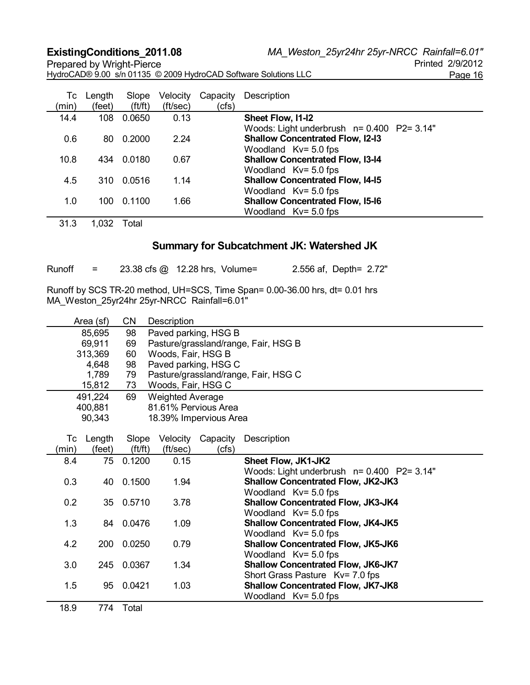Prepared by Wright-Pierce HydroCAD® 9.00 s/n 01135 © 2009 HydroCAD Software Solutions LLC Page 16

| Тc    | Length | Slope  | Velocity | Capacity | Description                                   |
|-------|--------|--------|----------|----------|-----------------------------------------------|
| (min) | (feet) | ft/ft) | (ft/sec) | (cfs)    |                                               |
| 14.4  | 108    | 0.0650 | 0.13     |          | Sheet Flow, I1-I2                             |
|       |        |        |          |          | Woods: Light underbrush $n = 0.400$ P2= 3.14" |
| 0.6   | 80     | 0.2000 | 2.24     |          | <b>Shallow Concentrated Flow, I2-I3</b>       |
|       |        |        |          |          | Woodland $Kv = 5.0$ fps                       |
| 10.8  | 434    | 0.0180 | 0.67     |          | <b>Shallow Concentrated Flow, I3-14</b>       |
|       |        |        |          |          | Woodland $Kv = 5.0$ fps                       |
| 4.5   | 310    | 0.0516 | 1.14     |          | <b>Shallow Concentrated Flow, I4-15</b>       |
|       |        |        |          |          | Woodland $Kv = 5.0$ fps                       |
| 1.0   | 100    | 0.1100 | 1.66     |          | <b>Shallow Concentrated Flow, I5-16</b>       |
|       |        |        |          |          | Woodland $Kv = 5.0$ fps                       |

31.3 1,032 Total

# **Summary for Subcatchment JK: Watershed JK**

| Runoff | 23.38 cfs @ 12.28 hrs, Volume= | 2.556 af, Depth= 2.72" |
|--------|--------------------------------|------------------------|
|--------|--------------------------------|------------------------|

|       | Area (sf) | <b>CN</b>  | Description             |                        |                                                                      |
|-------|-----------|------------|-------------------------|------------------------|----------------------------------------------------------------------|
|       | 85,695    | 98         |                         | Paved parking, HSG B   |                                                                      |
|       | 69,911    | 69         |                         |                        | Pasture/grassland/range, Fair, HSG B                                 |
|       | 313,369   | 60         | Woods, Fair, HSG B      |                        |                                                                      |
|       | 4,648     | 98         |                         | Paved parking, HSG C   |                                                                      |
|       | 1,789     | 79         |                         |                        | Pasture/grassland/range, Fair, HSG C                                 |
|       | 15,812    | 73         | Woods, Fair, HSG C      |                        |                                                                      |
|       | 491,224   | 69         | <b>Weighted Average</b> |                        |                                                                      |
|       | 400,881   |            |                         | 81.61% Pervious Area   |                                                                      |
|       | 90,343    |            |                         | 18.39% Impervious Area |                                                                      |
|       |           |            |                         |                        |                                                                      |
| Tc    | Length    | Slope      | Velocity                | Capacity               | Description                                                          |
| (min) | (feet)    | ft/ft)     | (ft/sec)                | (cfs)                  |                                                                      |
| 8.4   | 75        | 0.1200     | 0.15                    |                        | Sheet Flow, JK1-JK2                                                  |
|       |           |            |                         |                        | Woods: Light underbrush n= 0.400 P2= 3.14"                           |
| 0.3   | 40        | 0.1500     | 1.94                    |                        | <b>Shallow Concentrated Flow, JK2-JK3</b>                            |
|       |           |            |                         |                        | Woodland Kv= 5.0 fps                                                 |
| 0.2   |           | 35 0.5710  | 3.78                    |                        | Shallow Concentrated Flow, JK3-JK4                                   |
|       |           |            |                         |                        | Woodland $Kv = 5.0$ fps                                              |
| 1.3   |           | 84 0.0476  | 1.09                    |                        | <b>Shallow Concentrated Flow, JK4-JK5</b>                            |
|       |           |            |                         |                        | Woodland Kv= 5.0 fps                                                 |
| 4.2   |           | 200 0.0250 | 0.79                    |                        | <b>Shallow Concentrated Flow, JK5-JK6</b>                            |
| 3.0   |           | 245 0.0367 | 1.34                    |                        | Woodland $Kv = 5.0$ fps<br><b>Shallow Concentrated Flow, JK6-JK7</b> |
|       |           |            |                         |                        | Short Grass Pasture Kv= 7.0 fps                                      |
| 1.5   | 95        | 0.0421     | 1.03                    |                        | <b>Shallow Concentrated Flow, JK7-JK8</b>                            |
|       |           |            |                         |                        | Woodland Kv= 5.0 fps                                                 |
| 18.9  | 774       | Total      |                         |                        |                                                                      |
|       |           |            |                         |                        |                                                                      |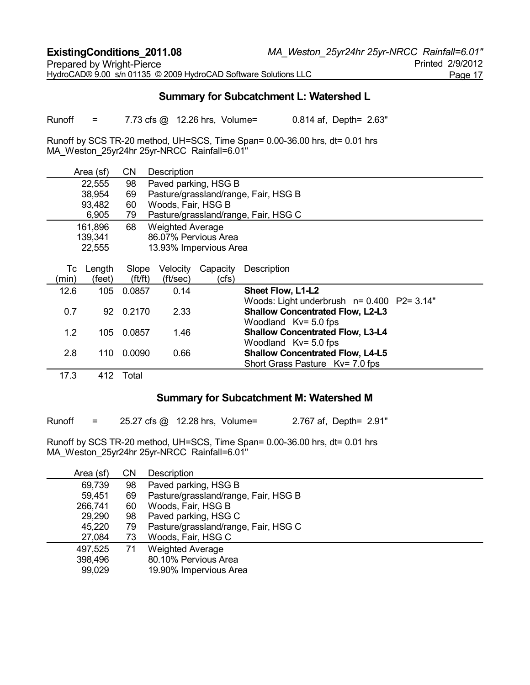# **Summary for Subcatchment L: Watershed L**

Runoff = 7.73 cfs @ 12.26 hrs, Volume= 0.814 af, Depth= 2.63"

Runoff by SCS TR-20 method, UH=SCS, Time Span= 0.00-36.00 hrs, dt= 0.01 hrs MA\_Weston\_25yr24hr 25yr-NRCC Rainfall=6.01"

|       | Area (sf) | <b>CN</b> | Description             |          |                                            |
|-------|-----------|-----------|-------------------------|----------|--------------------------------------------|
|       | 22,555    | 98        | Paved parking, HSG B    |          |                                            |
|       | 38,954    | 69        |                         |          | Pasture/grassland/range, Fair, HSG B       |
|       | 93,482    | 60        | Woods, Fair, HSG B      |          |                                            |
|       | 6,905     | 79        |                         |          | Pasture/grassland/range, Fair, HSG C       |
|       | 161,896   | 68        | <b>Weighted Average</b> |          |                                            |
|       | 139,341   |           | 86.07% Pervious Area    |          |                                            |
|       | 22,555    |           | 13.93% Impervious Area  |          |                                            |
|       |           |           |                         |          |                                            |
| Тc    | Length    | Slope     | Velocity                | Capacity | Description                                |
| (min) | (feet)    | ft/ft)    | (ft/sec)                | (cfs)    |                                            |
| 12.6  | 105       | 0.0857    | 0.14                    |          | Sheet Flow, L1-L2                          |
|       |           |           |                         |          | Woods: Light underbrush n= 0.400 P2= 3.14" |
| 0.7   | 92        | 0.2170    | 2.33                    |          | <b>Shallow Concentrated Flow, L2-L3</b>    |
|       |           |           |                         |          | Woodland $Kv = 5.0$ fps                    |
| 1.2   | 105       | 0.0857    | 1.46                    |          | <b>Shallow Concentrated Flow, L3-L4</b>    |
|       |           |           |                         |          | Woodland $Kv = 5.0$ fps                    |
| 2.8   | 110       | 0.0090    | 0.66                    |          | <b>Shallow Concentrated Flow, L4-L5</b>    |
|       |           |           |                         |          | Short Grass Pasture Ky= 7.0 fps            |
| 17.3  | 412       | Total     |                         |          |                                            |

#### **Summary for Subcatchment M: Watershed M**

Runoff = 25.27 cfs @ 12.28 hrs, Volume= 2.767 af, Depth= 2.91"

| Area (sf) | CΝ | Description                          |
|-----------|----|--------------------------------------|
| 69,739    | 98 | Paved parking, HSG B                 |
| 59,451    | 69 | Pasture/grassland/range, Fair, HSG B |
| 266,741   | 60 | Woods, Fair, HSG B                   |
| 29,290    | 98 | Paved parking, HSG C                 |
| 45,220    | 79 | Pasture/grassland/range, Fair, HSG C |
| 27,084    | 73 | Woods, Fair, HSG C                   |
| 497,525   | 71 | <b>Weighted Average</b>              |
| 398,496   |    | 80.10% Pervious Area                 |
| 99,029    |    | 19.90% Impervious Area               |
|           |    |                                      |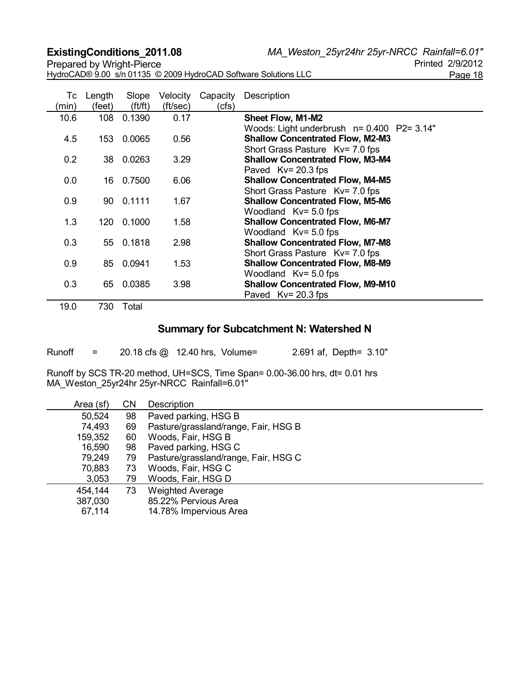**ExistingConditions\_2011.08** *MA\_Weston\_25yr24hr 25yr-NRCC Rainfall=6.01"*

Prepared by Wright-Pierce HydroCAD® 9.00 s/n 01135 © 2009 HydroCAD Software Solutions LLC Page 18

| Tc<br>(min) | Length<br>(feet) | Slope<br>ft/ft) | Velocity<br>(ft/sec) | Capacity<br>(cfs) | Description                                |
|-------------|------------------|-----------------|----------------------|-------------------|--------------------------------------------|
| 10.6        | 108              | 0.1390          | 0.17                 |                   | <b>Sheet Flow, M1-M2</b>                   |
|             |                  |                 |                      |                   | Woods: Light underbrush n= 0.400 P2= 3.14" |
| 4.5         | 153              | 0.0065          | 0.56                 |                   | <b>Shallow Concentrated Flow, M2-M3</b>    |
|             |                  |                 |                      |                   | Short Grass Pasture Kv= 7.0 fps            |
| 0.2         | 38               | 0.0263          | 3.29                 |                   | <b>Shallow Concentrated Flow, M3-M4</b>    |
|             |                  |                 |                      |                   | Paved $Kv = 20.3$ fps                      |
| 0.0         | 16               | 0.7500          | 6.06                 |                   | <b>Shallow Concentrated Flow, M4-M5</b>    |
|             |                  |                 |                      |                   | Short Grass Pasture Kv= 7.0 fps            |
| 0.9         |                  | 90 0.1111       | 1.67                 |                   | <b>Shallow Concentrated Flow, M5-M6</b>    |
|             |                  |                 |                      |                   | Woodland Kv= 5.0 fps                       |
| 1.3         | 120              | 0.1000          | 1.58                 |                   | <b>Shallow Concentrated Flow, M6-M7</b>    |
|             |                  |                 |                      |                   | Woodland $Kv = 5.0$ fps                    |
| 0.3         |                  | 55 0.1818       | 2.98                 |                   | <b>Shallow Concentrated Flow, M7-M8</b>    |
|             |                  |                 |                      |                   | Short Grass Pasture Kv= 7.0 fps            |
| 0.9         | 85               | 0.0941          | 1.53                 |                   | <b>Shallow Concentrated Flow, M8-M9</b>    |
|             |                  |                 |                      |                   | Woodland $Kv = 5.0$ fps                    |
| 0.3         | 65               | 0.0385          | 3.98                 |                   | <b>Shallow Concentrated Flow, M9-M10</b>   |
|             |                  |                 |                      |                   | Paved $Kv = 20.3$ fps                      |

19.0 730 Total

# **Summary for Subcatchment N: Watershed N**

| Runoff | 20.18 cfs @ 12.40 hrs, Volume= |  | 2.691 af, Depth= 3.10" |
|--------|--------------------------------|--|------------------------|

| Area (sf) | CΝ | Description                          |
|-----------|----|--------------------------------------|
| 50,524    | 98 | Paved parking, HSG B                 |
| 74,493    | 69 | Pasture/grassland/range, Fair, HSG B |
| 159,352   | 60 | Woods, Fair, HSG B                   |
| 16,590    | 98 | Paved parking, HSG C                 |
| 79,249    | 79 | Pasture/grassland/range, Fair, HSG C |
| 70,883    | 73 | Woods, Fair, HSG C                   |
| 3,053     | 79 | Woods, Fair, HSG D                   |
| 454,144   | 73 | <b>Weighted Average</b>              |
| 387,030   |    | 85.22% Pervious Area                 |
| 67,114    |    | 14.78% Impervious Area               |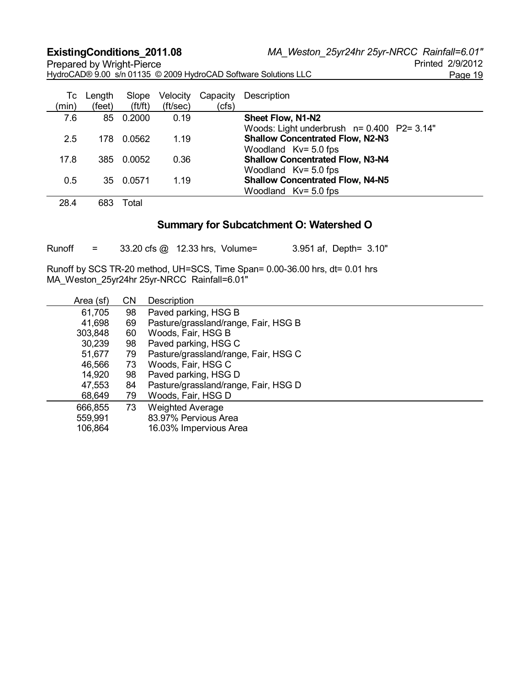**ExistingConditions\_2011.08** *MA\_Weston\_25yr24hr 25yr-NRCC Rainfall=6.01"*

Prepared by Wright-Pierce HydroCAD® 9.00 s/n 01135 © 2009 HydroCAD Software Solutions LLC Page 19

| Тc<br>(min) | Length<br>(feet) | Slope<br>ft/ft) | Velocity<br>(ft/sec) | Capacity<br>(cfs) | Description                                |
|-------------|------------------|-----------------|----------------------|-------------------|--------------------------------------------|
| 7.6         | 85               | 0.2000          | 0.19                 |                   | Sheet Flow, N1-N2                          |
|             |                  |                 |                      |                   | Woods: Light underbrush n= 0.400 P2= 3.14" |
| 2.5         | 178              | 0.0562          | 1.19                 |                   | <b>Shallow Concentrated Flow, N2-N3</b>    |
|             |                  |                 |                      |                   | Woodland $Kv = 5.0$ fps                    |
| 17.8        | 385              | 0.0052          | 0.36                 |                   | <b>Shallow Concentrated Flow, N3-N4</b>    |
|             |                  |                 |                      |                   | Woodland $Kv = 5.0$ fps                    |
| 0.5         |                  | 35 0.0571       | 1.19                 |                   | <b>Shallow Concentrated Flow, N4-N5</b>    |
|             |                  |                 |                      |                   | Woodland $Kv = 5.0$ fps                    |

28.4 683 Total

# **Summary for Subcatchment O: Watershed O**

Runoff = 33.20 cfs @ 12.33 hrs, Volume= 3.951 af, Depth= 3.10"

| Area (sf) | <b>CN</b> | Description                          |
|-----------|-----------|--------------------------------------|
| 61,705    | 98        | Paved parking, HSG B                 |
| 41,698    | 69        | Pasture/grassland/range, Fair, HSG B |
| 303,848   | 60        | Woods, Fair, HSG B                   |
| 30,239    | 98        | Paved parking, HSG C                 |
| 51,677    | 79        | Pasture/grassland/range, Fair, HSG C |
| 46,566    | 73        | Woods, Fair, HSG C                   |
| 14,920    | 98        | Paved parking, HSG D                 |
| 47,553    | 84        | Pasture/grassland/range, Fair, HSG D |
| 68,649    | 79        | Woods, Fair, HSG D                   |
| 666,855   | 73        | <b>Weighted Average</b>              |
| 559,991   |           | 83.97% Pervious Area                 |
| 106,864   |           | 16.03% Impervious Area               |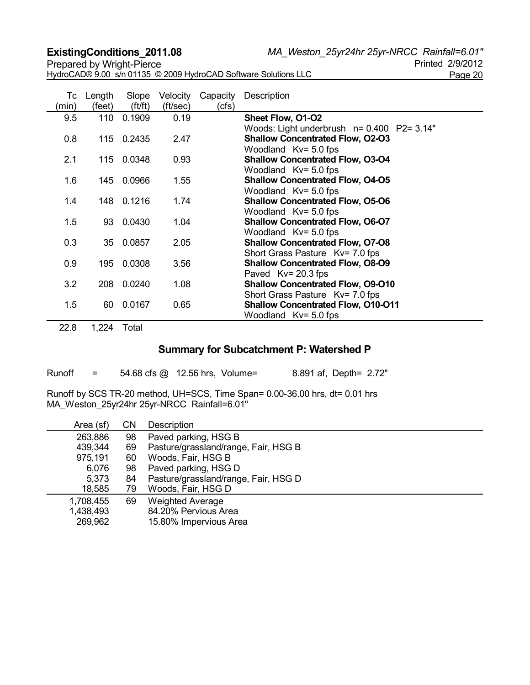**ExistingConditions\_2011.08** *MA\_Weston\_25yr24hr 25yr-NRCC Rainfall=6.01"*

HydroCAD® 9.00 s/n 01135 © 2009 HydroCAD Software Solutions LLC Page 20

| (min) | Tc Length<br>(feet) | Slope<br>ft/ft) | Velocity<br>(ft/sec) | Capacity<br>(cfs) | Description                                                                  |
|-------|---------------------|-----------------|----------------------|-------------------|------------------------------------------------------------------------------|
| 9.5   |                     | 110 0.1909      | 0.19                 |                   | Sheet Flow, O1-O2                                                            |
|       |                     |                 |                      |                   | Woods: Light underbrush n= 0.400 P2= 3.14"                                   |
| 0.8   |                     | 115 0.2435      | 2.47                 |                   | <b>Shallow Concentrated Flow, O2-O3</b>                                      |
| 2.1   | 115                 | 0.0348          | 0.93                 |                   | Woodland $Kv = 5.0$ fps<br><b>Shallow Concentrated Flow, O3-O4</b>           |
|       |                     |                 |                      |                   | Woodland $Kv = 5.0$ fps                                                      |
| 1.6   |                     | 145 0.0966      | 1.55                 |                   | <b>Shallow Concentrated Flow, O4-O5</b>                                      |
|       |                     |                 |                      |                   | Woodland $Kv = 5.0$ fps                                                      |
| 1.4   |                     | 148 0.1216      | 1.74                 |                   | <b>Shallow Concentrated Flow, O5-O6</b>                                      |
|       |                     |                 |                      |                   | Woodland $Kv = 5.0$ fps                                                      |
| 1.5   | 93                  | 0.0430          | 1.04                 |                   | <b>Shallow Concentrated Flow, O6-O7</b><br>Woodland $Kv = 5.0$ fps           |
| 0.3   |                     | 35 0.0857       | 2.05                 |                   | <b>Shallow Concentrated Flow, O7-O8</b>                                      |
|       |                     |                 |                      |                   | Short Grass Pasture Kv= 7.0 fps                                              |
| 0.9   | 195                 | 0.0308          | 3.56                 |                   | <b>Shallow Concentrated Flow, O8-O9</b>                                      |
|       |                     |                 |                      |                   | Paved $Kv = 20.3$ fps                                                        |
| 3.2   | 208                 | 0.0240          | 1.08                 |                   | <b>Shallow Concentrated Flow, O9-O10</b>                                     |
| 1.5   | 60                  | 0.0167          | 0.65                 |                   | Short Grass Pasture Kv= 7.0 fps<br><b>Shallow Concentrated Flow, O10-O11</b> |
|       |                     |                 |                      |                   | Woodland $Kv = 5.0$ fps                                                      |

22.8 1,224 Total

# **Summary for Subcatchment P: Watershed P**

| Runoff | $=$ |                                                                             | 54.68 cfs $\omega$ 12.56 hrs. Volume= | 8.891 af, Depth= 2.72" |  |
|--------|-----|-----------------------------------------------------------------------------|---------------------------------------|------------------------|--|
|        |     | Runoff by SCS TR-20 method, UH=SCS, Time Span= 0.00-36.00 hrs, dt= 0.01 hrs |                                       |                        |  |

| $\frac{1}{2}$ and $\frac{1}{2}$ by $\frac{1}{2}$ by $\frac{1}{2}$ and $\frac{1}{2}$ by $\frac{1}{2}$ and $\frac{1}{2}$ by $\frac{1}{2}$ by $\frac{1}{2}$ by $\frac{1}{2}$ by $\frac{1}{2}$ |  |  |
|--------------------------------------------------------------------------------------------------------------------------------------------------------------------------------------------|--|--|
| MA_Weston_25yr24hr 25yr-NRCC Rainfall=6.01"                                                                                                                                                |  |  |

| Area (sf) | CΝ | Description                          |
|-----------|----|--------------------------------------|
| 263,886   | 98 | Paved parking, HSG B                 |
| 439,344   | 69 | Pasture/grassland/range, Fair, HSG B |
| 975,191   | 60 | Woods, Fair, HSG B                   |
| 6,076     | 98 | Paved parking, HSG D                 |
| 5,373     | 84 | Pasture/grassland/range, Fair, HSG D |
| 18,585    | 79 | Woods, Fair, HSG D                   |
| 1,708,455 | 69 | <b>Weighted Average</b>              |
| 1,438,493 |    | 84.20% Pervious Area                 |
| 269,962   |    | 15.80% Impervious Area               |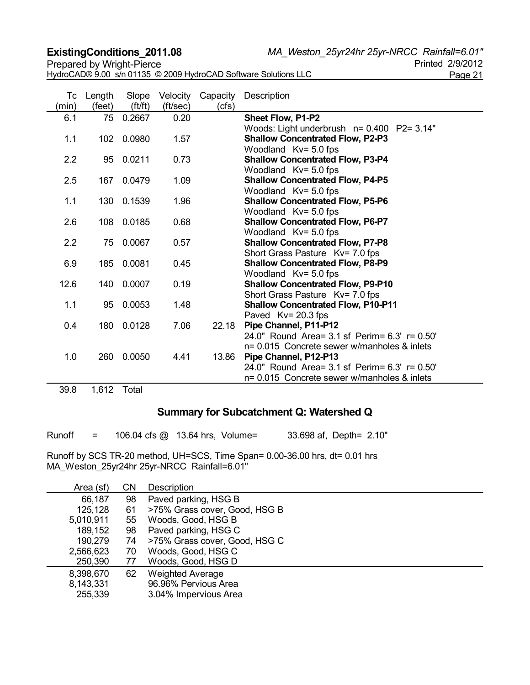HydroCAD® 9.00 s/n 01135 © 2009 HydroCAD Software Solutions LLC Page 21

**ExistingConditions\_2011.08** *MA\_Weston\_25yr24hr 25yr-NRCC Rainfall=6.01"*

| Тc<br>(min) | Length<br>(feet) | Slope<br>ft/ft) | Velocity<br>(ft/sec) | Capacity<br>(cfs) | Description                                                                |
|-------------|------------------|-----------------|----------------------|-------------------|----------------------------------------------------------------------------|
| 6.1         | 75               | 0.2667          | 0.20                 |                   | Sheet Flow, P1-P2                                                          |
|             |                  |                 |                      |                   | Woods: Light underbrush n= 0.400 P2= 3.14"                                 |
| 1.1         | 102              | 0.0980          | 1.57                 |                   | <b>Shallow Concentrated Flow, P2-P3</b><br>Woodland $Kv = 5.0$ fps         |
| 2.2         |                  | 95 0.0211       | 0.73                 |                   | <b>Shallow Concentrated Flow, P3-P4</b>                                    |
|             |                  |                 |                      |                   | Woodland $Kv = 5.0$ fps                                                    |
| 2.5         | 167              | 0.0479          | 1.09                 |                   | <b>Shallow Concentrated Flow, P4-P5</b>                                    |
|             |                  |                 |                      |                   | Woodland Kv= 5.0 fps                                                       |
| 1.1         | 130              | 0.1539          | 1.96                 |                   | <b>Shallow Concentrated Flow, P5-P6</b>                                    |
|             |                  |                 |                      |                   | Woodland Kv= 5.0 fps                                                       |
| 2.6         |                  | 108 0.0185      | 0.68                 |                   | <b>Shallow Concentrated Flow, P6-P7</b>                                    |
| 2.2         | 75               | 0.0067          | 0.57                 |                   | Woodland Kv= 5.0 fps                                                       |
|             |                  |                 |                      |                   | <b>Shallow Concentrated Flow, P7-P8</b><br>Short Grass Pasture Kv= 7.0 fps |
| 6.9         | 185              | 0.0081          | 0.45                 |                   | <b>Shallow Concentrated Flow, P8-P9</b>                                    |
|             |                  |                 |                      |                   | Woodland $Kv = 5.0$ fps                                                    |
| 12.6        | 140              | 0.0007          | 0.19                 |                   | <b>Shallow Concentrated Flow, P9-P10</b>                                   |
|             |                  |                 |                      |                   | Short Grass Pasture Kv= 7.0 fps                                            |
| 1.1         | 95               | 0.0053          | 1.48                 |                   | <b>Shallow Concentrated Flow, P10-P11</b>                                  |
|             |                  |                 |                      |                   | Paved Kv= 20.3 fps                                                         |
| 0.4         | 180              | 0.0128          | 7.06                 | 22.18             | Pipe Channel, P11-P12                                                      |
|             |                  |                 |                      |                   | 24.0" Round Area= 3.1 sf Perim= 6.3' r= 0.50'                              |
|             |                  |                 |                      |                   | n= 0.015 Concrete sewer w/manholes & inlets                                |
| 1.0         | 260              | 0.0050          | 4.41                 | 13.86             | Pipe Channel, P12-P13<br>24.0" Round Area= 3.1 sf Perim= 6.3' r= 0.50'     |
|             |                  |                 |                      |                   | n= 0.015 Concrete sewer w/manholes & inlets                                |
|             |                  |                 |                      |                   |                                                                            |

39.8 1,612 Total

# **Summary for Subcatchment Q: Watershed Q**

Runoff = 106.04 cfs @ 13.64 hrs, Volume= 33.698 af, Depth= 2.10"

| Area (sf) | CΝ | Description                   |
|-----------|----|-------------------------------|
| 66,187    | 98 | Paved parking, HSG B          |
| 125,128   | 61 | >75% Grass cover, Good, HSG B |
| 5,010,911 | 55 | Woods, Good, HSG B            |
| 189,152   | 98 | Paved parking, HSG C          |
| 190,279   | 74 | >75% Grass cover, Good, HSG C |
| 2,566,623 | 70 | Woods, Good, HSG C            |
| 250,390   | 77 | Woods, Good, HSG D            |
| 8,398,670 | 62 | <b>Weighted Average</b>       |
| 8,143,331 |    | 96.96% Pervious Area          |
| 255,339   |    | 3.04% Impervious Area         |
|           |    |                               |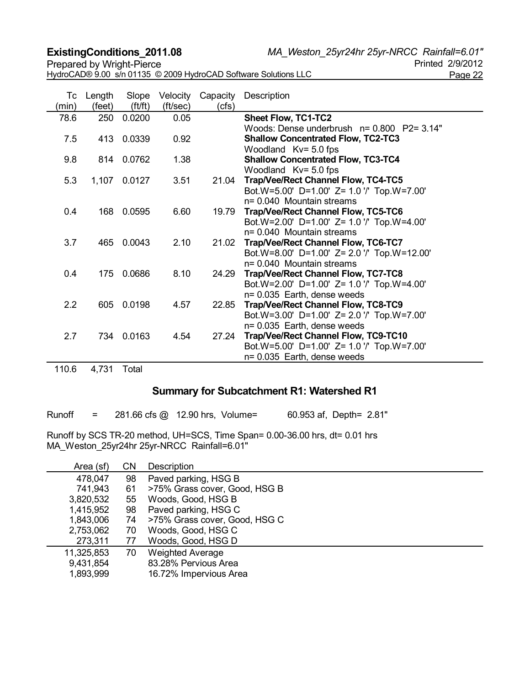**ExistingConditions\_2011.08** *MA\_Weston\_25yr24hr 25yr-NRCC Rainfall=6.01"*

HydroCAD® 9.00 s/n 01135 © 2009 HydroCAD Software Solutions LLC<br>Page 22

| Tc<br>(min) | Length<br>(feet) | Slope<br>ft/ft) | Velocity<br>(ft/sec) | Capacity<br>(cfs) | Description                                 |
|-------------|------------------|-----------------|----------------------|-------------------|---------------------------------------------|
| 78.6        | 250              | 0.0200          | 0.05                 |                   | <b>Sheet Flow, TC1-TC2</b>                  |
|             |                  |                 |                      |                   | Woods: Dense underbrush n= 0.800 P2= 3.14"  |
| 7.5         |                  | 413 0.0339      | 0.92                 |                   | <b>Shallow Concentrated Flow, TC2-TC3</b>   |
|             |                  |                 |                      |                   | Woodland $Kv = 5.0$ fps                     |
| 9.8         |                  | 814 0.0762      | 1.38                 |                   | <b>Shallow Concentrated Flow, TC3-TC4</b>   |
|             |                  |                 |                      |                   | Woodland $Kv = 5.0$ fps                     |
| 5.3         | 1,107            | 0.0127          | 3.51                 | 21.04             | Trap/Vee/Rect Channel Flow, TC4-TC5         |
|             |                  |                 |                      |                   | Bot.W=5.00' D=1.00' Z= 1.0 '/' Top.W=7.00'  |
|             |                  |                 |                      |                   | n= 0.040 Mountain streams                   |
| 0.4         | 168              | 0.0595          | 6.60                 | 19.79             | <b>Trap/Vee/Rect Channel Flow, TC5-TC6</b>  |
|             |                  |                 |                      |                   | Bot.W=2.00' D=1.00' Z= 1.0 '/' Top.W=4.00'  |
|             |                  |                 |                      |                   | $n = 0.040$ Mountain streams                |
| 3.7         | 465              | 0.0043          | 2.10                 | 21.02             | Trap/Vee/Rect Channel Flow, TC6-TC7         |
|             |                  |                 |                      |                   | Bot.W=8.00' D=1.00' Z= 2.0 '/' Top.W=12.00' |
|             |                  |                 |                      |                   | $n = 0.040$ Mountain streams                |
| 0.4         | 175              | 0.0686          | 8.10                 | 24.29             | <b>Trap/Vee/Rect Channel Flow, TC7-TC8</b>  |
|             |                  |                 |                      |                   | Bot.W=2.00' D=1.00' Z= 1.0 '/' Top.W=4.00'  |
|             |                  |                 |                      |                   | n= 0.035 Earth, dense weeds                 |
| 2.2         | 605              | 0.0198          | 4.57                 | 22.85             | <b>Trap/Vee/Rect Channel Flow, TC8-TC9</b>  |
|             |                  |                 |                      |                   | Bot.W=3.00' D=1.00' Z= 2.0 '/' Top.W=7.00'  |
|             |                  |                 |                      |                   | n= 0.035 Earth, dense weeds                 |
| 2.7         |                  | 734 0.0163      | 4.54                 | 27.24             | Trap/Vee/Rect Channel Flow, TC9-TC10        |
|             |                  |                 |                      |                   | Bot.W=5.00' D=1.00' Z= 1.0 '/' Top.W=7.00'  |
|             |                  |                 |                      |                   | n= 0.035 Earth, dense weeds                 |

110.6 4,731 Total

# **Summary for Subcatchment R1: Watershed R1**

| Runoff | 281.66 cfs @ 12.90 hrs, Volume= |  |  | 60.953 af, Depth= 2.81" |
|--------|---------------------------------|--|--|-------------------------|
|--------|---------------------------------|--|--|-------------------------|

| Area (sf)  | <b>CN</b> | Description                   |
|------------|-----------|-------------------------------|
| 478,047    | 98        | Paved parking, HSG B          |
| 741,943    | 61        | >75% Grass cover, Good, HSG B |
| 3,820,532  | 55        | Woods, Good, HSG B            |
| 1,415,952  | 98        | Paved parking, HSG C          |
| 1,843,006  | 74        | >75% Grass cover, Good, HSG C |
| 2,753,062  | 70        | Woods, Good, HSG C            |
| 273,311    | 77        | Woods, Good, HSG D            |
| 11,325,853 | 70        | <b>Weighted Average</b>       |
| 9,431,854  |           | 83.28% Pervious Area          |
| 1,893,999  |           | 16.72% Impervious Area        |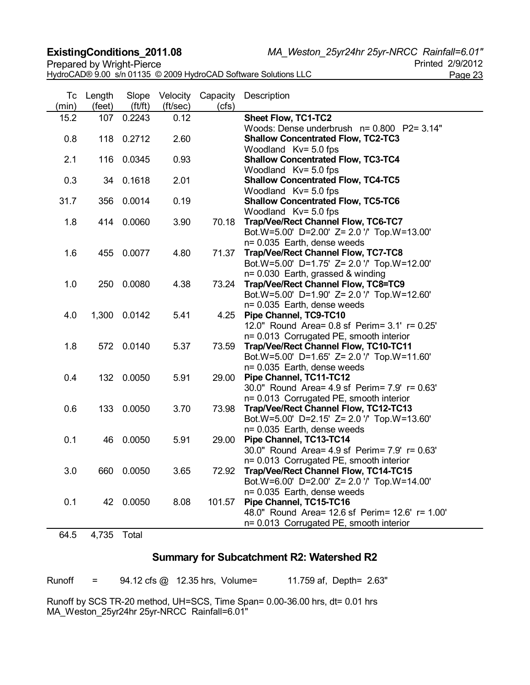HydroCAD® 9.00 s/n 01135 © 2009 HydroCAD Software Solutions LLC Page 23

**ExistingConditions\_2011.08** *MA\_Weston\_25yr24hr 25yr-NRCC Rainfall=6.01"*

| Тc<br>(min) | Length<br>(feet) | Slope<br>(f t / ft) | Velocity<br>(ft/sec) | Capacity<br>(cfs) | Description                                                                      |
|-------------|------------------|---------------------|----------------------|-------------------|----------------------------------------------------------------------------------|
| 15.2        | 107              | 0.2243              | 0.12                 |                   | Sheet Flow, TC1-TC2                                                              |
|             |                  |                     |                      |                   | Woods: Dense underbrush n= 0.800 P2= 3.14"                                       |
| 0.8         |                  | 118 0.2712          | 2.60                 |                   | <b>Shallow Concentrated Flow, TC2-TC3</b>                                        |
|             |                  |                     |                      |                   | Woodland Kv= 5.0 fps                                                             |
| 2.1         |                  | 116 0.0345          | 0.93                 |                   | <b>Shallow Concentrated Flow, TC3-TC4</b>                                        |
|             |                  | 34 0.1618           |                      |                   | Woodland Kv= 5.0 fps                                                             |
| 0.3         |                  |                     | 2.01                 |                   | <b>Shallow Concentrated Flow, TC4-TC5</b><br>Woodland Kv= 5.0 fps                |
| 31.7        |                  | 356 0.0014          | 0.19                 |                   | <b>Shallow Concentrated Flow, TC5-TC6</b>                                        |
|             |                  |                     |                      |                   | Woodland Kv= 5.0 fps                                                             |
| 1.8         |                  | 414 0.0060          | 3.90                 | 70.18             | Trap/Vee/Rect Channel Flow, TC6-TC7                                              |
|             |                  |                     |                      |                   | Bot.W=5.00' D=2.00' Z= 2.0 '/' Top.W=13.00'                                      |
|             |                  |                     |                      |                   | n= 0.035 Earth, dense weeds                                                      |
| 1.6         |                  | 455 0.0077          | 4.80                 | 71.37             | Trap/Vee/Rect Channel Flow, TC7-TC8                                              |
|             |                  |                     |                      |                   | Bot.W=5.00' D=1.75' Z= 2.0 '/' Top.W=12.00'                                      |
|             |                  |                     |                      |                   | n= 0.030 Earth, grassed & winding                                                |
| 1.0         |                  | 250 0.0080          | 4.38                 | 73.24             | Trap/Vee/Rect Channel Flow, TC8=TC9                                              |
|             |                  |                     |                      |                   | Bot.W=5.00' D=1.90' Z= 2.0 '/' Top.W=12.60'                                      |
|             |                  |                     |                      |                   | n= 0.035 Earth, dense weeds                                                      |
| 4.0         |                  | 1,300 0.0142        | 5.41                 | 4.25              | Pipe Channel, TC9-TC10                                                           |
|             |                  |                     |                      |                   | 12.0" Round Area= 0.8 sf Perim= 3.1' r= 0.25'                                    |
|             |                  |                     |                      |                   | n= 0.013 Corrugated PE, smooth interior                                          |
| 1.8         |                  | 572 0.0140          | 5.37                 | 73.59             | Trap/Vee/Rect Channel Flow, TC10-TC11                                            |
|             |                  |                     |                      |                   | Bot.W=5.00' D=1.65' Z= 2.0 '/' Top.W=11.60'                                      |
|             |                  |                     |                      |                   | n= 0.035 Earth, dense weeds                                                      |
| 0.4         |                  | 132 0.0050          | 5.91                 | 29.00             | Pipe Channel, TC11-TC12                                                          |
|             |                  |                     |                      |                   | 30.0" Round Area= 4.9 sf Perim= 7.9' r= 0.63'                                    |
| 0.6         |                  | 133 0.0050          | 3.70                 | 73.98             | n= 0.013 Corrugated PE, smooth interior<br>Trap/Vee/Rect Channel Flow, TC12-TC13 |
|             |                  |                     |                      |                   | Bot.W=5.00' D=2.15' Z= 2.0 '/' Top.W=13.60'                                      |
|             |                  |                     |                      |                   | n= 0.035 Earth, dense weeds                                                      |
| 0.1         |                  | 46 0.0050           | 5.91                 | 29.00             | Pipe Channel, TC13-TC14                                                          |
|             |                  |                     |                      |                   | 30.0" Round Area= 4.9 sf Perim= 7.9' r= 0.63'                                    |
|             |                  |                     |                      |                   | n= 0.013 Corrugated PE, smooth interior                                          |
| 3.0         |                  | 660 0.0050          | 3.65                 | 72.92             | Trap/Vee/Rect Channel Flow, TC14-TC15                                            |
|             |                  |                     |                      |                   | Bot.W=6.00' D=2.00' Z= 2.0 '/' Top.W=14.00'                                      |
|             |                  |                     |                      |                   | n= 0.035 Earth, dense weeds                                                      |
| 0.1         |                  | 42 0.0050           | 8.08                 | 101.57            | Pipe Channel, TC15-TC16                                                          |
|             |                  |                     |                      |                   | 48.0" Round Area= 12.6 sf Perim= 12.6' r= 1.00'                                  |
|             |                  |                     |                      |                   | n= 0.013 Corrugated PE, smooth interior                                          |
|             |                  |                     |                      |                   |                                                                                  |

64.5 4,735 Total

# **Summary for Subcatchment R2: Watershed R2**

Runoff = 94.12 cfs @ 12.35 hrs, Volume= 11.759 af, Depth= 2.63" Runoff by SCS TR-20 method, UH=SCS, Time Span= 0.00-36.00 hrs, dt= 0.01 hrs MA\_Weston\_25yr24hr 25yr-NRCC Rainfall=6.01"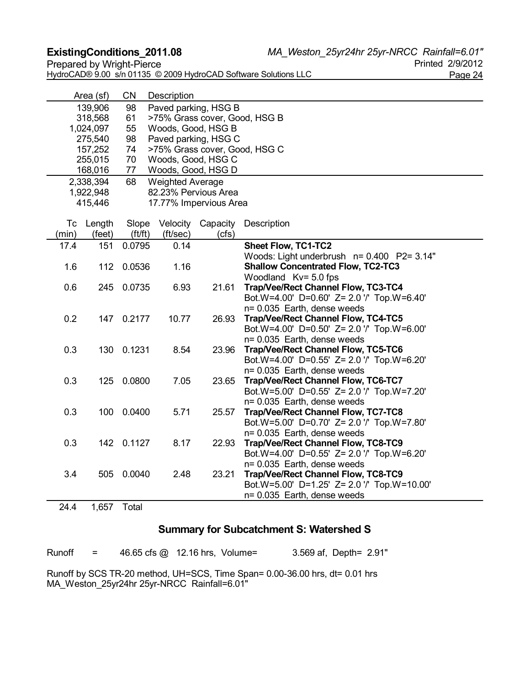**ExistingConditions\_2011.08** *MA\_Weston\_25yr24hr 25yr-NRCC Rainfall=6.01"*

| HydroCAD® 9.00 s/n 01135 © 2009 HydroCAD Software Solutions LLC | Page 24 |
|-----------------------------------------------------------------|---------|

| U ZIVIZUTZ |
|------------|
| Page 24    |

|       | Area (sf) | <b>CN</b>  | Description                   |                        |                                                                           |  |  |  |  |
|-------|-----------|------------|-------------------------------|------------------------|---------------------------------------------------------------------------|--|--|--|--|
|       | 139,906   | 98         | Paved parking, HSG B          |                        |                                                                           |  |  |  |  |
|       | 318,568   | 61         | >75% Grass cover, Good, HSG B |                        |                                                                           |  |  |  |  |
|       | 1,024,097 | 55         |                               | Woods, Good, HSG B     |                                                                           |  |  |  |  |
|       | 275,540   | 98         |                               | Paved parking, HSG C   |                                                                           |  |  |  |  |
|       | 157,252   | 74         |                               |                        | >75% Grass cover, Good, HSG C                                             |  |  |  |  |
|       | 255,015   | 70         |                               | Woods, Good, HSG C     |                                                                           |  |  |  |  |
|       | 168,016   | 77         |                               | Woods, Good, HSG D     |                                                                           |  |  |  |  |
|       | 2,338,394 | 68         | <b>Weighted Average</b>       |                        |                                                                           |  |  |  |  |
|       | 1,922,948 |            |                               | 82.23% Pervious Area   |                                                                           |  |  |  |  |
|       | 415,446   |            |                               | 17.77% Impervious Area |                                                                           |  |  |  |  |
|       | Tc Length | Slope      | Velocity                      | Capacity               | Description                                                               |  |  |  |  |
| (min) | (feet)    | ft/ft)     | (ft/sec)                      | (cfs)                  |                                                                           |  |  |  |  |
| 17.4  | 151       | 0.0795     | 0.14                          |                        | <b>Sheet Flow, TC1-TC2</b>                                                |  |  |  |  |
|       |           |            |                               |                        | Woods: Light underbrush n= 0.400 P2= 3.14"                                |  |  |  |  |
| 1.6   | 112       | 0.0536     | 1.16                          |                        | <b>Shallow Concentrated Flow, TC2-TC3</b>                                 |  |  |  |  |
|       |           |            |                               |                        | Woodland Kv= 5.0 fps                                                      |  |  |  |  |
| 0.6   |           | 245 0.0735 | 6.93                          | 21.61                  | Trap/Vee/Rect Channel Flow, TC3-TC4                                       |  |  |  |  |
|       |           |            |                               |                        | Bot.W=4.00' D=0.60' Z= 2.0 '/' Top.W=6.40'                                |  |  |  |  |
|       |           |            |                               |                        | n= 0.035 Earth, dense weeds                                               |  |  |  |  |
| 0.2   |           | 147 0.2177 | 10.77                         | 26.93                  | Trap/Vee/Rect Channel Flow, TC4-TC5                                       |  |  |  |  |
|       |           |            |                               |                        | Bot.W=4.00' D=0.50' Z= 2.0 '/' Top.W=6.00'                                |  |  |  |  |
|       |           |            |                               |                        | n= 0.035 Earth, dense weeds                                               |  |  |  |  |
| 0.3   |           | 130 0.1231 | 8.54                          | 23.96                  | Trap/Vee/Rect Channel Flow, TC5-TC6                                       |  |  |  |  |
|       |           |            |                               |                        | Bot.W=4.00' D=0.55' Z= 2.0 '/' Top.W=6.20'                                |  |  |  |  |
|       |           |            |                               |                        | n= 0.035 Earth, dense weeds                                               |  |  |  |  |
| 0.3   |           | 125 0.0800 | 7.05                          | 23.65                  | Trap/Vee/Rect Channel Flow, TC6-TC7                                       |  |  |  |  |
|       |           |            |                               |                        | Bot.W=5.00' D=0.55' Z= 2.0 '/' Top.W=7.20'                                |  |  |  |  |
|       |           |            |                               |                        | n= 0.035 Earth, dense weeds                                               |  |  |  |  |
| 0.3   |           | 100 0.0400 | 5.71                          | 25.57                  | <b>Trap/Vee/Rect Channel Flow, TC7-TC8</b>                                |  |  |  |  |
|       |           |            |                               |                        | Bot.W=5.00' D=0.70' Z= 2.0 '/' Top.W=7.80'<br>n= 0.035 Earth, dense weeds |  |  |  |  |
| 0.3   |           | 142 0.1127 | 8.17                          | 22.93                  | Trap/Vee/Rect Channel Flow, TC8-TC9                                       |  |  |  |  |
|       |           |            |                               |                        | Bot.W=4.00' D=0.55' Z= 2.0 '/' Top.W=6.20'                                |  |  |  |  |
|       |           |            |                               |                        | n= 0.035 Earth, dense weeds                                               |  |  |  |  |
| 3.4   |           | 505 0.0040 | 2.48                          | 23.21                  | Trap/Vee/Rect Channel Flow, TC8-TC9                                       |  |  |  |  |
|       |           |            |                               |                        | Bot.W=5.00' D=1.25' Z= 2.0 '/' Top.W=10.00'                               |  |  |  |  |
|       |           |            |                               |                        | n= 0.035 Earth, dense weeds                                               |  |  |  |  |
| 24.4  | 1,657     | Total      |                               |                        |                                                                           |  |  |  |  |
|       |           |            |                               |                        |                                                                           |  |  |  |  |

# **Summary for Subcatchment S: Watershed S**

Runoff = 46.65 cfs @ 12.16 hrs, Volume= 3.569 af, Depth= 2.91" Runoff by SCS TR-20 method, UH=SCS, Time Span= 0.00-36.00 hrs, dt= 0.01 hrs MA\_Weston\_25yr24hr 25yr-NRCC Rainfall=6.01"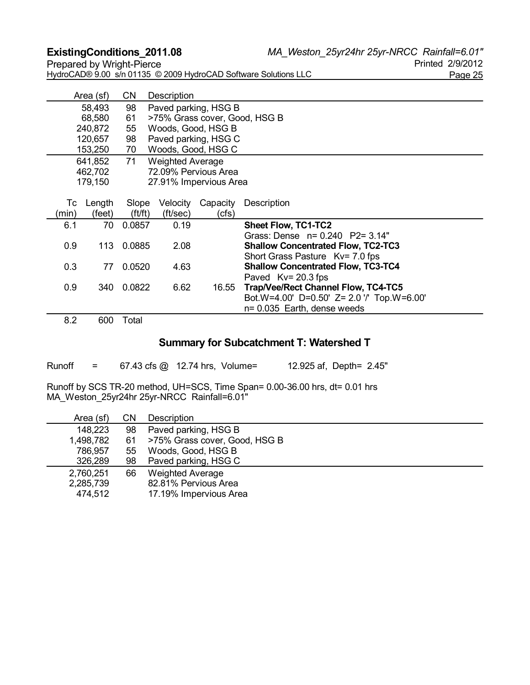**ExistingConditions\_2011.08** *MA\_Weston\_25yr24hr 25yr-NRCC Rainfall=6.01"* HydroCAD® 9.00 s/n 01135 © 2009 HydroCAD Software Solutions LLC Page 25

|       | Area (sf) | CN                         | Description             |                               |                                            |  |  |
|-------|-----------|----------------------------|-------------------------|-------------------------------|--------------------------------------------|--|--|
|       | 58,493    | Paved parking, HSG B<br>98 |                         |                               |                                            |  |  |
|       | 68,580    | 61                         |                         | >75% Grass cover, Good, HSG B |                                            |  |  |
|       | 240,872   | 55                         | Woods, Good, HSG B      |                               |                                            |  |  |
|       | 120,657   | 98                         |                         | Paved parking, HSG C          |                                            |  |  |
|       | 153,250   | 70                         | Woods, Good, HSG C      |                               |                                            |  |  |
|       | 641,852   | 71                         | <b>Weighted Average</b> |                               |                                            |  |  |
|       | 462,702   |                            |                         | 72.09% Pervious Area          |                                            |  |  |
|       | 179,150   |                            | 27.91% Impervious Area  |                               |                                            |  |  |
|       |           |                            |                         |                               |                                            |  |  |
| Тc    | Length    | Slope                      | Velocity                | Capacity                      | Description                                |  |  |
| (min) | (feet)    | (f t / f t)                | (ft/sec)                | (cfs)                         |                                            |  |  |
| 6.1   | 70        | 0.0857                     | 0.19                    |                               | <b>Sheet Flow, TC1-TC2</b>                 |  |  |
|       |           |                            |                         |                               | Grass: Dense n= 0.240 P2= 3.14"            |  |  |
| 0.9   | 113       | 0.0885                     | 2.08                    |                               | <b>Shallow Concentrated Flow, TC2-TC3</b>  |  |  |
|       |           |                            |                         |                               | Short Grass Pasture Ky= 7.0 fps            |  |  |
| 0.3   | 77        | 0.0520                     | 4.63                    |                               | <b>Shallow Concentrated Flow, TC3-TC4</b>  |  |  |
|       |           |                            |                         |                               | Paved $Kv = 20.3$ fps                      |  |  |
| 0.9   | 340       | 0.0822                     | 6.62                    | 16.55                         | <b>Trap/Vee/Rect Channel Flow, TC4-TC5</b> |  |  |
|       |           |                            |                         |                               | Bot.W=4.00' D=0.50' Z= 2.0 '/' Top.W=6.00' |  |  |
|       |           |                            |                         |                               | n= 0.035 Earth, dense weeds                |  |  |
| n n   | $\sim$    | $T_{\alpha}$               |                         |                               |                                            |  |  |

8.2 600 Total

#### **Summary for Subcatchment T: Watershed T**

Runoff = 67.43 cfs @ 12.74 hrs, Volume= 12.925 af, Depth= 2.45"

| Area (sf) | CΝ | Description                   |
|-----------|----|-------------------------------|
| 148,223   | 98 | Paved parking, HSG B          |
| 1,498,782 | 61 | >75% Grass cover, Good, HSG B |
| 786,957   | 55 | Woods, Good, HSG B            |
| 326,289   | 98 | Paved parking, HSG C          |
| 2,760,251 | 66 | <b>Weighted Average</b>       |
| 2,285,739 |    | 82.81% Pervious Area          |
| 474,512   |    | 17.19% Impervious Area        |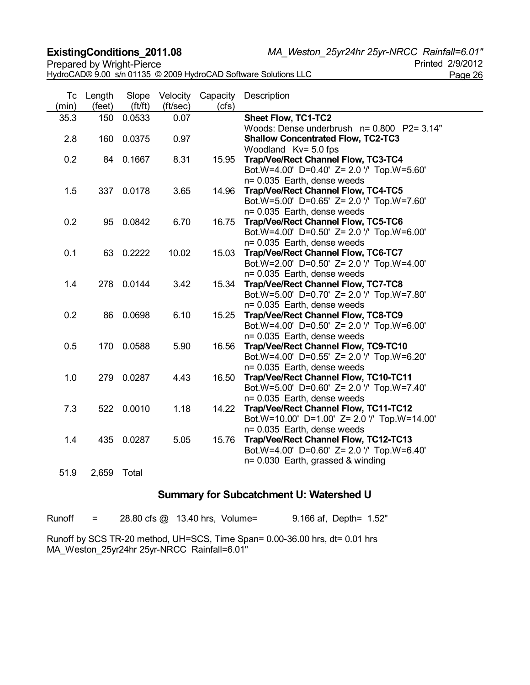**ExistingConditions\_2011.08** *MA\_Weston\_25yr24hr 25yr-NRCC Rainfall=6.01"*

|                                                                 | $\cdots$ $\cdots$ $\cdots$ $\cdots$ $\cdots$ $\cdots$ $\cdots$ $\cdots$ $\cdots$ $\cdots$ $\cdots$ $\cdots$ $\cdots$ |
|-----------------------------------------------------------------|----------------------------------------------------------------------------------------------------------------------|
| Prepared by Wright-Pierce                                       | Printed 2/9/2012                                                                                                     |
| HydroCAD® 9.00 s/n 01135 © 2009 HydroCAD Software Solutions LLC | Page 26                                                                                                              |

| Тc<br>(min) | Length<br>(feet) | Slope<br>(f t / ft) | Velocity<br>(ft/sec) | Capacity<br>(cfs) | Description                                                                           |
|-------------|------------------|---------------------|----------------------|-------------------|---------------------------------------------------------------------------------------|
| 35.3        | 150              | 0.0533              | 0.07                 |                   | <b>Sheet Flow, TC1-TC2</b>                                                            |
|             |                  |                     |                      |                   | Woods: Dense underbrush n= 0.800 P2= 3.14"                                            |
| 2.8         | 160              | 0.0375              | 0.97                 |                   | <b>Shallow Concentrated Flow, TC2-TC3</b>                                             |
|             |                  |                     |                      |                   | Woodland Kv= 5.0 fps                                                                  |
| 0.2         |                  | 84 0.1667           | 8.31                 | 15.95             | Trap/Vee/Rect Channel Flow, TC3-TC4                                                   |
|             |                  |                     |                      |                   | Bot.W=4.00' D=0.40' Z= 2.0 '/' Top.W=5.60'                                            |
|             |                  |                     |                      |                   | n= 0.035 Earth, dense weeds                                                           |
| 1.5         |                  | 337 0.0178          | 3.65                 | 14.96             | Trap/Vee/Rect Channel Flow, TC4-TC5                                                   |
|             |                  |                     |                      |                   | Bot.W=5.00' D=0.65' Z= 2.0 '/' Top.W=7.60'                                            |
|             |                  |                     |                      |                   | n= 0.035 Earth, dense weeds                                                           |
| 0.2         |                  | 95 0.0842           | 6.70                 | 16.75             | Trap/Vee/Rect Channel Flow, TC5-TC6                                                   |
|             |                  |                     |                      |                   | Bot.W=4.00' D=0.50' Z= 2.0 '/' Top.W=6.00'                                            |
|             |                  |                     |                      |                   | n= 0.035 Earth, dense weeds                                                           |
| 0.1         |                  | 63 0.2222           | 10.02                | 15.03             | Trap/Vee/Rect Channel Flow, TC6-TC7                                                   |
|             |                  |                     |                      |                   | Bot.W=2.00' D=0.50' Z= 2.0 '/' Top.W=4.00'                                            |
|             |                  |                     |                      |                   | n= 0.035 Earth, dense weeds                                                           |
| 1.4         |                  | 278 0.0144          | 3.42                 | 15.34             | <b>Trap/Vee/Rect Channel Flow, TC7-TC8</b>                                            |
|             |                  |                     |                      |                   | Bot.W=5.00' D=0.70' Z= 2.0 '/' Top.W=7.80'                                            |
|             |                  |                     |                      |                   | n= 0.035 Earth, dense weeds                                                           |
| 0.2         |                  | 86 0.0698           | 6.10                 | 15.25             | Trap/Vee/Rect Channel Flow, TC8-TC9                                                   |
|             |                  |                     |                      |                   | Bot.W=4.00' D=0.50' Z= 2.0 '/' Top.W=6.00'                                            |
|             |                  |                     |                      |                   | n= 0.035 Earth, dense weeds                                                           |
| 0.5         |                  | 170 0.0588          | 5.90                 | 16.56             | Trap/Vee/Rect Channel Flow, TC9-TC10                                                  |
|             |                  |                     |                      |                   | Bot.W=4.00' D=0.55' Z= 2.0 '/' Top.W=6.20'                                            |
|             |                  |                     |                      |                   | n= 0.035 Earth, dense weeds                                                           |
| 1.0         |                  | 279 0.0287          | 4.43                 | 16.50             | Trap/Vee/Rect Channel Flow, TC10-TC11                                                 |
|             |                  |                     |                      |                   | Bot.W=5.00' D=0.60' Z= 2.0 '/' Top.W=7.40'                                            |
| 7.3         |                  | 522 0.0010          | 1.18                 |                   | n= 0.035 Earth, dense weeds                                                           |
|             |                  |                     |                      | 14.22             | Trap/Vee/Rect Channel Flow, TC11-TC12<br>Bot.W=10.00' D=1.00' Z= 2.0 '/' Top.W=14.00' |
|             |                  |                     |                      |                   | n= 0.035 Earth, dense weeds                                                           |
| 1.4         |                  | 435 0.0287          | 5.05                 | 15.76             | Trap/Vee/Rect Channel Flow, TC12-TC13                                                 |
|             |                  |                     |                      |                   | Bot.W=4.00' D=0.60' Z= 2.0 '/' Top.W=6.40'                                            |
|             |                  |                     |                      |                   | n= 0.030 Earth, grassed & winding                                                     |
|             |                  |                     |                      |                   |                                                                                       |
| 51.9        | 2,659            | Total               |                      |                   |                                                                                       |

### **Summary for Subcatchment U: Watershed U**

Runoff = 28.80 cfs @ 13.40 hrs, Volume= 9.166 af, Depth= 1.52"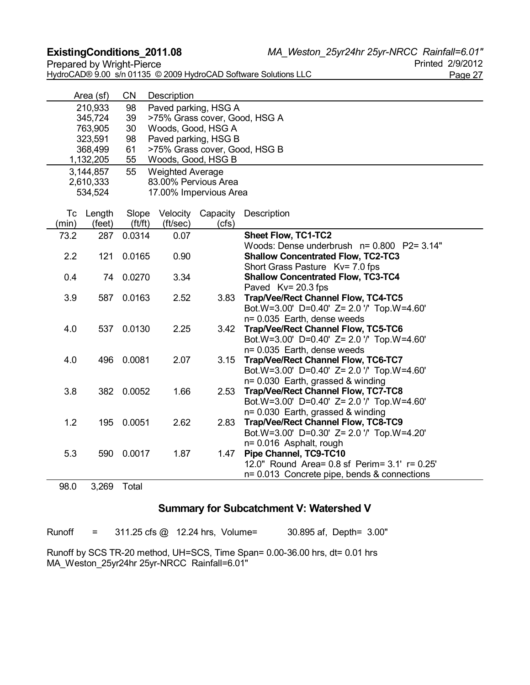**ExistingConditions\_2011.08** *MA\_Weston\_25yr24hr 25yr-NRCC Rainfall=6.01"*

Prepared by Wright-Pierce HydroCAD® 9.00 s/n 01135 © 2009 HydroCAD Software Solutions LLC Page 27

|       | Area (sf)                                      | <b>CN</b>                                  | Description             |                               |                                                                          |  |  |
|-------|------------------------------------------------|--------------------------------------------|-------------------------|-------------------------------|--------------------------------------------------------------------------|--|--|
|       | 210,933                                        | Paved parking, HSG A<br>98                 |                         |                               |                                                                          |  |  |
|       | 39<br>>75% Grass cover, Good, HSG A<br>345,724 |                                            |                         |                               |                                                                          |  |  |
|       | 763,905                                        | 30                                         |                         | Woods, Good, HSG A            |                                                                          |  |  |
|       | 323,591                                        | 98                                         |                         | Paved parking, HSG B          |                                                                          |  |  |
|       | 368,499                                        | 61                                         |                         | >75% Grass cover, Good, HSG B |                                                                          |  |  |
|       | 1,132,205                                      | 55                                         |                         | Woods, Good, HSG B            |                                                                          |  |  |
|       | 3,144,857                                      | 55                                         | <b>Weighted Average</b> |                               |                                                                          |  |  |
|       | 2,610,333                                      |                                            |                         | 83.00% Pervious Area          |                                                                          |  |  |
|       | 534,524                                        |                                            |                         | 17.00% Impervious Area        |                                                                          |  |  |
| Tc    |                                                |                                            |                         |                               |                                                                          |  |  |
| (min) | Length<br>(feet)                               | Slope<br>(f t / ft)                        | Velocity<br>(ft/sec)    | Capacity<br>(cfs)             | Description                                                              |  |  |
| 73.2  | 287                                            | 0.0314                                     | 0.07                    |                               | <b>Sheet Flow, TC1-TC2</b>                                               |  |  |
|       |                                                |                                            |                         |                               | Woods: Dense underbrush n= 0.800 P2= 3.14"                               |  |  |
| 2.2   | 121                                            | 0.0165                                     | 0.90                    |                               | <b>Shallow Concentrated Flow, TC2-TC3</b>                                |  |  |
|       |                                                |                                            |                         |                               | Short Grass Pasture Kv= 7.0 fps                                          |  |  |
| 0.4   | 74                                             | 0.0270                                     | 3.34                    |                               | <b>Shallow Concentrated Flow, TC3-TC4</b>                                |  |  |
|       |                                                |                                            |                         |                               | Paved Kv= 20.3 fps                                                       |  |  |
| 3.9   | 587                                            | 0.0163                                     | 2.52                    | 3.83                          | Trap/Vee/Rect Channel Flow, TC4-TC5                                      |  |  |
|       |                                                |                                            |                         |                               | Bot.W=3.00' D=0.40' Z= 2.0 '/' Top.W=4.60'                               |  |  |
|       |                                                |                                            |                         |                               | n= 0.035 Earth, dense weeds                                              |  |  |
| 4.0   |                                                | 2.25<br>537 0.0130                         |                         | 3.42                          | <b>Trap/Vee/Rect Channel Flow, TC5-TC6</b>                               |  |  |
|       |                                                | Bot.W=3.00' D=0.40' Z= 2.0 '/' Top.W=4.60' |                         |                               |                                                                          |  |  |
|       |                                                |                                            |                         |                               | n= 0.035 Earth, dense weeds                                              |  |  |
| 4.0   |                                                | 496 0.0081                                 | 2.07                    | 3.15                          | Trap/Vee/Rect Channel Flow, TC6-TC7                                      |  |  |
|       |                                                |                                            |                         |                               | Bot.W=3.00' D=0.40' Z= 2.0 '/' Top.W=4.60'                               |  |  |
| 3.8   |                                                | 382 0.0052                                 | 1.66                    |                               | n= 0.030 Earth, grassed & winding<br>Trap/Vee/Rect Channel Flow, TC7-TC8 |  |  |
|       |                                                |                                            |                         | 2.53                          | Bot.W=3.00' D=0.40' Z= 2.0 '/' Top.W=4.60'                               |  |  |
|       |                                                |                                            |                         |                               | n= 0.030 Earth, grassed & winding                                        |  |  |
| 1.2   |                                                | 195 0.0051                                 | 2.62                    | 2.83                          | Trap/Vee/Rect Channel Flow, TC8-TC9                                      |  |  |
|       |                                                |                                            |                         |                               | Bot.W=3.00' D=0.30' Z= 2.0 '/' Top.W=4.20'                               |  |  |
|       |                                                |                                            |                         |                               | n= 0.016 Asphalt, rough                                                  |  |  |
| 5.3   | 590                                            | 0.0017                                     | 1.87                    | 1.47                          | Pipe Channel, TC9-TC10                                                   |  |  |
|       |                                                |                                            |                         |                               | 12.0" Round Area= 0.8 sf Perim= 3.1' r= 0.25'                            |  |  |
|       |                                                |                                            |                         |                               | n= 0.013 Concrete pipe, bends & connections                              |  |  |

98.0 3,269 Total

### **Summary for Subcatchment V: Watershed V**

Runoff = 311.25 cfs @ 12.24 hrs, Volume= 30.895 af, Depth= 3.00"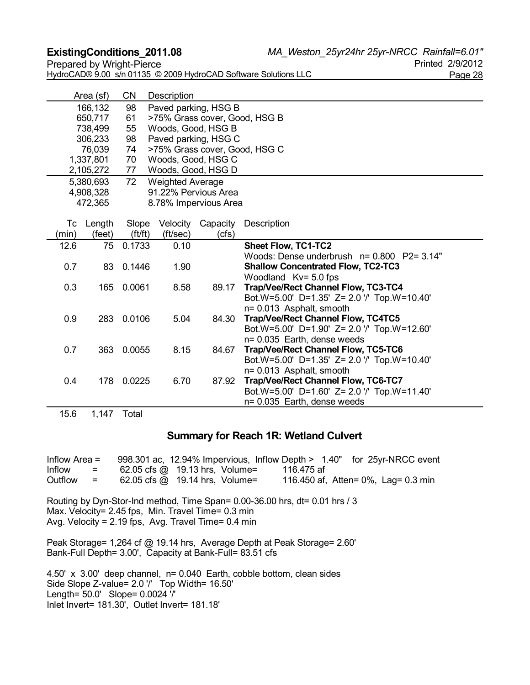**ExistingConditions\_2011.08** *MA\_Weston\_25yr24hr 25yr-NRCC Rainfall=6.01"* Prepared by Wright-Pierce **Prepared by Wright-Pierce** 

| <b>I</b> I Charca by <i>WITHEL ICICC</i>                        | או ט <i>אוטו</i> ב וטיוווו |
|-----------------------------------------------------------------|----------------------------|
| HydroCAD® 9.00 s/n 01135 © 2009 HydroCAD Software Solutions LLC | Page 28                    |

|       | Area (sf) | CN          | Description             |                       |                                                                            |
|-------|-----------|-------------|-------------------------|-----------------------|----------------------------------------------------------------------------|
|       | 166,132   | 98          |                         | Paved parking, HSG B  |                                                                            |
|       | 650,717   | 61          |                         |                       | >75% Grass cover, Good, HSG B                                              |
|       | 738,499   | 55          |                         | Woods, Good, HSG B    |                                                                            |
|       | 306,233   | 98          |                         | Paved parking, HSG C  |                                                                            |
|       | 76,039    | 74          |                         |                       | >75% Grass cover, Good, HSG C                                              |
|       | 1,337,801 | 70          |                         | Woods, Good, HSG C    |                                                                            |
|       | 2,105,272 | 77          |                         | Woods, Good, HSG D    |                                                                            |
|       | 5,380,693 | 72          | <b>Weighted Average</b> |                       |                                                                            |
|       | 4,908,328 |             |                         | 91.22% Pervious Area  |                                                                            |
|       | 472,365   |             |                         | 8.78% Impervious Area |                                                                            |
|       |           |             |                         |                       |                                                                            |
|       | Tc Length | Slope       | Velocity                | Capacity              | Description                                                                |
| (min) | (feet)    | (f t / f t) | (ft/sec)                | (cfs)                 |                                                                            |
| 12.6  | 75        | 0.1733      | 0.10                    |                       | <b>Sheet Flow, TC1-TC2</b>                                                 |
|       |           |             |                         |                       | Woods: Dense underbrush n= 0.800 P2= 3.14"                                 |
| 0.7   |           | 83 0.1446   | 1.90                    |                       | <b>Shallow Concentrated Flow, TC2-TC3</b>                                  |
|       |           |             |                         |                       | Woodland Kv= 5.0 fps                                                       |
| 0.3   | 165       | 0.0061      | 8.58                    | 89.17                 | Trap/Vee/Rect Channel Flow, TC3-TC4                                        |
|       |           |             |                         |                       | Bot.W=5.00' D=1.35' Z= 2.0 '/' Top.W=10.40'                                |
|       |           |             |                         |                       | n= 0.013 Asphalt, smooth                                                   |
| 0.9   | 283       | 0.0106      | 5.04                    | 84.30                 | <b>Trap/Vee/Rect Channel Flow, TC4TC5</b>                                  |
|       |           |             |                         |                       | Bot.W=5.00' D=1.90' Z= 2.0 '/' Top.W=12.60'                                |
|       |           |             |                         |                       | n= 0.035 Earth, dense weeds                                                |
| 0.7   | 363       | 0.0055      | 8.15                    | 84.67                 | Trap/Vee/Rect Channel Flow, TC5-TC6                                        |
|       |           |             |                         |                       | Bot.W=5.00' D=1.35' Z= 2.0 '/' Top.W=10.40'                                |
|       |           |             | 6.70                    |                       | n= 0.013 Asphalt, smooth                                                   |
| 0.4   | 178       | 0.0225      |                         | 87.92                 | Trap/Vee/Rect Channel Flow, TC6-TC7                                        |
|       |           |             |                         |                       | Bot.W=5.00' D=1.60' Z= 2.0 '/' Top.W=11.40'<br>n= 0.035 Earth, dense weeds |
|       |           |             |                         |                       |                                                                            |

15.6 1,147 Total

#### **Summary for Reach 1R: Wetland Culvert**

Inflow Area = 998.301 ac, 12.94% Impervious, Inflow Depth > 1.40" for 25yr-NRCC event  $Inflow = 62.05 \text{ cfs} \text{ @ } 19.13 \text{ hrs}, \text{ Volume} = 116.475 \text{ af}$ Outflow = 62.05 cfs @ 19.14 hrs, Volume= 116.450 af, Atten= 0%, Lag= 0.3 min

Routing by Dyn-Stor-Ind method, Time Span= 0.00-36.00 hrs, dt= 0.01 hrs / 3 Max. Velocity= 2.45 fps, Min. Travel Time= 0.3 min Avg. Velocity = 2.19 fps, Avg. Travel Time= 0.4 min

Peak Storage= 1,264 cf @ 19.14 hrs, Average Depth at Peak Storage= 2.60' Bank-Full Depth= 3.00', Capacity at Bank-Full= 83.51 cfs

4.50' x 3.00' deep channel, n= 0.040 Earth, cobble bottom, clean sides Side Slope Z-value= 2.0 '/' Top Width= 16.50' Length= 50.0' Slope= 0.0024 '/' Inlet Invert= 181.30', Outlet Invert= 181.18'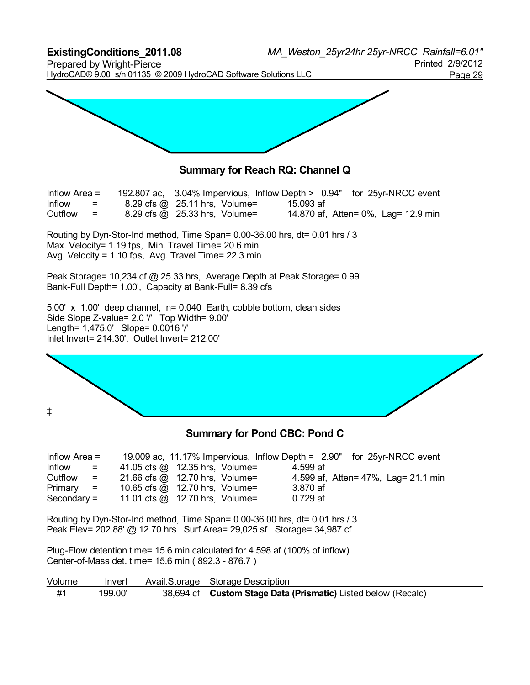**ExistingConditions\_2011.08** *MA\_Weston\_25yr24hr 25yr-NRCC Rainfall=6.01"* Prepared by Wright-Pierce **Prepared by Wright-Pierce** Printed 2/9/2012 HydroCAD® 9.00 s/n 01135 © 2009 HydroCAD Software Solutions LLC<br>Page 29



### **Summary for Reach RQ: Channel Q**

| Inflow Area $=$ |         |                               |           | 192.807 ac, 3.04% Impervious, Inflow Depth > 0.94" for 25yr-NRCC event |
|-----------------|---------|-------------------------------|-----------|------------------------------------------------------------------------|
| Inflow          | $=$ $-$ | 8.29 cfs @ 25.11 hrs, Volume= | 15.093 af |                                                                        |
| Outflow         | $=$     | 8.29 cfs @ 25.33 hrs, Volume= |           | 14.870 af, Atten = 0%, Lag = 12.9 min                                  |

Routing by Dyn-Stor-Ind method, Time Span= 0.00-36.00 hrs, dt= 0.01 hrs / 3 Max. Velocity= 1.19 fps, Min. Travel Time= 20.6 min Avg. Velocity = 1.10 fps, Avg. Travel Time= 22.3 min

Peak Storage= 10,234 cf @ 25.33 hrs, Average Depth at Peak Storage= 0.99' Bank-Full Depth= 1.00', Capacity at Bank-Full= 8.39 cfs

5.00' x 1.00' deep channel, n= 0.040 Earth, cobble bottom, clean sides Side Slope Z-value= 2.0 '/' Top Width= 9.00' Length= 1,475.0' Slope= 0.0016 '/' Inlet Invert= 214.30', Outlet Invert= 212.00'

‡

#### **Summary for Pond CBC: Pond C**

| Inflow Area $=$                      |                                       |          | 19.009 ac, 11.17% Impervious, Inflow Depth = 2.90" for 25yr-NRCC event |
|--------------------------------------|---------------------------------------|----------|------------------------------------------------------------------------|
| Inflow<br>$\mathbf{r} = \mathbf{r}$  | 41.05 cfs $@$ 12.35 hrs, Volume=      | 4.599 af |                                                                        |
| Outflow<br>$\mathbf{r} = \mathbf{r}$ | 21.66 cfs @ 12.70 hrs, Volume=        |          | 4.599 af, Atten = 47%, Lag = 21.1 min                                  |
| $Primary =$                          | 10.65 cfs $\omega$ 12.70 hrs, Volume= | 3.870 af |                                                                        |
| $Secondary =$                        | 11.01 cfs $@$ 12.70 hrs, Volume=      | 0.729 af |                                                                        |

Routing by Dyn-Stor-Ind method, Time Span= 0.00-36.00 hrs, dt= 0.01 hrs / 3 Peak Elev= 202.88' @ 12.70 hrs Surf.Area= 29,025 sf Storage= 34,987 cf

Plug-Flow detention time= 15.6 min calculated for 4.598 af (100% of inflow) Center-of-Mass det. time= 15.6 min ( 892.3 - 876.7 )

| Volume | Invert  | Avail Storage Storage Description                             |
|--------|---------|---------------------------------------------------------------|
| #1     | 199.00' | 38,694 cf Custom Stage Data (Prismatic) Listed below (Recalc) |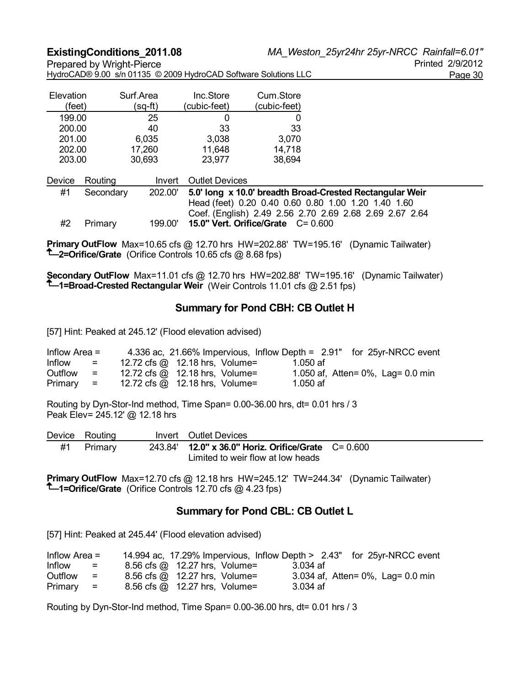|  | HydroCAD® 9.00 s/n 01135 © 2009 HydroCAD Software Solutions LLC | Page 30 |
|--|-----------------------------------------------------------------|---------|
|  |                                                                 |         |

| Elevation<br>(feet) | Surf.Area<br>ˈsɑ-ft) | Inc.Store<br>(cubic-feet) | Cum.Store<br>(cubic-feet) |
|---------------------|----------------------|---------------------------|---------------------------|
| 199.00              | 25                   |                           |                           |
| 200.00              | 40                   | 33                        | 33                        |
| 201.00              | 6,035                | 3,038                     | 3,070                     |
| 202.00              | 17,260               | 11,648                    | 14,718                    |
| 203.00              | 30,693               | 23,977                    | 38,694                    |

|    | Device Routing |         | Invert Outlet Devices                                    |
|----|----------------|---------|----------------------------------------------------------|
| #1 | Secondary      | 202.00' | 5.0' long x 10.0' breadth Broad-Crested Rectangular Weir |
|    |                |         | Head (feet) 0.20 0.40 0.60 0.80 1.00 1.20 1.40 1.60      |
|    |                |         | Coef. (English) 2.49 2.56 2.70 2.69 2.68 2.69 2.67 2.64  |
| #2 | Primary        | 199.00' | 15.0" Vert. Orifice/Grate $C = 0.600$                    |

**Primary OutFlow** Max=10.65 cfs @ 12.70 hrs HW=202.88' TW=195.16' (Dynamic Tailwater) **1**-2=Orifice/Grate (Orifice Controls 10.65 cfs @ 8.68 fps)

**Secondary OutFlow** Max=11.01 cfs @ 12.70 hrs HW=202.88' TW=195.16' (Dynamic Tailwater) **1=Broad-Crested Rectangular Weir** (Weir Controls 11.01 cfs @ 2.51 fps)

#### **Summary for Pond CBH: CB Outlet H**

[57] Hint: Peaked at 245.12' (Flood elevation advised)

| Inflow Area $=$ |                           |                                       |            | 4.336 ac, 21.66% Impervious, Inflow Depth = 2.91" for 25yr-NRCC event |
|-----------------|---------------------------|---------------------------------------|------------|-----------------------------------------------------------------------|
| Inflow          | $\equiv$                  | 12.72 cfs $\omega$ 12.18 hrs, Volume= | $1.050$ af |                                                                       |
| Outflow         | $=$ $-$                   | 12.72 cfs $\omega$ 12.18 hrs, Volume= |            | 1.050 af, Atten = $0\%$ , Lag = 0.0 min                               |
| Primary         | $\mathbf{r} = \mathbf{r}$ | 12.72 cfs $\omega$ 12.18 hrs, Volume= | 1.050 af   |                                                                       |

Routing by Dyn-Stor-Ind method, Time Span= 0.00-36.00 hrs, dt= 0.01 hrs / 3 Peak Elev= 245.12' @ 12.18 hrs

| Device Routing | Invert Outlet Devices                                                                    |  |
|----------------|------------------------------------------------------------------------------------------|--|
| Primary        | 243.84' 12.0" x 36.0" Horiz. Orifice/Grate C= 0.600<br>Limited to weir flow at low heads |  |

**Primary OutFlow** Max=12.70 cfs @ 12.18 hrs HW=245.12' TW=244.34' (Dynamic Tailwater) **1=Orifice/Grate** (Orifice Controls 12.70 cfs @ 4.23 fps)

#### **Summary for Pond CBL: CB Outlet L**

[57] Hint: Peaked at 245.44' (Flood elevation advised)

| Inflow Area $=$ |                           | 14.994 ac, 17.29% Impervious, Inflow Depth > 2.43" for 25yr-NRCC event |          |                                   |
|-----------------|---------------------------|------------------------------------------------------------------------|----------|-----------------------------------|
| Inflow          | $=$                       | 8.56 cfs @ 12.27 hrs, Volume=                                          | 3.034 af |                                   |
| Outflow         | $=$                       | 8.56 cfs @ 12.27 hrs, Volume=                                          |          | 3.034 af, Atten= 0%, Lag= 0.0 min |
| Primary         | $\mathbf{r} = \mathbf{r}$ | 8.56 cfs @ 12.27 hrs, Volume=                                          | 3.034 af |                                   |

Routing by Dyn-Stor-Ind method, Time Span= 0.00-36.00 hrs, dt= 0.01 hrs / 3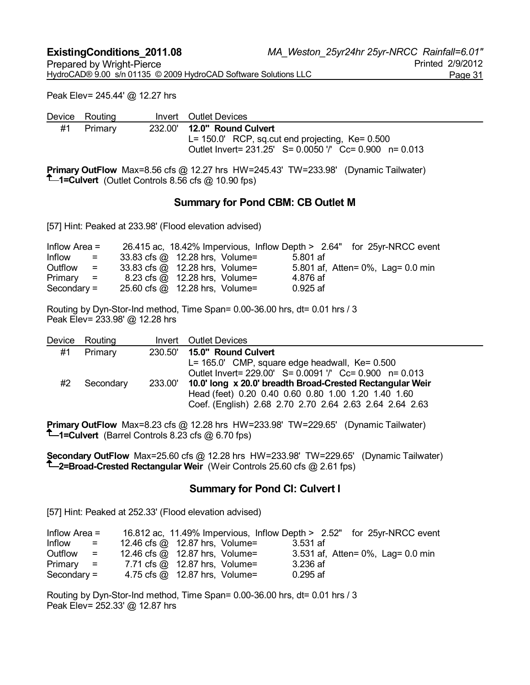Peak Elev= 245.44' @ 12.27 hrs

|    | Device Routing | Invert Outlet Devices                                                            |
|----|----------------|----------------------------------------------------------------------------------|
| #1 | Primary        | 232.00' <b>12.0" Round Culvert</b>                                               |
|    |                | $L = 150.0'$ RCP, sq.cut end projecting, Ke= 0.500                               |
|    |                | Outlet Invert = 231.25' S = 0.0050 '/' Cc = 0.900 n = 0.013                      |
|    |                | <b>B</b> * <b>A</b> #FI & A FA & A 40.0 TIME OF #0. THE OOO OOL #D * T * * * * * |

**Primary OutFlow** Max=8.56 cfs @ 12.27 hrs HW=245.43' TW=233.98' (Dynamic Tailwater) **1=Culvert** (Outlet Controls 8.56 cfs @ 10.90 fps)

#### **Summary for Pond CBM: CB Outlet M**

[57] Hint: Peaked at 233.98' (Flood elevation advised)

| Inflow Area $=$ |     |                                |            | 26.415 ac, 18.42% Impervious, Inflow Depth > 2.64" for 25yr-NRCC event |
|-----------------|-----|--------------------------------|------------|------------------------------------------------------------------------|
| Inflow          | $=$ | 33.83 cfs @ 12.28 hrs, Volume= | 5.801 af   |                                                                        |
| Outflow         | $=$ | 33.83 cfs @ 12.28 hrs, Volume= |            | 5.801 af, Atten = 0%, Lag = 0.0 min                                    |
| $Primary =$     |     | 8.23 cfs @ 12.28 hrs, Volume=  | 4.876 af   |                                                                        |
| Secondary $=$   |     | 25.60 cfs @ 12.28 hrs, Volume= | $0.925$ af |                                                                        |

Routing by Dyn-Stor-Ind method, Time Span= 0.00-36.00 hrs, dt= 0.01 hrs / 3 Peak Elev= 233.98' @ 12.28 hrs

|    | Device Routing |         | Invert Outlet Devices                                       |
|----|----------------|---------|-------------------------------------------------------------|
| #1 | Primary        |         | 230.50' 15.0" Round Culvert                                 |
|    |                |         | $L = 165.0'$ CMP, square edge headwall, $Ke = 0.500$        |
|    |                |         | Outlet Invert = 229.00' S = 0.0091 '/' Cc = 0.900 n = 0.013 |
| #2 | Secondary      | 233.00' | 10.0' long x 20.0' breadth Broad-Crested Rectangular Weir   |
|    |                |         | Head (feet) 0.20 0.40 0.60 0.80 1.00 1.20 1.40 1.60         |
|    |                |         | Coef. (English) 2.68 2.70 2.70 2.64 2.63 2.64 2.64 2.63     |
|    |                |         |                                                             |

**Primary OutFlow** Max=8.23 cfs @ 12.28 hrs HW=233.98' TW=229.65' (Dynamic Tailwater) **1-Culvert** (Barrel Controls 8.23 cfs @ 6.70 fps)

**Secondary OutFlow** Max=25.60 cfs @ 12.28 hrs HW=233.98' TW=229.65' (Dynamic Tailwater) **2=Broad-Crested Rectangular Weir** (Weir Controls 25.60 cfs @ 2.61 fps)

#### **Summary for Pond CI: Culvert I**

[57] Hint: Peaked at 252.33' (Flood elevation advised)

| Inflow Area $=$ |                           | 16.812 ac, 11.49% Impervious, Inflow Depth > 2.52" for 25yr-NRCC event |            |                                     |
|-----------------|---------------------------|------------------------------------------------------------------------|------------|-------------------------------------|
| Inflow          | $\mathbf{r} = \mathbf{r}$ | 12.46 cfs @ 12.87 hrs, Volume=                                         | 3.531 af   |                                     |
| Outflow         | $=$ $-$                   | 12.46 cfs $@$ 12.87 hrs, Volume=                                       |            | 3.531 af, Atten = 0%, Lag = 0.0 min |
| $Primary =$     |                           | 7.71 cfs @ 12.87 hrs, Volume=                                          | 3.236 af   |                                     |
| Secondary $=$   |                           | 4.75 cfs @ 12.87 hrs, Volume=                                          | $0.295$ af |                                     |

Routing by Dyn-Stor-Ind method, Time Span= 0.00-36.00 hrs, dt= 0.01 hrs / 3 Peak Elev= 252.33' @ 12.87 hrs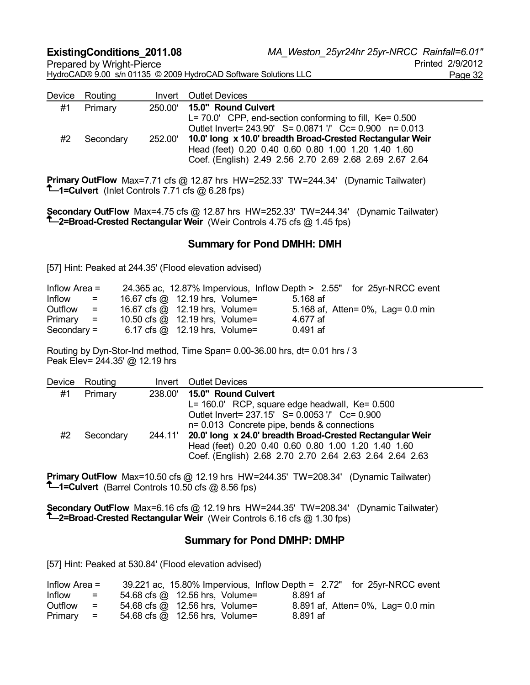HydroCAD® 9.00 s/n 01135 © 2009 HydroCAD Software Solutions LLC<br>Page 32

| Device Routing | <b>Invert</b> Outlet Devices                                      |
|----------------|-------------------------------------------------------------------|
| Primary        | 250.00' 15.0" Round Culvert                                       |
|                | $L = 70.0'$ CPP, end-section conforming to fill, Ke= 0.500        |
|                | Outlet Invert = 243.90' S = 0.0871 '/' Cc = 0.900 n = 0.013       |
| Secondary      | 252.00' 10.0' long x 10.0' breadth Broad-Crested Rectangular Weir |
|                | Head (feet) 0.20 0.40 0.60 0.80 1.00 1.20 1.40 1.60               |
|                | Coef. (English) 2.49 2.56 2.70 2.69 2.68 2.69 2.67 2.64           |
|                |                                                                   |

**Primary OutFlow** Max=7.71 cfs @ 12.87 hrs HW=252.33' TW=244.34' (Dynamic Tailwater) **1-Culvert** (Inlet Controls 7.71 cfs  $\omega$  6.28 fps)

**Secondary OutFlow** Max=4.75 cfs @ 12.87 hrs HW=252.33' TW=244.34' (Dynamic Tailwater) **2=Broad-Crested Rectangular Weir** (Weir Controls 4.75 cfs @ 1.45 fps)

#### **Summary for Pond DMHH: DMH**

[57] Hint: Peaked at 244.35' (Flood elevation advised)

| Inflow Area $=$ |                           | 24.365 ac, 12.87% Impervious, Inflow Depth > 2.55" for 25yr-NRCC event |            |                                     |
|-----------------|---------------------------|------------------------------------------------------------------------|------------|-------------------------------------|
| Inflow          | $\mathbf{r} = \mathbf{r}$ | 16.67 cfs $\omega$ 12.19 hrs, Volume=                                  | 5.168 af   |                                     |
| Outflow         | $=$                       | 16.67 cfs $\omega$ 12.19 hrs, Volume=                                  |            | 5.168 af, Atten = 0%, Lag = 0.0 min |
| $Primary =$     |                           | 10.50 cfs $@$ 12.19 hrs, Volume=                                       | 4.677 af   |                                     |
| $Secondary =$   |                           | $6.17 \text{ cfs} \textcircled{a}$ 12.19 hrs, Volume=                  | $0.491$ af |                                     |

Routing by Dyn-Stor-Ind method, Time Span= 0.00-36.00 hrs, dt= 0.01 hrs / 3 Peak Elev= 244.35' @ 12.19 hrs

| Device | Routing   |         | <b>Invert</b> Outlet Devices                              |
|--------|-----------|---------|-----------------------------------------------------------|
| #1     | Primary   |         | 238.00' 15.0" Round Culvert                               |
|        |           |         | $L = 160.0'$ RCP, square edge headwall, Ke= $0.500$       |
|        |           |         | Outlet Invert = 237.15' S = 0.0053 '/' Cc = 0.900         |
|        |           |         | n= 0.013 Concrete pipe, bends & connections               |
| #2     | Secondary | 244.11' | 20.0' long x 24.0' breadth Broad-Crested Rectangular Weir |
|        |           |         | Head (feet) 0.20 0.40 0.60 0.80 1.00 1.20 1.40 1.60       |
|        |           |         | Coef. (English) 2.68 2.70 2.70 2.64 2.63 2.64 2.64 2.63   |

**Primary OutFlow** Max=10.50 cfs @ 12.19 hrs HW=244.35' TW=208.34' (Dynamic Tailwater) **1** -Culvert (Barrel Controls 10.50 cfs @ 8.56 fps)

**Secondary OutFlow** Max=6.16 cfs @ 12.19 hrs HW=244.35' TW=208.34' (Dynamic Tailwater) **2=Broad-Crested Rectangular Weir** (Weir Controls 6.16 cfs @ 1.30 fps)

#### **Summary for Pond DMHP: DMHP**

[57] Hint: Peaked at 530.84' (Flood elevation advised)

| Inflow Area $=$ |          | 39.221 ac, 15.80% Impervious, Inflow Depth = 2.72" for 25yr-NRCC event |          |                                   |
|-----------------|----------|------------------------------------------------------------------------|----------|-----------------------------------|
| Inflow          | $=$      | 54.68 cfs @ 12.56 hrs, Volume=                                         | 8.891 af |                                   |
| Outflow         | $=$      | 54.68 cfs @ 12.56 hrs, Volume=                                         |          | 8.891 af, Atten= 0%, Lag= 0.0 min |
| Primary         | $\equiv$ | 54.68 cfs @ 12.56 hrs, Volume=                                         | 8.891 af |                                   |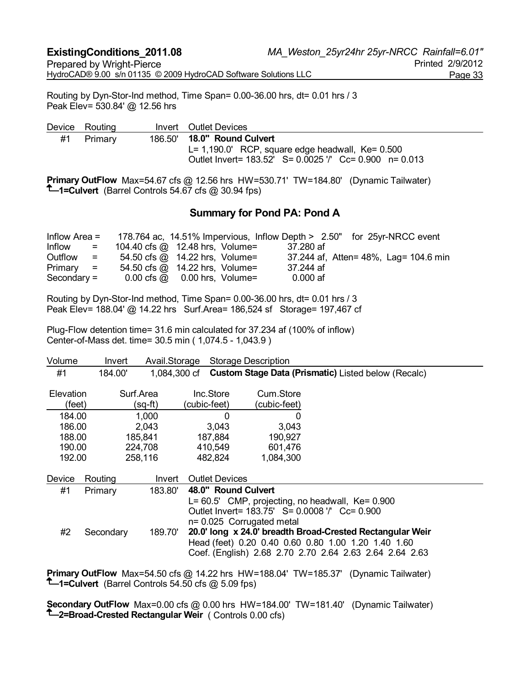Routing by Dyn-Stor-Ind method, Time Span= 0.00-36.00 hrs, dt= 0.01 hrs / 3 Peak Elev= 530.84' @ 12.56 hrs

|    | Device Routing | Invert Outlet Devices                                                                                                                                    |
|----|----------------|----------------------------------------------------------------------------------------------------------------------------------------------------------|
| #1 | Primary        | 186.50' <b>18.0" Round Culvert</b><br>$L = 1,190.0'$ RCP, square edge headwall, Ke= 0.500<br>Outlet Invert = 183.52' S = 0.0025 '/' Cc = 0.900 n = 0.013 |

**Primary OutFlow** Max=54.67 cfs @ 12.56 hrs HW=530.71' TW=184.80' (Dynamic Tailwater) **1-Culvert** (Barrel Controls 54.67 cfs @ 30.94 fps)

# **Summary for Pond PA: Pond A**

|               |                                      |                                                        |            | Inflow Area = 178.764 ac, 14.51% Impervious, Inflow Depth > 2.50" for 25yr-NRCC event |
|---------------|--------------------------------------|--------------------------------------------------------|------------|---------------------------------------------------------------------------------------|
| Inflow        | $\mathbf{r} = \mathbf{r}$            | 104.40 cfs @ 12.48 hrs, Volume=                        | 37.280 af  |                                                                                       |
| Outflow       | $\mathbf{r} = \mathbf{r} \mathbf{r}$ | 54.50 cfs @ 14.22 hrs, Volume=                         |            | 37.244 af, Atten= 48%, Lag= 104.6 min                                                 |
| $Primary =$   |                                      | 54.50 cfs @ 14.22 hrs, Volume=                         | 37.244 af  |                                                                                       |
| $Secondary =$ |                                      | $0.00 \text{ cfs} \ \omega 0.00 \text{ hrs}$ , Volume= | $0.000$ af |                                                                                       |

Routing by Dyn-Stor-Ind method, Time Span= 0.00-36.00 hrs, dt= 0.01 hrs / 3 Peak Elev= 188.04' @ 14.22 hrs Surf.Area= 186,524 sf Storage= 197,467 cf

Plug-Flow detention time= 31.6 min calculated for 37.234 af (100% of inflow) Center-of-Mass det. time= 30.5 min ( 1,074.5 - 1,043.9 )

| Volume    | Invert    | Avail.Storage |                       | <b>Storage Description</b> |                                                                  |
|-----------|-----------|---------------|-----------------------|----------------------------|------------------------------------------------------------------|
| #1        | 184.00'   |               |                       |                            | 1,084,300 cf Custom Stage Data (Prismatic) Listed below (Recalc) |
| Elevation |           | Surf.Area     | Inc.Store             | Cum.Store                  |                                                                  |
| (feet)    |           | (sq-ft)       | (cubic-feet)          | (cubic-feet)               |                                                                  |
| 184.00    |           | 1,000         | 0                     | 0                          |                                                                  |
| 186.00    |           | 2,043         | 3,043                 | 3,043                      |                                                                  |
| 188.00    |           | 185,841       | 187,884               | 190,927                    |                                                                  |
| 190.00    |           | 224,708       | 410,549               | 601,476                    |                                                                  |
| 192.00    |           | 258,116       | 482,824               | 1,084,300                  |                                                                  |
| Device    | Routing   | Invert        | <b>Outlet Devices</b> |                            |                                                                  |
| #1        | Primary   | 183.80'       | 48.0" Round Culvert   |                            |                                                                  |
|           |           |               |                       |                            | $L = 60.5'$ CMP, projecting, no headwall, Ke= 0.900              |
|           |           |               |                       |                            | Outlet Invert = 183.75' S = 0.0008 '/' Cc = 0.900                |
|           |           |               |                       | n= 0.025 Corrugated metal  |                                                                  |
| #2        | Secondary | 189.70'       |                       |                            | 20.0' long x 24.0' breadth Broad-Crested Rectangular Weir        |
|           |           |               |                       |                            | Head (feet) 0.20 0.40 0.60 0.80 1.00 1.20 1.40 1.60              |
|           |           |               |                       |                            | Coef. (English) 2.68 2.70 2.70 2.64 2.63 2.64 2.64 2.63          |

**Primary OutFlow** Max=54.50 cfs @ 14.22 hrs HW=188.04' TW=185.37' (Dynamic Tailwater) **1-Culvert** (Barrel Controls 54.50 cfs @ 5.09 fps)

**Secondary OutFlow** Max=0.00 cfs @ 0.00 hrs HW=184.00' TW=181.40' (Dynamic Tailwater) **2=Broad-Crested Rectangular Weir** ( Controls 0.00 cfs)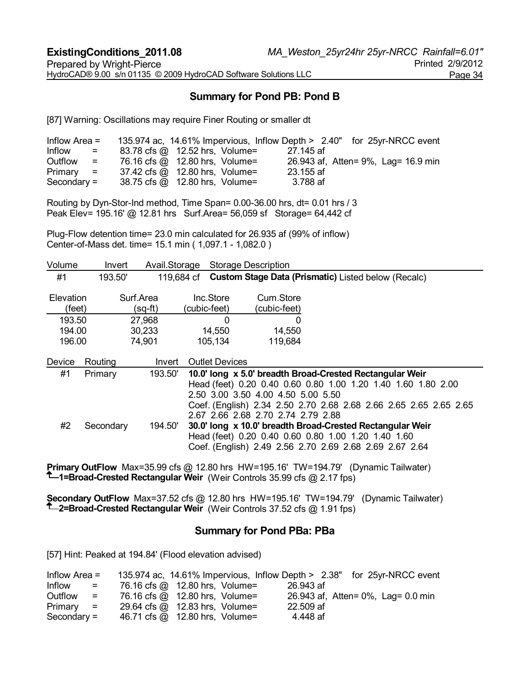# **Summary for Pond PB: Pond B**

[87] Warning: Oscillations may require Finer Routing or smaller dt

| Inflow Area $=$ |                           |                                |           | 135.974 ac, 14.61% Impervious, Inflow Depth > 2.40" for 25yr-NRCC event |
|-----------------|---------------------------|--------------------------------|-----------|-------------------------------------------------------------------------|
| Inflow          | $\mathbf{r} = \mathbf{r}$ | 83.78 cfs @ 12.52 hrs, Volume= | 27.145 af |                                                                         |
| Outflow         | $\mathbf{r} = \mathbf{r}$ | 76.16 cfs @ 12.80 hrs, Volume= |           | 26.943 af, Atten= 9%, Lag= 16.9 min                                     |
| $Primary =$     |                           | 37.42 cfs @ 12.80 hrs, Volume= | 23.155 af |                                                                         |
| $Secondary =$   |                           | 38.75 cfs @ 12.80 hrs, Volume= | 3.788 af  |                                                                         |

Routing by Dyn-Stor-Ind method, Time Span= 0.00-36.00 hrs, dt= 0.01 hrs / 3 Peak Elev= 195.16' @ 12.81 hrs Surf.Area= 56,059 sf Storage= 64,442 cf

Plug-Flow detention time= 23.0 min calculated for 26.935 af (99% of inflow) Center-of-Mass det. time= 15.1 min ( 1,097.1 - 1,082.0 )

| Volume                     | Invert    | Avail.Storage              |                               | <b>Storage Description</b>                                               |                                                                                                                                                                                                |
|----------------------------|-----------|----------------------------|-------------------------------|--------------------------------------------------------------------------|------------------------------------------------------------------------------------------------------------------------------------------------------------------------------------------------|
| #1                         | 193.50'   |                            | 119,684 cf                    |                                                                          | <b>Custom Stage Data (Prismatic)</b> Listed below (Recalc)                                                                                                                                     |
| Elevation<br>(feet)        |           | Surf.Area<br>(sq-ft)       | Inc.Store<br>(cubic-feet)     | Cum.Store<br>(cubic-feet)                                                |                                                                                                                                                                                                |
| 193.50<br>194.00<br>196.00 |           | 27,968<br>30,233<br>74,901 | $\Omega$<br>14,550<br>105,134 | 0<br>14,550<br>119,684                                                   |                                                                                                                                                                                                |
| Device                     | Routing   | Invert                     | <b>Outlet Devices</b>         |                                                                          |                                                                                                                                                                                                |
| #1                         | Primary   | 193.50'                    |                               | 2.50 3.00 3.50 4.00 4.50 5.00 5.50<br>2.67 2.66 2.68 2.70 2.74 2.79 2.88 | 10.0' long x 5.0' breadth Broad-Crested Rectangular Weir<br>Head (feet) 0.20 0.40 0.60 0.80 1.00 1.20 1.40 1.60 1.80 2.00<br>Coef. (English) 2.34 2.50 2.70 2.68 2.68 2.66 2.65 2.65 2.65 2.65 |
| #2                         | Secondary | 194.50'                    |                               |                                                                          | 30.0' long x 10.0' breadth Broad-Crested Rectangular Weir<br>Head (feet) 0.20 0.40 0.60 0.80 1.00 1.20 1.40 1.60<br>Coef. (English) 2.49 2.56 2.70 2.69 2.68 2.69 2.67 2.64                    |

**Primary OutFlow** Max=35.99 cfs @ 12.80 hrs HW=195.16' TW=194.79' (Dynamic Tailwater) **1=Broad-Crested Rectangular Weir** (Weir Controls 35.99 cfs @ 2.17 fps)

**Secondary OutFlow** Max=37.52 cfs @ 12.80 hrs HW=195.16' TW=194.79' (Dynamic Tailwater) **2=Broad-Crested Rectangular Weir** (Weir Controls 37.52 cfs @ 1.91 fps)

#### **Summary for Pond PBa: PBa**

[57] Hint: Peaked at 194.84' (Flood elevation advised)

| Inflow Area $=$ |                                      | 135.974 ac, 14.61% Impervious, Inflow Depth > 2.38" for 25yr-NRCC event |           |  |                                    |
|-----------------|--------------------------------------|-------------------------------------------------------------------------|-----------|--|------------------------------------|
| Inflow          | $\mathbf{r} = \mathbf{r} \mathbf{r}$ | 76.16 cfs @ 12.80 hrs, Volume=                                          | 26.943 af |  |                                    |
| Outflow         | $=$ $-$                              | 76.16 cfs @ 12.80 hrs, Volume=                                          |           |  | 26.943 af, Atten= 0%, Lag= 0.0 min |
| $Primary =$     |                                      | 29.64 cfs @ 12.83 hrs, Volume=                                          | 22.509 af |  |                                    |
| $Secondary =$   |                                      | 46.71 cfs @ 12.80 hrs, Volume=                                          | 4.448 af  |  |                                    |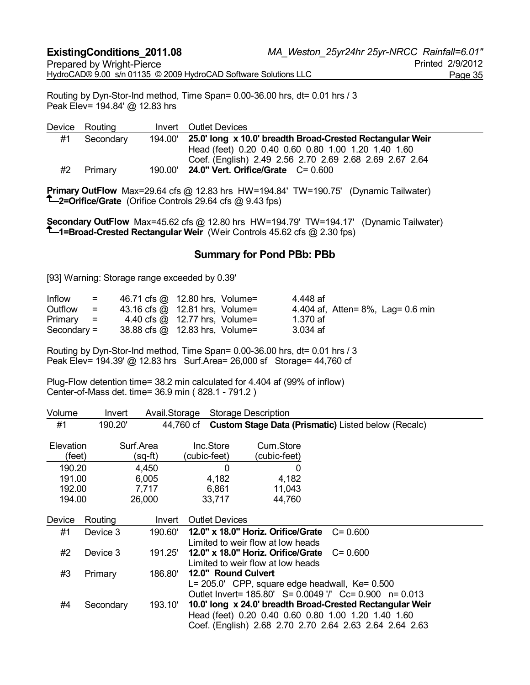Routing by Dyn-Stor-Ind method, Time Span= 0.00-36.00 hrs, dt= 0.01 hrs / 3 Peak Elev= 194.84' @ 12.83 hrs

Device Routing Invert Outlet Devices #1 Secondary 194.00' **25.0' long x 10.0' breadth Broad-Crested Rectangular Weir**  Head (feet) 0.20 0.40 0.60 0.80 1.00 1.20 1.40 1.60 Coef. (English) 2.49 2.56 2.70 2.69 2.68 2.69 2.67 2.64 #2 Primary 190.00' **24.0" Vert. Orifice/Grate** C= 0.600

**Primary OutFlow** Max=29.64 cfs @ 12.83 hrs HW=194.84' TW=190.75' (Dynamic Tailwater) **2=Orifice/Grate** (Orifice Controls 29.64 cfs @ 9.43 fps)

**Secondary OutFlow** Max=45.62 cfs @ 12.80 hrs HW=194.79' TW=194.17' (Dynamic Tailwater) **1=Broad-Crested Rectangular Weir** (Weir Controls 45.62 cfs @ 2.30 fps)

#### **Summary for Pond PBb: PBb**

[93] Warning: Storage range exceeded by 0.39'

| Inflow        | $=$               | 46.71 cfs @ 12.80 hrs, Volume=       |  | 4.448 af |                                     |
|---------------|-------------------|--------------------------------------|--|----------|-------------------------------------|
| Outflow       | $\equiv$ $\equiv$ | 43.16 cfs $@$ 12.81 hrs, Volume=     |  |          | 4.404 af, Atten = 8%, Lag = 0.6 min |
| $Primary =$   |                   | 4.40 cfs $\omega$ 12.77 hrs, Volume= |  | 1.370 af |                                     |
| $Secondary =$ |                   | 38.88 cfs @ 12.83 hrs, Volume=       |  | 3.034 af |                                     |

Routing by Dyn-Stor-Ind method, Time Span= 0.00-36.00 hrs, dt= 0.01 hrs / 3 Peak Elev= 194.39' @ 12.83 hrs Surf.Area= 26,000 sf Storage= 44,760 cf

Plug-Flow detention time= 38.2 min calculated for 4.404 af (99% of inflow) Center-of-Mass det. time= 36.9 min ( 828.1 - 791.2 )

| Volume    | Invert    | Avail.Storage |                       | Storage Description                                  |                                                            |
|-----------|-----------|---------------|-----------------------|------------------------------------------------------|------------------------------------------------------------|
| #1        | 190.20'   |               | 44,760 cf             |                                                      | <b>Custom Stage Data (Prismatic)</b> Listed below (Recalc) |
|           |           |               |                       |                                                      |                                                            |
| Elevation |           | Surf.Area     | Inc.Store             | Cum.Store                                            |                                                            |
| (feet)    |           | (sq-ft)       | (cubic-feet)          | (cubic-feet)                                         |                                                            |
| 190.20    |           | 4,450         | 0                     | 0                                                    |                                                            |
| 191.00    |           | 6,005         | 4,182                 | 4,182                                                |                                                            |
| 192.00    |           | 7,717         | 6,861                 | 11,043                                               |                                                            |
| 194.00    |           | 26,000        | 33,717                | 44,760                                               |                                                            |
|           |           |               |                       |                                                      |                                                            |
| Device    | Routing   | Invert        | <b>Outlet Devices</b> |                                                      |                                                            |
| #1        | Device 3  | 190.60'       |                       | 12.0" x 18.0" Horiz. Orifice/Grate                   | $C = 0.600$                                                |
|           |           |               |                       | Limited to weir flow at low heads                    |                                                            |
| #2        | Device 3  | 191.25'       |                       | 12.0" x 18.0" Horiz. Orifice/Grate                   | $C = 0.600$                                                |
|           |           |               |                       | Limited to weir flow at low heads                    |                                                            |
| #3        | Primary   | 186.80'       | 12.0" Round Culvert   |                                                      |                                                            |
|           |           |               |                       | $L = 205.0'$ CPP, square edge headwall, $Ke = 0.500$ |                                                            |
|           |           |               |                       |                                                      | Outlet Invert= 185.80' S= 0.0049 '/' Cc= 0.900 n= 0.013    |
| #4        | Secondary | 193.10'       |                       |                                                      | 10.0' long x 24.0' breadth Broad-Crested Rectangular Weir  |
|           |           |               |                       |                                                      | Head (feet) 0.20 0.40 0.60 0.80 1.00 1.20 1.40 1.60        |
|           |           |               |                       |                                                      | Coef. (English) 2.68 2.70 2.70 2.64 2.63 2.64 2.64 2.63    |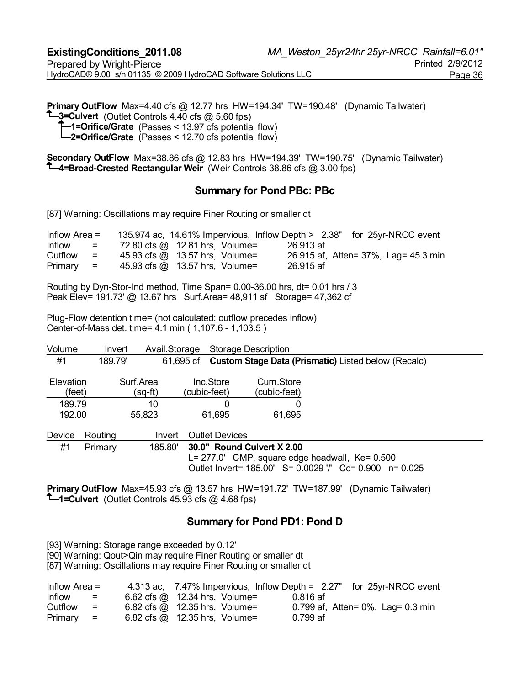**Primary OutFlow** Max=4.40 cfs @ 12.77 hrs HW=194.34' TW=190.48' (Dynamic Tailwater) **<sup>1</sup>**-3=Culvert (Outlet Controls 4.40 cfs @ 5.60 fps) **1=Orifice/Grate** (Passes < 13.97 cfs potential flow) **2=Orifice/Grate** (Passes < 12.70 cfs potential flow)

**Secondary OutFlow** Max=38.86 cfs @ 12.83 hrs HW=194.39' TW=190.75' (Dynamic Tailwater) **4=Broad-Crested Rectangular Weir** (Weir Controls 38.86 cfs @ 3.00 fps)

#### **Summary for Pond PBc: PBc**

[87] Warning: Oscillations may require Finer Routing or smaller dt

| Inflow Area $=$ |          | 135.974 ac, 14.61% Impervious, Inflow Depth > 2.38" for 25yr-NRCC event |           |  |                                      |  |
|-----------------|----------|-------------------------------------------------------------------------|-----------|--|--------------------------------------|--|
| Inflow          | $\equiv$ | 72.80 cfs @ 12.81 hrs, Volume=                                          | 26.913 af |  |                                      |  |
| Outflow         | $=$      | 45.93 cfs @ 13.57 hrs, Volume=                                          |           |  | 26.915 af, Atten= 37%, Lag= 45.3 min |  |
| $Primary =$     |          | 45.93 cfs @ 13.57 hrs, Volume=                                          | 26.915 af |  |                                      |  |

Routing by Dyn-Stor-Ind method, Time Span= 0.00-36.00 hrs, dt= 0.01 hrs / 3 Peak Elev= 191.73' @ 13.67 hrs Surf.Area= 48,911 sf Storage= 47,362 cf

Plug-Flow detention time= (not calculated: outflow precedes inflow) Center-of-Mass det. time= 4.1 min ( 1,107.6 - 1,103.5 )

| Volume                     | Invert  | Avail.Storage        | <b>Storage Description</b> |                                                     |                                                            |
|----------------------------|---------|----------------------|----------------------------|-----------------------------------------------------|------------------------------------------------------------|
| #1                         | 189.79' | 61.695 cf            |                            |                                                     | <b>Custom Stage Data (Prismatic)</b> Listed below (Recalc) |
| <b>Elevation</b><br>(feet) |         | Surf.Area<br>(sq-ft) | Inc.Store<br>(cubic-feet)  | Cum.Store<br>(cubic-feet)                           |                                                            |
| 189.79                     |         | 10                   | 0                          |                                                     |                                                            |
| 192.00                     |         | 55,823               | 61,695                     | 61,695                                              |                                                            |
| Device                     | Routing | Invert               | <b>Outlet Devices</b>      |                                                     |                                                            |
| #1                         | Primary | 185.80'              | 30.0" Round Culvert X 2.00 |                                                     |                                                            |
|                            |         |                      |                            | $L = 277.0'$ CMP, square edge headwall, Ke= $0.500$ | Outlet Invert= 185.00' S= 0.0029 '/' Cc= 0.900 n= 0.025    |

**Primary OutFlow** Max=45.93 cfs @ 13.57 hrs HW=191.72' TW=187.99' (Dynamic Tailwater) **1=Culvert** (Outlet Controls 45.93 cfs  $@$  4.68 fps)

#### **Summary for Pond PD1: Pond D**

[93] Warning: Storage range exceeded by 0.12'

[90] Warning: Qout>Qin may require Finer Routing or smaller dt

[87] Warning: Oscillations may require Finer Routing or smaller dt

| Inflow Area $=$ |                           | 4.313 ac, 7.47% Impervious, Inflow Depth = 2.27" for 25yr-NRCC event |          |                                         |
|-----------------|---------------------------|----------------------------------------------------------------------|----------|-----------------------------------------|
| Inflow          | $=$ $-$                   | 6.62 cfs $\omega$ 12.34 hrs, Volume=                                 | 0.816 af |                                         |
| Outflow         | $=$                       | $6.82 \text{ cfs} \textcircled{a}$ 12.35 hrs, Volume=                |          | 0.799 af, Atten = $0\%$ , Lag = 0.3 min |
| Primary         | $\mathbf{r} = \mathbf{r}$ | 6.82 cfs $\omega$ 12.35 hrs, Volume=                                 | 0.799 af |                                         |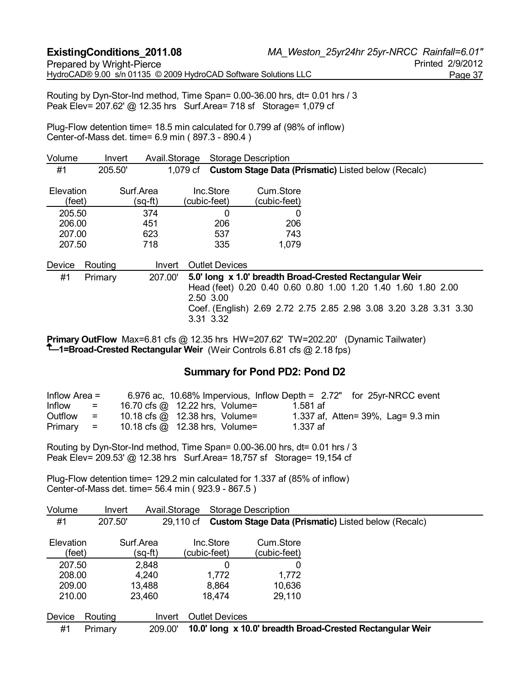Routing by Dyn-Stor-Ind method, Time Span= 0.00-36.00 hrs, dt= 0.01 hrs / 3 Peak Elev= 207.62' @ 12.35 hrs Surf.Area= 718 sf Storage= 1,079 cf

Plug-Flow detention time= 18.5 min calculated for 0.799 af (98% of inflow) Center-of-Mass det. time= 6.9 min ( 897.3 - 890.4 )

| Volume              | Invert  | Avail.Storage        |                           | <b>Storage Description</b> |                                                                   |
|---------------------|---------|----------------------|---------------------------|----------------------------|-------------------------------------------------------------------|
| #1                  | 205.50' |                      | 1,079 cf                  |                            | <b>Custom Stage Data (Prismatic)</b> Listed below (Recalc)        |
| Elevation<br>(feet) |         | Surf.Area<br>(sq-ft) | Inc.Store<br>(cubic-feet) | Cum.Store<br>(cubic-feet)  |                                                                   |
| 205.50              |         | 374                  | 0                         | 0                          |                                                                   |
| 206.00              |         | 451                  | 206                       | 206                        |                                                                   |
| 207.00              |         | 623                  | 537                       | 743                        |                                                                   |
| 207.50              |         | 718                  | 335                       | 1,079                      |                                                                   |
| Device              | Routing | Invert               | <b>Outlet Devices</b>     |                            |                                                                   |
| #1                  | Primary | 207.00               |                           |                            | 5.0' long x 1.0' breadth Broad-Crested Rectangular Weir           |
|                     |         |                      |                           |                            | Head (feet) 0.20 0.40 0.60 0.80 1.00 1.20 1.40 1.60 1.80 2.00     |
|                     |         |                      | 2.50 3.00                 |                            |                                                                   |
|                     |         |                      |                           |                            | Coef. (English) 2.69 2.72 2.75 2.85 2.98 3.08 3.20 3.28 3.31 3.30 |
|                     |         |                      | 3.31 3.32                 |                            |                                                                   |

**Primary OutFlow** Max=6.81 cfs @ 12.35 hrs HW=207.62' TW=202.20' (Dynamic Tailwater) **1-Broad-Crested Rectangular Weir** (Weir Controls 6.81 cfs @ 2.18 fps)

#### **Summary for Pond PD2: Pond D2**

| Inflow Area $=$ |     | 6.976 ac, 10.68% Impervious, Inflow Depth = 2.72" for 25yr-NRCC event |          |                                    |
|-----------------|-----|-----------------------------------------------------------------------|----------|------------------------------------|
| Inflow          | $=$ | 16.70 cfs @ 12.22 hrs, Volume=                                        | 1.581 af |                                    |
| Outflow         | $=$ | 10.18 cfs $@$ 12.38 hrs, Volume=                                      |          | 1.337 af, Atten= 39%, Lag= 9.3 min |
| $Primary =$     |     | 10.18 cfs $@$ 12.38 hrs, Volume=                                      | 1.337 af |                                    |

Routing by Dyn-Stor-Ind method, Time Span= 0.00-36.00 hrs, dt= 0.01 hrs / 3 Peak Elev= 209.53' @ 12.38 hrs Surf.Area= 18,757 sf Storage= 19,154 cf

Plug-Flow detention time= 129.2 min calculated for 1.337 af (85% of inflow) Center-of-Mass det. time= 56.4 min ( 923.9 - 867.5 )

| Volume              | Invert  |                      | Avail.Storage |                           | <b>Storage Description</b> |                                                            |
|---------------------|---------|----------------------|---------------|---------------------------|----------------------------|------------------------------------------------------------|
| #1                  | 207.50  |                      | 29.110 cf     |                           |                            | <b>Custom Stage Data (Prismatic)</b> Listed below (Recalc) |
| Elevation<br>(feet) |         | Surf.Area<br>(sq-ft) |               | Inc.Store<br>(cubic-feet) | Cum.Store<br>(cubic-feet)  |                                                            |
| 207.50              |         | 2,848                |               | 0                         | 0                          |                                                            |
| 208.00              |         | 4,240                |               | 1,772                     | 1,772                      |                                                            |
| 209.00              |         | 13,488               |               | 8,864                     | 10,636                     |                                                            |
| 210.00              |         | 23,460               |               | 18,474                    | 29,110                     |                                                            |
| <b>Device</b>       | Routing |                      | Invert        | <b>Outlet Devices</b>     |                            |                                                            |
| #1                  | Primary |                      | 209.00'       |                           |                            | 10.0' long x 10.0' breadth Broad-Crested Rectangular Weir  |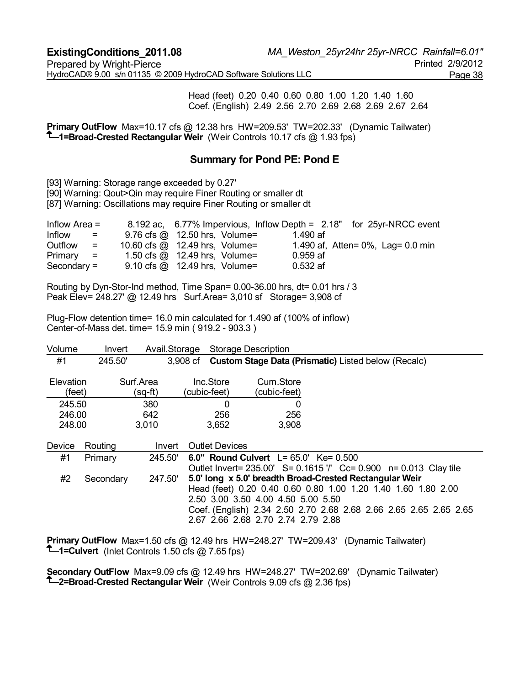Head (feet) 0.20 0.40 0.60 0.80 1.00 1.20 1.40 1.60 Coef. (English) 2.49 2.56 2.70 2.69 2.68 2.69 2.67 2.64

**Primary OutFlow** Max=10.17 cfs @ 12.38 hrs HW=209.53' TW=202.33' (Dynamic Tailwater) **1=Broad-Crested Rectangular Weir** (Weir Controls 10.17 cfs @ 1.93 fps)

## **Summary for Pond PE: Pond E**

[93] Warning: Storage range exceeded by 0.27'

[90] Warning: Qout>Qin may require Finer Routing or smaller dt

[87] Warning: Oscillations may require Finer Routing or smaller dt

| Inflow Area $=$            |     | 8.192 ac, 6.77% Impervious, Inflow Depth = 2.18" for 25yr-NRCC event |            |                                         |
|----------------------------|-----|----------------------------------------------------------------------|------------|-----------------------------------------|
| Inflow<br>and the state of |     | $9.76$ cfs $\omega$ 12.50 hrs, Volume=                               | 1.490 af   |                                         |
| Outflow                    | $=$ | 10.60 cfs @ 12.49 hrs, Volume=                                       |            | 1.490 af, Atten = $0\%$ , Lag = 0.0 min |
| $Primary =$                |     | 1.50 cfs $@$ 12.49 hrs, Volume=                                      | $0.959$ af |                                         |
| Secondary $=$              |     | $9.10 \text{ cfs} \textcircled{a}$ 12.49 hrs, Volume=                | $0.532$ af |                                         |

Routing by Dyn-Stor-Ind method, Time Span= 0.00-36.00 hrs, dt= 0.01 hrs / 3 Peak Elev= 248.27' @ 12.49 hrs Surf.Area= 3,010 sf Storage= 3,908 cf

Plug-Flow detention time= 16.0 min calculated for 1.490 af (100% of inflow) Center-of-Mass det. time= 15.9 min ( 919.2 - 903.3 )

| Volume                     | Invert    | Avail.Storage        |                           | <b>Storage Description</b>                                               |                                                                                                                                                                                               |
|----------------------------|-----------|----------------------|---------------------------|--------------------------------------------------------------------------|-----------------------------------------------------------------------------------------------------------------------------------------------------------------------------------------------|
| #1                         | 245.50'   |                      |                           |                                                                          | 3,908 cf Custom Stage Data (Prismatic) Listed below (Recalc)                                                                                                                                  |
| <b>Elevation</b><br>(feet) |           | Surf.Area<br>(sq-ft) | Inc.Store<br>(cubic-feet) | Cum.Store<br>(cubic-feet)                                                |                                                                                                                                                                                               |
| 245.50                     |           | 380                  | $\Omega$                  | 0                                                                        |                                                                                                                                                                                               |
| 246.00                     |           | 642                  | 256                       | 256                                                                      |                                                                                                                                                                                               |
| 248.00                     |           | 3,010                | 3,652                     | 3,908                                                                    |                                                                                                                                                                                               |
| Device                     | Routing   | Invert               | <b>Outlet Devices</b>     |                                                                          |                                                                                                                                                                                               |
| #1                         | Primary   | 245.50               |                           | 6.0" Round Culvert $L = 65.0'$ Ke= 0.500                                 | Outlet Invert = 235.00' S = 0.1615 '/' Cc = 0.900 n = 0.013 Clay tile                                                                                                                         |
| #2                         | Secondary | 247.50               |                           | 2.50 3.00 3.50 4.00 4.50 5.00 5.50<br>2.67 2.66 2.68 2.70 2.74 2.79 2.88 | 5.0' long x 5.0' breadth Broad-Crested Rectangular Weir<br>Head (feet) 0.20 0.40 0.60 0.80 1.00 1.20 1.40 1.60 1.80 2.00<br>Coef. (English) 2.34 2.50 2.70 2.68 2.68 2.66 2.65 2.65 2.65 2.65 |

**Primary OutFlow** Max=1.50 cfs @ 12.49 hrs HW=248.27' TW=209.43' (Dynamic Tailwater) **1=Culvert** (Inlet Controls 1.50 cfs @ 7.65 fps)

**Secondary OutFlow** Max=9.09 cfs @ 12.49 hrs HW=248.27' TW=202.69' (Dynamic Tailwater) **<sup>1</sup>-2=Broad-Crested Rectangular Weir** (Weir Controls 9.09 cfs @ 2.36 fps)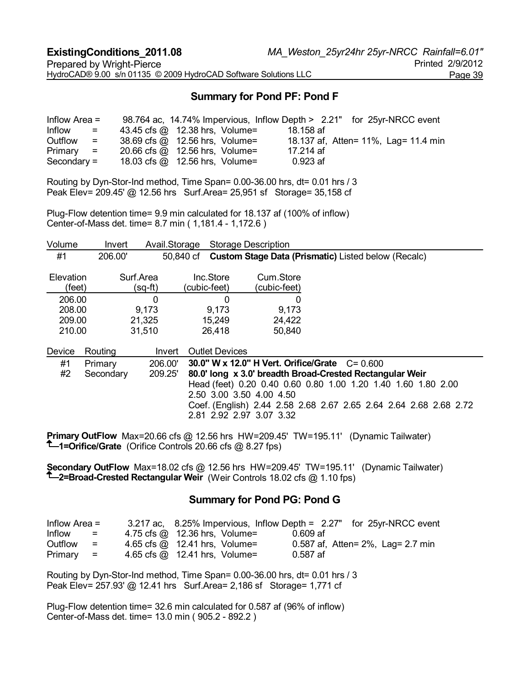# **Summary for Pond PF: Pond F**

| Inflow Area $=$ |                           |                                  |  | 98.764 ac, 14.74% Impervious, Inflow Depth > 2.21" for 25yr-NRCC event |  |                                      |  |
|-----------------|---------------------------|----------------------------------|--|------------------------------------------------------------------------|--|--------------------------------------|--|
| Inflow          | $\equiv$                  | 43.45 cfs @ 12.38 hrs, Volume=   |  | 18.158 af                                                              |  |                                      |  |
| Outflow         | $\mathbf{r} = \mathbf{r}$ | 38.69 cfs @ 12.56 hrs, Volume=   |  |                                                                        |  | 18.137 af, Atten= 11%, Lag= 11.4 min |  |
| $Primary =$     |                           | 20.66 cfs $@$ 12.56 hrs, Volume= |  | 17.214 af                                                              |  |                                      |  |
| $Secondary =$   |                           | 18.03 cfs $@$ 12.56 hrs, Volume= |  | 0.923 af                                                               |  |                                      |  |

Routing by Dyn-Stor-Ind method, Time Span= 0.00-36.00 hrs, dt= 0.01 hrs / 3 Peak Elev= 209.45' @ 12.56 hrs Surf.Area= 25,951 sf Storage= 35,158 cf

Plug-Flow detention time= 9.9 min calculated for 18.137 af (100% of inflow) Center-of-Mass det. time= 8.7 min ( 1,181.4 - 1,172.6 )

| Volume              | Invert    | Avail.Storage        |                           | <b>Storage Description</b> |                                                                   |
|---------------------|-----------|----------------------|---------------------------|----------------------------|-------------------------------------------------------------------|
| #1                  | 206.00'   |                      | 50.840 cf                 |                            | <b>Custom Stage Data (Prismatic) Listed below (Recalc)</b>        |
| Elevation<br>(feet) |           | Surf.Area<br>(sq-ft) | Inc.Store<br>(cubic-feet) | Cum.Store<br>(cubic-feet)  |                                                                   |
| 206.00              |           | 0                    | 0                         | O                          |                                                                   |
| 208.00              |           | 9,173                | 9,173                     | 9,173                      |                                                                   |
| 209.00              |           | 21,325               | 15,249                    | 24,422                     |                                                                   |
| 210.00              |           | 31,510               | 26,418                    | 50,840                     |                                                                   |
| Device              | Routing   | Invert               | <b>Outlet Devices</b>     |                            |                                                                   |
| #1                  | Primary   | 206.00'              |                           |                            | 30.0" W x 12.0" H Vert. Orifice/Grate $C = 0.600$                 |
| #2                  | Secondary | 209.25'              |                           |                            | 80.0' long x 3.0' breadth Broad-Crested Rectangular Weir          |
|                     |           |                      |                           |                            | Head (feet) 0.20 0.40 0.60 0.80 1.00 1.20 1.40 1.60 1.80 2.00     |
|                     |           |                      | 2.50 3.00 3.50 4.00 4.50  |                            |                                                                   |
|                     |           |                      |                           |                            | Coef. (English) 2.44 2.58 2.68 2.67 2.65 2.64 2.64 2.68 2.68 2.72 |
|                     |           |                      | 2.81 2.92 2.97 3.07 3.32  |                            |                                                                   |

**Primary OutFlow** Max=20.66 cfs @ 12.56 hrs HW=209.45' TW=195.11' (Dynamic Tailwater) **1=Orifice/Grate** (Orifice Controls 20.66 cfs @ 8.27 fps)

**Secondary OutFlow** Max=18.02 cfs @ 12.56 hrs HW=209.45' TW=195.11' (Dynamic Tailwater) **2=Broad-Crested Rectangular Weir** (Weir Controls 18.02 cfs @ 1.10 fps)

#### **Summary for Pond PG: Pond G**

| Inflow Area $=$ |                           |                                      |          | 3.217 ac, 8.25% Impervious, Inflow Depth = 2.27" for 25yr-NRCC event |
|-----------------|---------------------------|--------------------------------------|----------|----------------------------------------------------------------------|
| Inflow          | $\mathbf{r} = \mathbf{r}$ | 4.75 cfs @ 12.36 hrs, Volume=        | 0.609 af |                                                                      |
| Outflow         | $\equiv$                  | 4.65 cfs @ 12.41 hrs, Volume=        |          | 0.587 af, Atten = 2%, Lag = 2.7 min                                  |
| $Primary =$     |                           | 4.65 cfs $\omega$ 12.41 hrs, Volume= | 0.587 af |                                                                      |

Routing by Dyn-Stor-Ind method, Time Span= 0.00-36.00 hrs, dt= 0.01 hrs / 3 Peak Elev= 257.93' @ 12.41 hrs Surf.Area= 2,186 sf Storage= 1,771 cf

Plug-Flow detention time= 32.6 min calculated for 0.587 af (96% of inflow) Center-of-Mass det. time= 13.0 min ( 905.2 - 892.2 )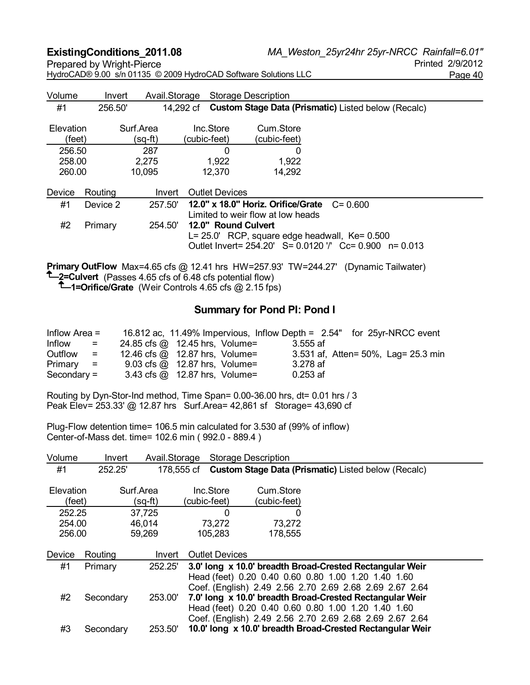HydroCAD® 9.00 s/n 01135 © 2009 HydroCAD Software Solutions LLC Page 40

Volume Invert Avail.Storage Storage Description #1 256.50' 14,292 cf **Custom Stage Data (Prismatic)** Listed below (Recalc) Elevation Surf.Area Inc.Store Cum.Store (feet) (sq-ft) (cubic-feet) (cubic-feet) 256.50 287 0 0 258.00 2,275 1,922 1,922 260.00 10,095 12,370 14,292 Device Routing Invert Outlet Devices #1 Device 2 257.50' **12.0" x 18.0" Horiz. Orifice/Grate** C= 0.600 Limited to weir flow at low heads #2 Primary 254.50' **12.0" Round Culvert**  L= 25.0' RCP, square edge headwall, Ke= 0.500 Outlet Invert= 254.20' S= 0.0120 '/' Cc= 0.900 n= 0.013 **Primary OutFlow** Max=4.65 cfs @ 12.41 hrs HW=257.93' TW=244.27' (Dynamic Tailwater)

**<sup>1</sup>**-2=Culvert (Passes 4.65 cfs of 6.48 cfs potential flow)

**1=Orifice/Grate** (Weir Controls 4.65 cfs @ 2.15 fps)

### **Summary for Pond PI: Pond I**

| Inflow Area $=$                                                  | 16.812 ac, 11.49% Impervious, Inflow Depth = 2.54" for 25yr-NRCC event |            |                                     |
|------------------------------------------------------------------|------------------------------------------------------------------------|------------|-------------------------------------|
| Inflow<br>$=$                                                    | 24.85 cfs @ 12.45 hrs, Volume=                                         | 3.555 af   |                                     |
| Outflow<br>$\mathcal{L}_{\text{max}} = \mathcal{L}_{\text{max}}$ | 12.46 cfs @ 12.87 hrs, Volume=                                         |            | 3.531 af, Atten= 50%, Lag= 25.3 min |
| $Primary =$                                                      | $9.03$ cfs $\omega$ 12.87 hrs, Volume=                                 | 3.278 af   |                                     |
| $Secondary =$                                                    | 3.43 cfs $\omega$ 12.87 hrs, Volume=                                   | $0.253$ af |                                     |

Routing by Dyn-Stor-Ind method, Time Span= 0.00-36.00 hrs, dt= 0.01 hrs / 3 Peak Elev= 253.33' @ 12.87 hrs Surf.Area= 42,861 sf Storage= 43,690 cf

Plug-Flow detention time= 106.5 min calculated for 3.530 af (99% of inflow) Center-of-Mass det. time= 102.6 min ( 992.0 - 889.4 )

| Volume    | Invert    | Avail.Storage |                       | <b>Storage Description</b> |                                                            |
|-----------|-----------|---------------|-----------------------|----------------------------|------------------------------------------------------------|
| #1        | 252.25'   | 178,555 cf    |                       |                            | <b>Custom Stage Data (Prismatic)</b> Listed below (Recalc) |
| Elevation |           | Surf.Area     | Inc.Store             | Cum.Store                  |                                                            |
| (feet)    |           | (sq-ft)       | (cubic-feet)          | (cubic-feet)               |                                                            |
| 252.25    |           | 37,725        | 0                     | O                          |                                                            |
| 254.00    |           | 46,014        | 73,272                | 73,272                     |                                                            |
| 256.00    |           | 59,269        | 105,283               | 178,555                    |                                                            |
|           |           |               |                       |                            |                                                            |
| Device    | Routing   | Invert        | <b>Outlet Devices</b> |                            |                                                            |
| #1        | Primary   | 252.25'       |                       |                            | 3.0' long x 10.0' breadth Broad-Crested Rectangular Weir   |
|           |           |               |                       |                            | Head (feet) 0.20 0.40 0.60 0.80 1.00 1.20 1.40 1.60        |
|           |           |               |                       |                            | Coef. (English) 2.49 2.56 2.70 2.69 2.68 2.69 2.67 2.64    |
| #2        | Secondary | 253.00        |                       |                            | 7.0' long x 10.0' breadth Broad-Crested Rectangular Weir   |
|           |           |               |                       |                            | Head (feet) 0.20 0.40 0.60 0.80 1.00 1.20 1.40 1.60        |
|           |           |               |                       |                            | Coef. (English) 2.49 2.56 2.70 2.69 2.68 2.69 2.67 2.64    |
| #3        | Secondary | 253.50        |                       |                            | 10.0' long x 10.0' breadth Broad-Crested Rectangular Weir  |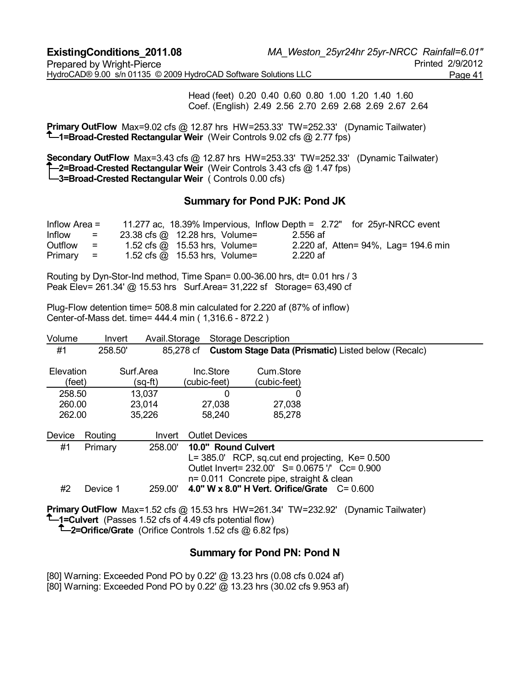Head (feet) 0.20 0.40 0.60 0.80 1.00 1.20 1.40 1.60 Coef. (English) 2.49 2.56 2.70 2.69 2.68 2.69 2.67 2.64

**Primary OutFlow** Max=9.02 cfs @ 12.87 hrs HW=253.33' TW=252.33' (Dynamic Tailwater) **1=Broad-Crested Rectangular Weir** (Weir Controls 9.02 cfs @ 2.77 fps)

**Secondary OutFlow** Max=3.43 cfs @ 12.87 hrs HW=253.33' TW=252.33' (Dynamic Tailwater) **2=Broad-Crested Rectangular Weir** (Weir Controls 3.43 cfs @ 1.47 fps) **3=Broad-Crested Rectangular Weir** ( Controls 0.00 cfs)

#### **Summary for Pond PJK: Pond JK**

| Inflow Area $=$ |                           | 11.277 ac, 18.39% Impervious, Inflow Depth = 2.72" for 25yr-NRCC event |          |                                      |  |
|-----------------|---------------------------|------------------------------------------------------------------------|----------|--------------------------------------|--|
| Inflow          | $=$                       | 23.38 cfs @ 12.28 hrs, Volume=                                         | 2.556 af |                                      |  |
| Outflow         | $\mathbf{r} = \mathbf{r}$ | 1.52 cfs $\omega$ 15.53 hrs, Volume=                                   |          | 2.220 af, Atten= 94%, Lag= 194.6 min |  |
| $Primary =$     |                           | 1.52 cfs $\omega$ 15.53 hrs, Volume=                                   | 2.220 af |                                      |  |

Routing by Dyn-Stor-Ind method, Time Span= 0.00-36.00 hrs, dt= 0.01 hrs / 3 Peak Elev= 261.34' @ 15.53 hrs Surf.Area= 31,222 sf Storage= 63,490 cf

Plug-Flow detention time= 508.8 min calculated for 2.220 af (87% of inflow) Center-of-Mass det. time= 444.4 min ( 1,316.6 - 872.2 )

| Volume                     | Invert   | Avail.Storage              |                           |                       | <b>Storage Description</b>               |                                                                                                            |
|----------------------------|----------|----------------------------|---------------------------|-----------------------|------------------------------------------|------------------------------------------------------------------------------------------------------------|
| #1                         | 258.50   |                            | 85,278 cf                 |                       |                                          | <b>Custom Stage Data (Prismatic)</b> Listed below (Recalc)                                                 |
| Elevation<br>(feet)        |          | Surf Area<br>(sq-ft)       | Inc.Store<br>(cubic-feet) |                       | Cum Store<br>(cubic-feet)                |                                                                                                            |
| 258.50<br>260.00<br>262.00 |          | 13,037<br>23,014<br>35,226 | 27,038<br>58,240          | 0                     | O<br>27,038<br>85,278                    |                                                                                                            |
| Device                     | Routina  | Invert                     |                           | <b>Outlet Devices</b> |                                          |                                                                                                            |
| #1                         | Primary  | 258.00'                    |                           | 10.0" Round Culvert   | n= 0.011 Concrete pipe, straight & clean | $L = 385.0'$ RCP, sq.cut end projecting, $Ke = 0.500$<br>Outlet Invert = 232.00' S = 0.0675 '/' Cc = 0.900 |
| #2                         | Device 1 | 259.00                     |                           |                       |                                          | 4.0" W x 8.0" H Vert. Orifice/Grate $C = 0.600$                                                            |

**Primary OutFlow** Max=1.52 cfs @ 15.53 hrs HW=261.34' TW=232.92' (Dynamic Tailwater) **1** = Culvert (Passes 1.52 cfs of 4.49 cfs potential flow)

**1**-2=Orifice/Grate (Orifice Controls 1.52 cfs @ 6.82 fps)

# **Summary for Pond PN: Pond N**

[80] Warning: Exceeded Pond PO by 0.22' @ 13.23 hrs (0.08 cfs 0.024 af)

[80] Warning: Exceeded Pond PO by 0.22' @ 13.23 hrs (30.02 cfs 9.953 af)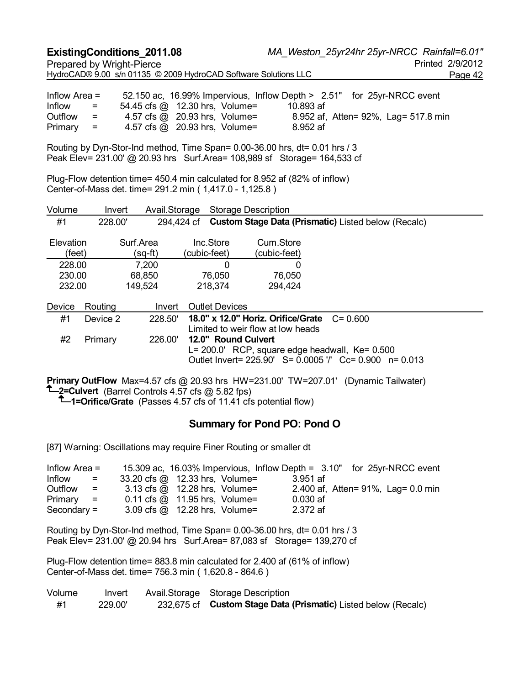|                                               | <b>ExistingConditions_2011.08</b><br><b>Prepared by Wright-Pierce</b> |                        |                                                                 | HydroCAD® 9.00 s/n 01135 © 2009 HydroCAD Software Solutions LLC                                                                                                       |             | MA Weston 25yr24hr 25yr-NRCC Rainfall=6.01" | Printed 2/9/2012<br>Page 42 |
|-----------------------------------------------|-----------------------------------------------------------------------|------------------------|-----------------------------------------------------------------|-----------------------------------------------------------------------------------------------------------------------------------------------------------------------|-------------|---------------------------------------------|-----------------------------|
| Inflow Area =<br>Inflow<br>Outflow<br>Primary | $=$<br>$=$<br>$\equiv$                                                |                        | 54.45 cfs @ 12.30 hrs, Volume=<br>4.57 cfs @ 20.93 hrs, Volume= | 52.150 ac, 16.99% Impervious, Inflow Depth > 2.51" for 25yr-NRCC event<br>10.893 af<br>4.57 cfs @ 20.93 hrs, Volume= 8.952 af, Atten= 92%, Lag= 517.8 min<br>8.952 af |             |                                             |                             |
|                                               |                                                                       |                        |                                                                 | Routing by Dyn-Stor-Ind method, Time Span= 0.00-36.00 hrs, dt= 0.01 hrs / 3<br>Peak Elev= 231.00' @ 20.93 hrs Surf.Area= 108,989 sf Storage= 164,533 cf               |             |                                             |                             |
|                                               |                                                                       |                        | Center-of-Mass det. time= 291.2 min (1,417.0 - 1,125.8)         | Plug-Flow detention time= 450.4 min calculated for 8.952 af (82% of inflow)                                                                                           |             |                                             |                             |
| Volume                                        | Invert                                                                |                        | Avail.Storage Storage Description                               |                                                                                                                                                                       |             |                                             |                             |
| #1                                            | 228.00'                                                               |                        |                                                                 | 294,424 cf Custom Stage Data (Prismatic) Listed below (Recalc)                                                                                                        |             |                                             |                             |
| Elevation<br>(feet)                           |                                                                       | Surf.Area<br>$(sq-ft)$ | Inc.Store<br>(cubic-feet)                                       | Cum.Store<br>(cubic-feet)                                                                                                                                             |             |                                             |                             |
| 228.00                                        |                                                                       | 7,200                  | $\Omega$                                                        | $\Omega$                                                                                                                                                              |             |                                             |                             |
| 230.00<br>232.00                              |                                                                       | 68,850<br>149,524      | 76,050<br>218,374                                               | 76,050<br>294,424                                                                                                                                                     |             |                                             |                             |
| Device                                        | Routing                                                               |                        | Invert Outlet Devices                                           |                                                                                                                                                                       |             |                                             |                             |
| #1                                            | Device 2                                                              | 228.50'                |                                                                 | 18.0" x 12.0" Horiz. Orifice/Grate                                                                                                                                    | $C = 0.600$ |                                             |                             |
| #2                                            | Primary                                                               | 226.00'                | 12.0" Round Culvert                                             | Limited to weir flow at low heads                                                                                                                                     |             |                                             |                             |
|                                               |                                                                       |                        |                                                                 | L= 200.0' RCP, square edge headwall, Ke= 0.500<br>Outlet Invert= 225.90' S= 0.0005 '/' Cc= 0.900 n= 0.013                                                             |             |                                             |                             |
|                                               |                                                                       |                        | $T$ 2=Culvert (Barrel Controls 4.57 cfs @ 5.82 fps)             | Primary OutFlow Max=4.57 cfs @ 20.93 hrs HW=231.00' TW=207.01' (Dynamic Tailwater)<br><sup>T</sup> —1=Orifice/Grate (Passes 4.57 cfs of 11.41 cfs potential flow)     |             |                                             |                             |
|                                               |                                                                       |                        |                                                                 | <b>Summary for Pond PO: Pond O</b>                                                                                                                                    |             |                                             |                             |
|                                               |                                                                       |                        |                                                                 | [87] Warning: Oscillations may require Finer Routing or smaller dt                                                                                                    |             |                                             |                             |
| Inflow Area =                                 |                                                                       |                        |                                                                 | 15.309 ac, 16.03% Impervious, Inflow Depth = 3.10" for 25yr-NRCC event                                                                                                |             |                                             |                             |

| $\overline{\phantom{a}}$ innow $\overline{\phantom{a}}$ | <b>10.000 ac, 10.0070 importious, import Depth = 10.10 Fig. 2011-111100 CYCHL</b> |            |                                    |
|---------------------------------------------------------|-----------------------------------------------------------------------------------|------------|------------------------------------|
| Inflow<br>$=$                                           | 33.20 cfs @ 12.33 hrs, Volume=                                                    | $3.951$ af |                                    |
| Outflow                                                 | 3.13 cfs $\omega$ 12.28 hrs, Volume=                                              |            | 2.400 af, Atten= 91%, Lag= 0.0 min |
| $Primary =$                                             | 0.11 cfs $@$ 11.95 hrs, Volume=                                                   | $0.030$ af |                                    |
| $Secondary =$                                           | 3.09 cfs $\omega$ 12.28 hrs, Volume=                                              | 2.372 af   |                                    |
|                                                         |                                                                                   |            |                                    |

Routing by Dyn-Stor-Ind method, Time Span= 0.00-36.00 hrs, dt= 0.01 hrs / 3 Peak Elev= 231.00' @ 20.94 hrs Surf.Area= 87,083 sf Storage= 139,270 cf

Plug-Flow detention time= 883.8 min calculated for 2.400 af (61% of inflow) Center-of-Mass det. time= 756.3 min ( 1,620.8 - 864.6 )

| Volume |         | Invert Avail.Storage Storage Description                       |
|--------|---------|----------------------------------------------------------------|
| #1     | 229.00' | 232,675 cf Custom Stage Data (Prismatic) Listed below (Recalc) |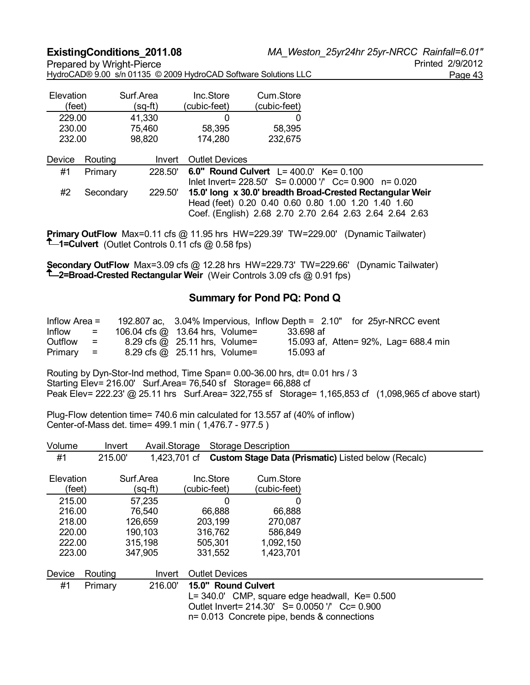| Elevation                |         | Surf.Area | Inc.Store             | Cum.Store                                 |                                                                                                                |
|--------------------------|---------|-----------|-----------------------|-------------------------------------------|----------------------------------------------------------------------------------------------------------------|
| (feet)                   |         | (sq-ft)   | (cubic-feet)          | (cubic-feet)                              |                                                                                                                |
| 229.00                   |         | 41,330    |                       | 0                                         |                                                                                                                |
| 230.00                   |         | 75,460    | 58,395                | 58,395                                    |                                                                                                                |
| 232.00                   |         | 98,820    | 174,280               | 232,675                                   |                                                                                                                |
| Device                   | Routing | Invert    | <b>Outlet Devices</b> |                                           |                                                                                                                |
| #1                       | Primary | 228.50    |                       | 6.0" Round Culvert $L = 400.0'$ Ke= 0.100 |                                                                                                                |
|                          |         |           |                       |                                           | lnlet Invert= 228.50' S= 0.0000 '/' Cc= 0.900<br>$n = 0.020$                                                   |
| $\overline{\phantom{a}}$ | $\sim$  |           |                       |                                           | 1 – ALAIL II – ALAIL – ALAIL II – ALAIL – ALAIL – ALAIL – ALAIL – ALAIL – ALAIL – ALAIL – ALAIL – ALAIL – ALAI |

#2 Secondary 229.50' **15.0' long x 30.0' breadth Broad-Crested Rectangular Weir**  Head (feet) 0.20 0.40 0.60 0.80 1.00 1.20 1.40 1.60 Coef. (English) 2.68 2.70 2.70 2.64 2.63 2.64 2.64 2.63

**Primary OutFlow** Max=0.11 cfs @ 11.95 hrs HW=229.39' TW=229.00' (Dynamic Tailwater) **1=Culvert** (Outlet Controls 0.11 cfs @ 0.58 fps)

**Secondary OutFlow** Max=3.09 cfs @ 12.28 hrs HW=229.73' TW=229.66' (Dynamic Tailwater) **2=Broad-Crested Rectangular Weir** (Weir Controls 3.09 cfs @ 0.91 fps)

### **Summary for Pond PQ: Pond Q**

| Inflow Area $=$ |                           |                                 |           | 192.807 ac, 3.04% Impervious, Inflow Depth = 2.10" for 25yr-NRCC event |
|-----------------|---------------------------|---------------------------------|-----------|------------------------------------------------------------------------|
| Inflow          | $\equiv$                  | 106.04 cfs @ 13.64 hrs, Volume= | 33.698 af |                                                                        |
| Outflow         | $\equiv$ $\equiv$         | 8.29 cfs @ 25.11 hrs, Volume=   |           | 15.093 af, Atten= 92%, Lag= 688.4 min                                  |
| Primary         | $\mathbf{r} = \mathbf{r}$ | 8.29 cfs @ 25.11 hrs, Volume=   | 15.093 af |                                                                        |

Routing by Dyn-Stor-Ind method, Time Span= 0.00-36.00 hrs, dt= 0.01 hrs / 3 Starting Elev= 216.00' Surf.Area= 76,540 sf Storage= 66,888 cf Peak Elev= 222.23' @ 25.11 hrs Surf.Area= 322,755 sf Storage= 1,165,853 cf (1,098,965 cf above start)

Plug-Flow detention time= 740.6 min calculated for 13.557 af (40% of inflow) Center-of-Mass det. time= 499.1 min ( 1,476.7 - 977.5 )

| Volume              | Invert  |                      | Avail.Storage |                           | <b>Storage Description</b> |                                                                                                                                                            |
|---------------------|---------|----------------------|---------------|---------------------------|----------------------------|------------------------------------------------------------------------------------------------------------------------------------------------------------|
| #1                  | 215.00' |                      |               |                           |                            | 1,423,701 cf Custom Stage Data (Prismatic) Listed below (Recalc)                                                                                           |
| Elevation<br>(feet) |         | Surf.Area<br>(sq-ft) |               | Inc.Store<br>(cubic-feet) | Cum.Store<br>(cubic-feet)  |                                                                                                                                                            |
|                     |         |                      |               |                           |                            |                                                                                                                                                            |
| 215.00              |         | 57,235               |               | $\Omega$                  | 0                          |                                                                                                                                                            |
| 216.00              |         | 76,540               |               | 66,888                    | 66,888                     |                                                                                                                                                            |
| 218.00              |         | 126,659              |               | 203,199                   | 270,087                    |                                                                                                                                                            |
| 220.00              |         | 190,103              |               | 316,762                   | 586,849                    |                                                                                                                                                            |
| 222.00              |         | 315,198              |               | 505,301                   | 1,092,150                  |                                                                                                                                                            |
| 223.00              |         | 347,905              |               | 331,552                   | 1,423,701                  |                                                                                                                                                            |
| Device              | Routing |                      | Invert        | <b>Outlet Devices</b>     |                            |                                                                                                                                                            |
| #1                  | Primary | 216.00'              |               | 15.0" Round Culvert       |                            |                                                                                                                                                            |
|                     |         |                      |               |                           |                            | $L = 340.0'$ CMP, square edge headwall, Ke= $0.500$<br>Outlet Invert = 214.30' S = 0.0050 '/' Cc = 0.900<br>$n = 0.013$ Concrete pipe, bends & connections |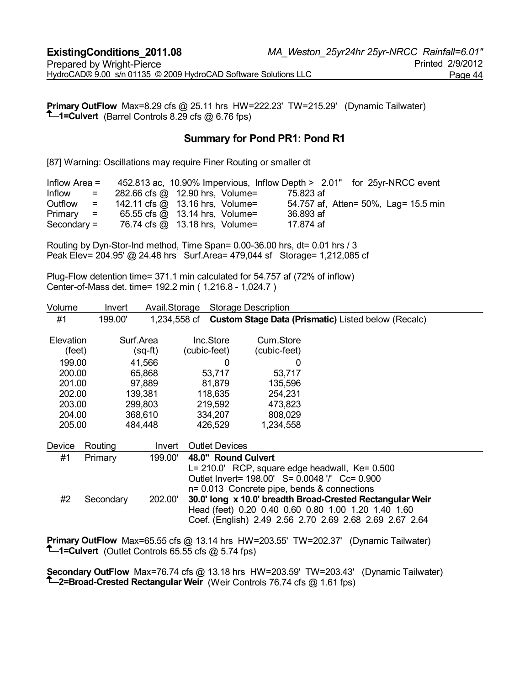**Primary OutFlow** Max=8.29 cfs @ 25.11 hrs HW=222.23' TW=215.29' (Dynamic Tailwater) **1** -Culvert (Barrel Controls 8.29 cfs @ 6.76 fps)

#### **Summary for Pond PR1: Pond R1**

[87] Warning: Oscillations may require Finer Routing or smaller dt

| Inflow Area $=$ |                                            |                                 |           | 452.813 ac, 10.90% Impervious, Inflow Depth > 2.01" for 25yr-NRCC event |
|-----------------|--------------------------------------------|---------------------------------|-----------|-------------------------------------------------------------------------|
| Inflow          | a mar mar a tr                             | 282.66 cfs @ 12.90 hrs, Volume= | 75.823 af |                                                                         |
| Outflow         | $\mathbf{r} = \mathbf{r} \cdot \mathbf{r}$ | 142.11 cfs @ 13.16 hrs, Volume= |           | 54.757 af, Atten= 50%, Lag= 15.5 min                                    |
| $Primary =$     |                                            | 65.55 cfs @ 13.14 hrs, Volume=  | 36.893 af |                                                                         |
| $Secondary =$   |                                            | 76.74 cfs @ 13.18 hrs, Volume=  | 17.874 af |                                                                         |

Routing by Dyn-Stor-Ind method, Time Span= 0.00-36.00 hrs, dt= 0.01 hrs / 3 Peak Elev= 204.95' @ 24.48 hrs Surf.Area= 479,044 sf Storage= 1,212,085 cf

Plug-Flow detention time= 371.1 min calculated for 54.757 af (72% of inflow) Center-of-Mass det. time= 192.2 min ( 1,216.8 - 1,024.7 )

| Volume    | Invert    | Avail.Storage |                       | <b>Storage Description</b> |                                                            |
|-----------|-----------|---------------|-----------------------|----------------------------|------------------------------------------------------------|
| #1        | 199.00'   | 1,234,558 cf  |                       |                            | <b>Custom Stage Data (Prismatic)</b> Listed below (Recalc) |
| Elevation |           | Surf.Area     | Inc.Store             | Cum.Store                  |                                                            |
| (feet)    |           | (sq-ft)       | (cubic-feet)          | (cubic-feet)               |                                                            |
| 199.00    |           | 41,566        | $\Omega$              | 0                          |                                                            |
| 200.00    |           | 65,868        | 53,717                | 53,717                     |                                                            |
| 201.00    |           | 97,889        | 81,879                | 135,596                    |                                                            |
| 202.00    |           | 139,381       | 118,635               | 254,231                    |                                                            |
| 203.00    |           | 299,803       | 219,592               | 473,823                    |                                                            |
| 204.00    |           | 368,610       | 334,207               | 808,029                    |                                                            |
| 205.00    |           | 484,448       | 426,529               | 1,234,558                  |                                                            |
| Device    | Routing   | Invert        | <b>Outlet Devices</b> |                            |                                                            |
| #1        | Primary   | 199.00'       | 48.0" Round Culvert   |                            |                                                            |
|           |           |               |                       |                            | $L = 210.0'$ RCP, square edge headwall, Ke= 0.500          |
|           |           |               |                       |                            | Outlet Invert= 198.00' S= 0.0048 '/' Cc= 0.900             |
|           |           |               |                       |                            | $n = 0.013$ Concrete pipe, bends & connections             |
| #2        | Secondary | 202.00'       |                       |                            | 30.0' long x 10.0' breadth Broad-Crested Rectangular Weir  |
|           |           |               |                       |                            | Head (feet) 0.20 0.40 0.60 0.80 1.00 1.20 1.40 1.60        |
|           |           |               |                       |                            | Coef. (English) 2.49 2.56 2.70 2.69 2.68 2.69 2.67 2.64    |

**Primary OutFlow** Max=65.55 cfs @ 13.14 hrs HW=203.55' TW=202.37' (Dynamic Tailwater) **1** = Culvert (Outlet Controls 65.55 cfs @ 5.74 fps)

**Secondary OutFlow** Max=76.74 cfs @ 13.18 hrs HW=203.59' TW=203.43' (Dynamic Tailwater) **2=Broad-Crested Rectangular Weir** (Weir Controls 76.74 cfs @ 1.61 fps)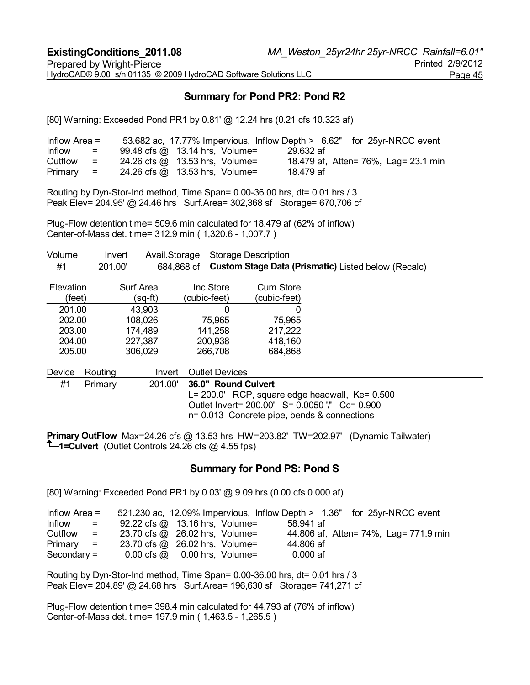# **Summary for Pond PR2: Pond R2**

[80] Warning: Exceeded Pond PR1 by 0.81' @ 12.24 hrs (0.21 cfs 10.323 af)

| Inflow Area $=$ |                   |                                |  |           |  | 53.682 ac, 17.77% Impervious, Inflow Depth > 6.62" for 25yr-NRCC event |
|-----------------|-------------------|--------------------------------|--|-----------|--|------------------------------------------------------------------------|
| Inflow          | $=$               | 99.48 cfs @ 13.14 hrs, Volume= |  | 29.632 af |  |                                                                        |
| Outflow         | $\equiv$ $\equiv$ | 24.26 cfs @ 13.53 hrs, Volume= |  |           |  | 18.479 af, Atten= 76%, Lag= 23.1 min                                   |
| $Primary =$     |                   | 24.26 cfs @ 13.53 hrs, Volume= |  | 18.479 af |  |                                                                        |

Routing by Dyn-Stor-Ind method, Time Span= 0.00-36.00 hrs, dt= 0.01 hrs / 3 Peak Elev= 204.95' @ 24.46 hrs Surf.Area= 302,368 sf Storage= 670,706 cf

Plug-Flow detention time= 509.6 min calculated for 18.479 af (62% of inflow) Center-of-Mass det. time= 312.9 min ( 1,320.6 - 1,007.7 )

| Volume                                                      | Invert  | Avail.Storage                                                   |                                                           | <b>Storage Description</b>                                                                                                                                                   |
|-------------------------------------------------------------|---------|-----------------------------------------------------------------|-----------------------------------------------------------|------------------------------------------------------------------------------------------------------------------------------------------------------------------------------|
| #1                                                          | 201.00  | 684,868 cf                                                      |                                                           | <b>Custom Stage Data (Prismatic)</b> Listed below (Recalc)                                                                                                                   |
| Elevation<br>(feet)<br>201.00<br>202.00<br>203.00<br>204.00 |         | Surf Area<br>(sq-ft)<br>43,903<br>108,026<br>174,489<br>227,387 | Inc.Store<br>(cubic-feet)<br>75,965<br>141,258<br>200,938 | Cum Store<br>(cubic-feet)<br>$\Omega$<br>0<br>75,965<br>217,222<br>418,160                                                                                                   |
| 205.00                                                      |         | 306,029                                                         | 266,708                                                   | 684,868                                                                                                                                                                      |
| Device                                                      | Routing | Invert                                                          | <b>Outlet Devices</b>                                     |                                                                                                                                                                              |
| #1                                                          | Primary | 201.00'                                                         |                                                           | 36.0" Round Culvert<br>L= 200.0' RCP, square edge headwall, Ke= 0.500<br>Outlet Invert = 200.00' S = 0.0050 '/' Cc = 0.900<br>$n = 0.013$ Concrete pipe, bends & connections |

**Primary OutFlow** Max=24.26 cfs @ 13.53 hrs HW=203.82' TW=202.97' (Dynamic Tailwater) **1=Culvert** (Outlet Controls 24.26 cfs @ 4.55 fps)

#### **Summary for Pond PS: Pond S**

[80] Warning: Exceeded Pond PR1 by 0.03' @ 9.09 hrs (0.00 cfs 0.000 af)

| Inflow Area $=$                      |                                                        |            | 521.230 ac, 12.09% Impervious, Inflow Depth > 1.36" for 25yr-NRCC event |
|--------------------------------------|--------------------------------------------------------|------------|-------------------------------------------------------------------------|
| Inflow<br>$\mathbf{r} = \mathbf{r}$  | 92.22 cfs $@.13.16$ hrs, Volume=                       | 58.941 af  |                                                                         |
| Outflow<br>$\mathbf{r} = \mathbf{r}$ | 23.70 cfs @ 26.02 hrs, Volume=                         |            | 44.806 af, Atten = 74%, Lag = 771.9 min                                 |
| $Primary =$                          | 23.70 cfs @ 26.02 hrs, Volume=                         | 44.806 af  |                                                                         |
| Secondary $=$                        | $0.00 \text{ cfs} \ \omega 0.00 \text{ hrs}$ , Volume= | $0.000$ af |                                                                         |

Routing by Dyn-Stor-Ind method, Time Span= 0.00-36.00 hrs, dt= 0.01 hrs / 3 Peak Elev= 204.89' @ 24.68 hrs Surf.Area= 196,630 sf Storage= 741,271 cf

Plug-Flow detention time= 398.4 min calculated for 44.793 af (76% of inflow) Center-of-Mass det. time= 197.9 min ( 1,463.5 - 1,265.5 )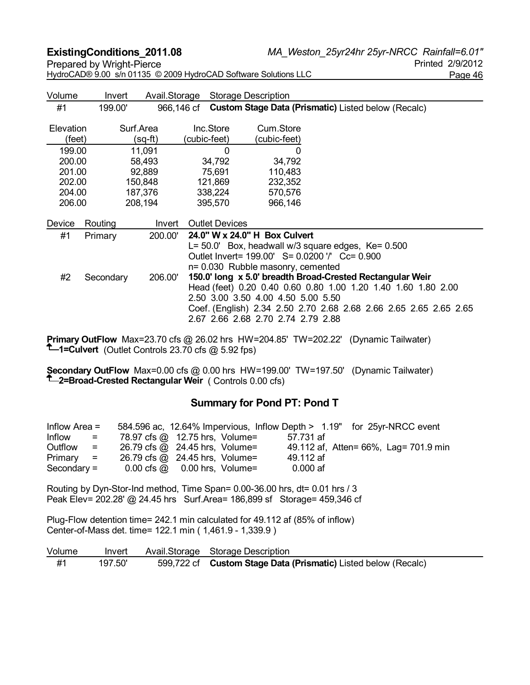**ExistingConditions\_2011.08** *MA\_Weston\_25yr24hr 25yr-NRCC Rainfall=6.01"* Prepared by Wright-Pierce **Prepared by Wright-Pierce** Printed 2/9/2012 HydroCAD® 9.00 s/n 01135 © 2009 HydroCAD Software Solutions LLC Page 46 Volume Invert Avail.Storage Storage Description #1 199.00' 966,146 cf **Custom Stage Data (Prismatic)** Listed below (Recalc) Elevation Surf.Area Inc.Store Cum.Store (feet) (sq-ft) (cubic-feet) (cubic-feet) 199.00 11,091 0 0 200.00 58,493 34,792 34,792 201.00 92,889 75,691 110,483 202.00 150,848 121,869 232,352 204.00 187,376 338,224 570,576 206.00 208,194 395,570 966,146 Device Routing Invert Outlet Devices #1 Primary 200.00' **24.0" W x 24.0" H Box Culvert**  L= 50.0' Box, headwall w/3 square edges, Ke= 0.500 Outlet Invert= 199.00' S= 0.0200 '/' Cc= 0.900 n= 0.030 Rubble masonry, cemented #2 Secondary 206.00' **150.0' long x 5.0' breadth Broad-Crested Rectangular Weir** 

Head (feet) 0.20 0.40 0.60 0.80 1.00 1.20 1.40 1.60 1.80 2.00 2.50 3.00 3.50 4.00 4.50 5.00 5.50 Coef. (English) 2.34 2.50 2.70 2.68 2.68 2.66 2.65 2.65 2.65 2.65 2.67 2.66 2.68 2.70 2.74 2.79 2.88

**Primary OutFlow** Max=23.70 cfs @ 26.02 hrs HW=204.85' TW=202.22' (Dynamic Tailwater) **1=Culvert** (Outlet Controls 23.70 cfs @ 5.92 fps)

**Secondary OutFlow** Max=0.00 cfs @ 0.00 hrs HW=199.00' TW=197.50' (Dynamic Tailwater) **2=Broad-Crested Rectangular Weir** ( Controls 0.00 cfs)

#### **Summary for Pond PT: Pond T**

| Inflow Area $=$ |          |                                                        |  | 584.596 ac, 12.64% Impervious, Inflow Depth > 1.19" for 25yr-NRCC event |  |                                         |
|-----------------|----------|--------------------------------------------------------|--|-------------------------------------------------------------------------|--|-----------------------------------------|
| Inflow          | $\equiv$ | 78.97 cfs @ 12.75 hrs, Volume=                         |  | 57.731 af                                                               |  |                                         |
| Outflow         | $=$      | 26.79 cfs @ 24.45 hrs, Volume=                         |  |                                                                         |  | 49.112 af, Atten = 66%, Lag = 701.9 min |
| $Primary =$     |          | 26.79 cfs @ 24.45 hrs, Volume=                         |  | 49.112 af                                                               |  |                                         |
| $Secondary =$   |          | $0.00 \text{ cfs} \ \omega 0.00 \text{ hrs}$ , Volume= |  | $0.000$ af                                                              |  |                                         |

Routing by Dyn-Stor-Ind method, Time Span= 0.00-36.00 hrs, dt= 0.01 hrs / 3 Peak Elev= 202.28' @ 24.45 hrs Surf.Area= 186,899 sf Storage= 459,346 cf

Plug-Flow detention time= 242.1 min calculated for 49.112 af (85% of inflow) Center-of-Mass det. time= 122.1 min ( 1,461.9 - 1,339.9 )

| Volume | Invert  | Avail.Storage Storage Description                              |
|--------|---------|----------------------------------------------------------------|
| #1     | 197.50' | 599,722 cf Custom Stage Data (Prismatic) Listed below (Recalc) |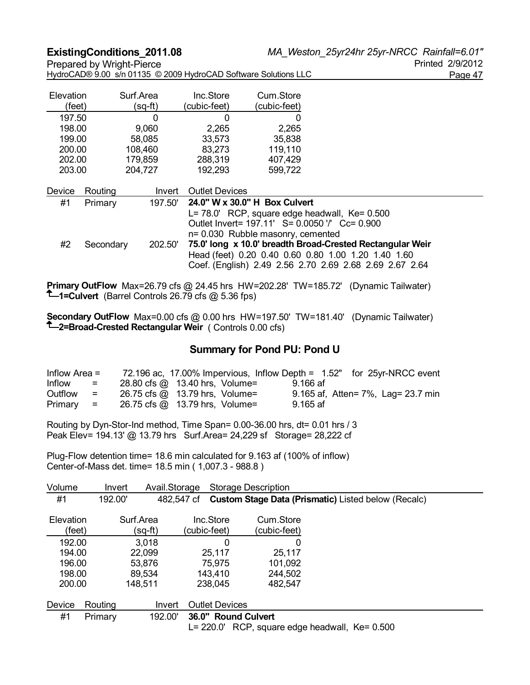| Elevation |                     | Surf.Area | Inc.Store                         | Cum.Store    |                                                                                                                                                                                                                                                                                |
|-----------|---------------------|-----------|-----------------------------------|--------------|--------------------------------------------------------------------------------------------------------------------------------------------------------------------------------------------------------------------------------------------------------------------------------|
| (feet)    |                     | $(sq-ft)$ | (cubic-feet)                      | (cubic-feet) |                                                                                                                                                                                                                                                                                |
| 197.50    |                     | 0         | 0                                 | 0            |                                                                                                                                                                                                                                                                                |
| 198.00    |                     | 9,060     | 2,265                             | 2,265        |                                                                                                                                                                                                                                                                                |
| 199.00    |                     | 58,085    | 33,573                            | 35,838       |                                                                                                                                                                                                                                                                                |
| 200.00    |                     | 108,460   | 83,273                            | 119,110      |                                                                                                                                                                                                                                                                                |
| 202.00    |                     | 179,859   | 288,319                           | 407,429      |                                                                                                                                                                                                                                                                                |
| 203.00    |                     | 204,727   | 192,293                           | 599,722      |                                                                                                                                                                                                                                                                                |
| Device    | Routing             | Invert    | <b>Outlet Devices</b>             |              |                                                                                                                                                                                                                                                                                |
| #1        | Primary             | 197.50'   | 24.0" W x 30.0" H Box Culvert     |              |                                                                                                                                                                                                                                                                                |
| #2        | 202.50<br>Secondary |           | n= 0.030 Rubble masonry, cemented |              | L= 78.0' RCP, square edge headwall, Ke= 0.500<br>Outlet Invert= 197.11' S= 0.0050 '/' Cc= 0.900<br>75.0' long x 10.0' breadth Broad-Crested Rectangular Weir<br>Head (feet) 0.20 0.40 0.60 0.80 1.00 1.20 1.40 1.60<br>Coef. (English) 2.49 2.56 2.70 2.69 2.68 2.69 2.67 2.64 |

**Primary OutFlow** Max=26.79 cfs @ 24.45 hrs HW=202.28' TW=185.72' (Dynamic Tailwater) **1=Culvert** (Barrel Controls 26.79 cfs @ 5.36 fps)

**Secondary OutFlow** Max=0.00 cfs @ 0.00 hrs HW=197.50' TW=181.40' (Dynamic Tailwater) **1**-2=Broad-Crested Rectangular Weir ( Controls 0.00 cfs)

#### **Summary for Pond PU: Pond U**

| Inflow Area $=$ |                           |                                |            | 72.196 ac, 17.00% Impervious, Inflow Depth = 1.52" for 25yr-NRCC event |
|-----------------|---------------------------|--------------------------------|------------|------------------------------------------------------------------------|
| Inflow          | $=$                       | 28.80 cfs @ 13.40 hrs, Volume= | 9.166 af   |                                                                        |
| Outflow         | $=$                       | 26.75 cfs @ 13.79 hrs, Volume= |            | 9.165 af, Atten = 7%, Lag = 23.7 min                                   |
| Primary         | $\mathbf{r} = \mathbf{r}$ | 26.75 cfs @ 13.79 hrs, Volume= | $9.165$ af |                                                                        |

Routing by Dyn-Stor-Ind method, Time Span= 0.00-36.00 hrs, dt= 0.01 hrs / 3 Peak Elev= 194.13' @ 13.79 hrs Surf.Area= 24,229 sf Storage= 28,222 cf

Plug-Flow detention time= 18.6 min calculated for 9.163 af (100% of inflow) Center-of-Mass det. time= 18.5 min ( 1,007.3 - 988.8 )

| Volume              | Invert  | Avail.Storage        |                           | Storage Description       |                                                            |
|---------------------|---------|----------------------|---------------------------|---------------------------|------------------------------------------------------------|
| #1                  | 192.00' |                      | 482.547 cf                |                           | <b>Custom Stage Data (Prismatic)</b> Listed below (Recalc) |
| Elevation<br>(feet) |         | Surf.Area<br>(sq-ft) | Inc.Store<br>(cubic-feet) | Cum Store<br>(cubic-feet) |                                                            |
| 192.00              |         | 3,018                | 0                         | 0                         |                                                            |
| 194.00              |         | 22.099               | 25,117                    | 25,117                    |                                                            |
| 196.00              |         | 53,876               | 75.975                    | 101,092                   |                                                            |
| 198.00              |         | 89,534               | 143,410                   | 244,502                   |                                                            |
| 200.00              |         | 148,511              | 238,045                   | 482,547                   |                                                            |
| Device              | Routing | Invert               | <b>Outlet Devices</b>     |                           |                                                            |
| #1                  | Primary | 192.00'              | 36.0" Round Culvert       |                           | $L = 220.0'$ RCP, square edge headwall, $Ke = 0.500$       |